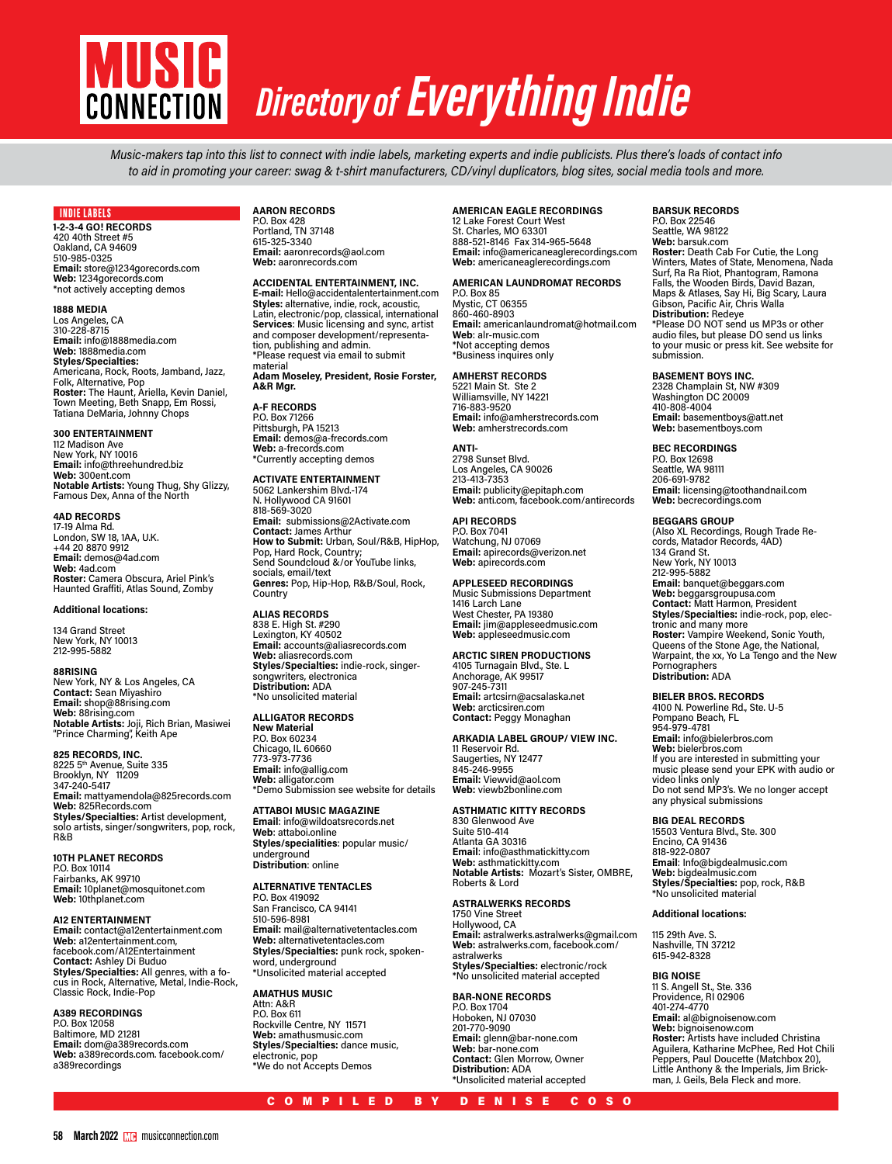

# *Directory of Everything Indie*

Music-makers tap into this list to connect with indie labels, marketing experts and indie publicists. Plus there's loads of contact info to aid in promoting your career: swag & t-shirt manufacturers, CD/vinyl duplicators, blog sites, social media tools and more.

# INDIE LABELS

**1-2-3-4 GO! RECORDS** 420 40th Street #5 Oakland, CA 94609 510-985-0325 **Email:** store@1234gorecords.com **Web:** 1234gorecords.com \*not actively accepting demos

# **1888 MEDIA**

Los Angeles, CA 310-228-8715 **Email:** info@1888media.com **Web:** 1888media.com **Styles/Specialties:** Americana, Rock, Roots, Jamband, Jazz, Folk, Alternative, Pop **Roster:** The Haunt, Ariella, Kevin Daniel, Town Meeting, Beth Snapp, Em Rossi, Tatiana DeMaria, Johnny Chops

# **300 ENTERTAINMENT**

112 Madison Ave New York, NY 10016 **Email:** info@threehundred.biz **Web:** 300ent.com **Notable Artists:** Young Thug, Shy Glizzy, Famous Dex, Anna of the North

# **4AD RECORDS**

17-19 Alma Rd. London, SW 18, 1AA, U.K. +44 20 8870 9912 **Email:** demos@4ad.com **Web:** 4ad.com **Roster:** Camera Obscura, Ariel Pink's Haunted Graffiti, Atlas Sound, Zomby

# **Additional locations:**

134 Grand Street New York, NY 10013 212-995-5882

# **88RISING**

New York, NY & Los Angeles, CA **Contact:** Sean Miyashiro **Email:** shop@88rising.com **Web:** 88rising.com **Notable Artists:** Joji, Rich Brian, Masiwei<br>"Prince Charming", Keith Ape

**825 RECORDS, INC.** 8225 5th Avenue, Suite 335

Brooklyn, NY 11209 347-240-5417 **Email:** mattyamendola@825records.com **Web:** 825Records.com **Styles/Specialties:** Artist development,<br>solo artists, singer/songwriters, pop, rock, R&B

**10TH PLANET RECORDS** P.O. Box 10114 Fairbanks, AK 99710 **Email:** 10planet@mosquitonet.com **Web:** 10thplanet.com

# **A12 ENTERTAINMENT**

**Email:** contact@a12entertainment.com **Web:** a12entertainment.com, facebook.com/A12Entertainment **Contact:** Ashley Di Buduo **Styles/Specialties:** All genres, with a fo-cus in Rock, Alternative, Metal, Indie-Rock, Classic Rock, Indie-Pop

# **A389 RECORDINGS**

P.O. Box 12058 Baltimore, MD 21281 **Email:** dom@a389records.com **Web:** a389records.com. facebook.com/ a389recordings

# **AARON RECORDS** P.O. Box 428 Portland, TN 37148 615-325-3340

**Email:** aaronrecords@aol.com **Web:** aaronrecords.com

# **ACCIDENTAL ENTERTAINMENT, INC.**

**E-mail:** Hello@accidentalentertainment.com **Styles:** alternative, indie, rock, acoustic, Latin, electronic/pop, classical, international **Services**: Music licensing and sync, artist and composer development/representation, publishing and admin. \*Please request via email to submit material

**Adam Moseley, President, Rosie Forster, A&R Mgr.**

# **A-F RECORDS** P.O. Box 71266 Pittsburgh, PA 15213 **Email:** demos@a-frecords.com **Web:** a-frecords.com \*Currently accepting demos

**ACTIVATE ENTERTAINMENT** 5062 Lankershim Blvd.-174

N. Hollywood CA 91601 818-569-3020 **Email:** submissions@2Activate.com **Contact:** James Arthur **How to Submit:** Urban, Soul/R&B, HipHop,<br>Pop, Hard Rock, Country;<br>Send Soundcloud &/or YouTube links, socials, email/text **Genres:** Pop, Hip-Hop, R&B/Soul, Rock, **Country** 

**ALIAS RECORDS** 838 E. High St. #290 Lexington, KY 40502 **Email:** accounts@aliasrecords.com **Web:** aliasrecords.com **Styles/Specialties:** indie-rock, singersongwriters, electronica **Distribution:** ADA \*No unsolicited material

# **ALLIGATOR RECORDS**

**New Material** P.O. Box 60234 Chicago, IL 60660 773-973-7736 **Email:** info@allig.com **Web:** alligator.com \*Demo Submission see website for details

**ATTABOI MUSIC MAGAZINE Email**: info@wildoatsrecords.net **Web**: attaboi.online **Styles/specialities**: popular music/ underground **Distribution**: online

# **ALTERNATIVE TENTACLES**

P.O. Box 419092 San Francisco, CA 94141 510-596-8981 **Email:** mail@alternativetentacles.com **Web:** alternativetentacles.com **Styles/Specialties:** punk rock, spokenword, underground \*Unsolicited material accepted

**AMATHUS MUSIC** Attn: A&R P.O. Box 611 Rockville Centre, NY 11571 **Web:** amathusmusic.com **Styles/Specialties:** dance music, electronic, pop \*We do not Accepts Demos

# **AMERICAN EAGLE RECORDINGS**

12 Lake Forest Court West St. Charles, MO 63301 888-521-8146 Fax 314-965-5648 **Email:** info@americaneaglerecordings.com **Web:** americaneaglerecordings.com

# **AMERICAN LAUNDROMAT RECORDS**

P.O. Box 85 Mystic, CT 06355 860-460-8903 **Email:** americanlaundromat@hotmail.com **Web**: alr-music.com \*Not accepting demos \*Business inquires only

# **AMHERST RECORDS**

5221 Main St. Ste 2 Williamsville, NY 14221 716-883-9520 **Email:** info@amherstrecords.com **Web:** amherstrecords.com

**ANTI-**2798 Sunset Blvd. Los Angeles, CA 90026 213-413-7353 **Email:** publicity@epitaph.com **Web:** anti.com, facebook.com/antirecords

**API RECORDS** P.O. Box 7041 Watchung, NJ 07069 **Email:** apirecords@verizon.net **Web:** apirecords.com

# **APPLESEED RECORDINGS**

Music Submissions Department 1416 Larch Lane West Chester, PA 19380 **Email:** jim@appleseedmusic.com **Web:** appleseedmusic.com

# **ARCTIC SIREN PRODUCTIONS**

4105 Turnagain Blvd., Ste. L Anchorage, AK 99517 907-245-7311 **Email:** artcsirn@acsalaska.net **Web:** arcticsiren.com **Contact:** Peggy Monaghan

# **ARKADIA LABEL GROUP/ VIEW INC.**

Saugerties, NY 12477 845-246-9955 **Email:** Viewvid@aol.com **Web:** viewb2bonline.com

11 Reservoir Rd.

# **ASTHMATIC KITTY RECORDS**

830 Glenwood Ave Suite 510-414 Atlanta GA 30316 **Email**: info@asthmatickitty.com **Web:** asthmatickitty.com **Notable Artists:** Mozart's Sister, OMBRE, Roberts & Lord

# **ASTRALWERKS RECORDS**

1750 Vine Street Hollywood, CA **Email:** astralwerks.astralwerks@gmail.com **Web:** astralwerks.com, facebook.com/ astralwerks **Styles/Specialties:** electronic/rock \*No unsolicited material accepted

# **BAR-NONE RECORDS**

P.O. Box 1704 Hoboken, NJ 07030 201-770-9090 **Email:** glenn@bar-none.com **Web:** bar-none.com **Contact:** Glen Morrow, Owner **Distribution:** ADA \*Unsolicited material accepted

# **BARSUK RECORDS**

P.O. Box 22546 Seattle, WA 98122 **Web:** barsuk.com **Roster:** Death Cab For Cutie, the Long<br>Winters, Mates of State, Menomena, Nada<br>Surf, Ra Ra Riot, Phantogram, Ramona Falls, the Wooden Birds, David Bazan, Maps & Atlases, Say Hi, Big Scary, Laura Gibson, Pacific Air, Chris Walla **Distribution:** Redeye \*Please DO NOT send us MP3s or other audio files, but please DO send us links to your music or press kit. See website for submission.

# **BASEMENT BOYS INC.**

2328 Champlain St, NW #309 Washington DC 20009 410-808-4004 **Email:** basementboys@att.net **Web:** basementboys.com

# **BEC RECORDINGS**

P.O. Box 12698 Seattle, WA 98111 206-691-9782 **Email:** licensing@toothandnail.com **Web:** becrecordings.com

**BEGGARS GROUP**<br>(Also XL Recordings, Rough Trade Re-(Also XL Recordings, Rough Trade Re-<br>cords, Matador Records, 4AD)<br>134 Grand St. New York, NY 10013 212-995-5882 **Email:** banquet@beggars.com **Web:** beggarsgroupusa.com<br>**Contact:** Matt Harmon, President<br>**Styles/Specialties:** indie-rock, pop, elec-<br>tronic and many more **Roster:** Vampire Weekend, Sonic Youth, Queens of the Stone Age, the National, Warpaint, the xx, Yo La Tengo and the New Pornographers **Distribution:** ADA

**BIELER BROS. RECORDS** 4100 N. Powerline Rd., Ste. U-5 Pompano Beach, FL 954-979-4781 **Email:** info@bielerbros.com **Web:** bielerbros.com If you are interested in submitting your music please send your EPK with audio or video links only Do not send MP3's. We no longer accept any physical submissions

# **BIG DEAL RECORDS**

15503 Ventura Blvd., Ste. 300 Encino, CA 91436 818-922-0807 **Email**: Info@bigdealmusic.com **Web:** bigdealmusic.com **Styles/Specialties:** pop, rock, R&B \*No unsolicited material

## **Additional locations:**

115 29th Ave. S. Nashville, TN 37212 615-942-8328

# **BIG NOISE**

11 S. Angell St., Ste. 336 Providence, RI 02906 401-274-4770 **Email:** al@bignoisenow.com **Web:** bignoisenow.com **Roster:** Artists have included Christina Aguilera, Katharine McPhee, Red Hot Chili Peppers, Paul Doucette (Matchbox 20), Little Anthony & the Imperials, Jim Brick- man, J. Geils, Bela Fleck and more.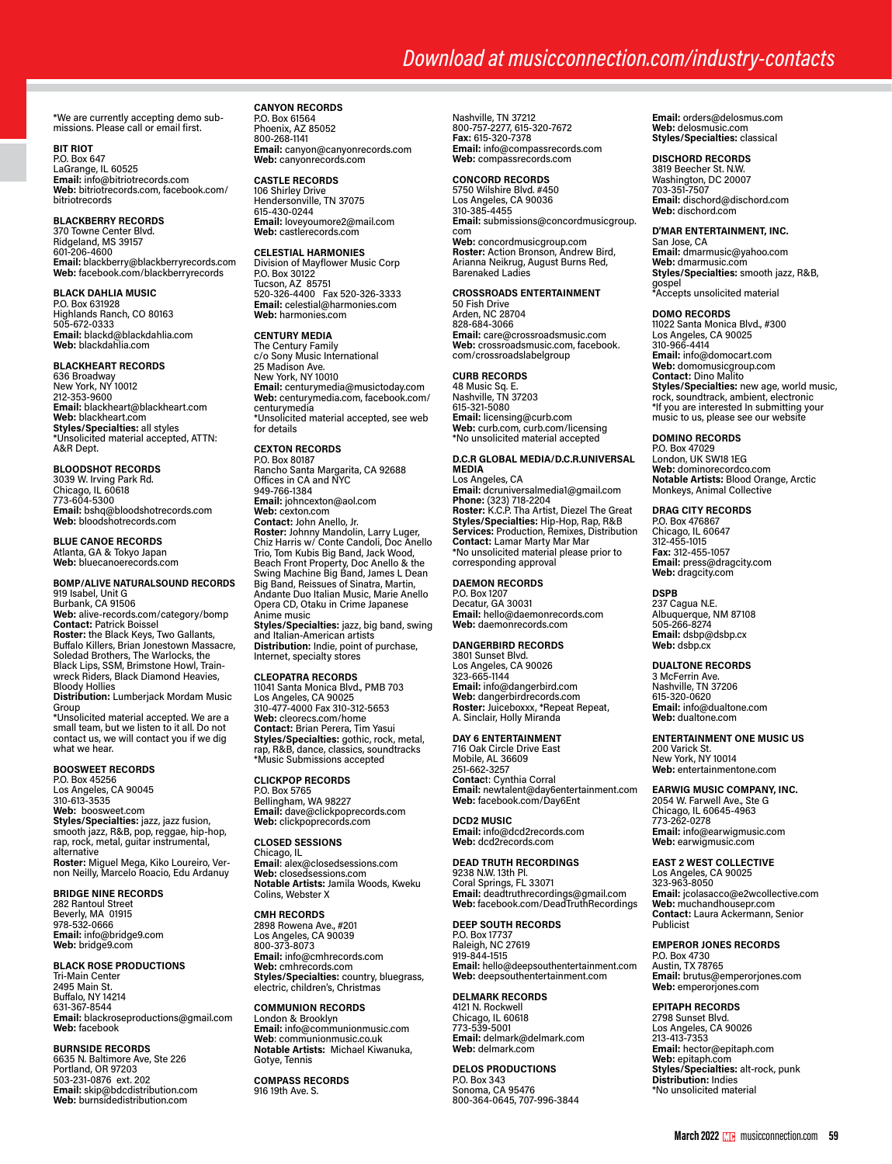# *Download at musicconnection.com/industry-contacts*

\*We are currently accepting demo submissions. Please call or email first.

# **BIT RIOT**

P.O. Box 647 LaGrange, IL 60525 **Email:** info@bitriotrecords.com **Web:** bitriotrecords.com, facebook.com/ bitriotrecords

# **BLACKBERRY RECORDS**

370 Towne Center Blvd. Ridgeland, MS 39157 601-206-4600 **Email:** blackberry@blackberryrecords.com **Web:** facebook.com/blackberryrecords

# **BLACK DAHLIA MUSIC**

P.O. Box 631928 Highlands Ranch, CO 80163 505-672-0333 **Email:** blackd@blackdahlia.com **Web:** blackdahlia.com

# **BLACKHEART RECORDS**

636 Broadway New York, NY 10012 212-353-9600 **Email:** blackheart@blackheart.com **Web:** blackheart.com **Styles/Specialties:** all styles \*Unsolicited material accepted, ATTN: A&R Dept.

**BLOODSHOT RECORDS** 3039 W. Irving Park Rd. Chicago, IL 60618 773-604-5300 **Email:** bshq@bloodshotrecords.com **Web:** bloodshotrecords.com

**BLUE CANOE RECORDS**

Atlanta, GA & Tokyo Japan **Web:** bluecanoerecords.com

# **BOMP/ALIVE NATURALSOUND RECORDS** 919 Isabel, Unit G

Burbank, CA 91506 **Web:** alive-records.com/category/bomp **Contact:** Patrick Boissel **Roster:** the Black Keys, Two Gallants,<br>Buffalo Killers, Brian Jonestown Massacre, Soledad Brothers, The Warlocks, the Black Lips, SSM, Brimstone Howl, Train-wreck Riders, Black Diamond Heavies, Bloody Hollies **Distribution:** Lumberjack Mordam Music

Group \*Unsolicited material accepted. We are a small team, but we listen to it all. Do not contact us, we will contact you if we dig what we hear.

# **BOOSWEET RECORDS**

P.O. Box 45256 Los Angeles, CA 90045 310-613-3535 **Web:** boosweet.com **Styles/Specialties:** jazz, jazz fusion,<br>smooth jazz, R&B, pop, reggae, hip-hop,<br>rap, rock, metal, guitar instrumental, alternative **Roster:** Miguel Mega, Kiko Loureiro, Ver- non Neilly, Marcelo Roacio, Edu Ardanuy

# **BRIDGE NINE RECORDS**

282 Rantoul Street Beverly, MA 01915 978-532-0666 **Email:** info@bridge9.com **Web:** bridge9.com

# **BLACK ROSE PRODUCTIONS**

Tri-Main Center 2495 Main St. Buffalo, NY 14214 631-367-8544 **Email:** blackroseproductions@gmail.com **Web:** facebook

# **BURNSIDE RECORDS**

6635 N. Baltimore Ave, Ste 226 Portland, OR 97203 503-231-0876 ext. 202 **Email:** skip@bdcdistribution.com **Web:** burnsidedistribution.com

# **CANYON RECORDS**

P.O. Box 61564 Phoenix, AZ 85052 800-268-1141 **Email:** canyon@canyonrecords.com **Web:** canyonrecords.com

# **CASTLE RECORDS**

106 Shirley Drive Hendersonville, TN 37075 615-430-0244 **Email:** loveyoumore2@mail.com **Web:** castlerecords.com

# **CELESTIAL HARMONIES**

Division of Mayflower Music Corp P.O. Box 30122 Tucson, AZ 85751 520-326-4400 Fax 520-326-3333 **Email:** celestial@harmonies.com **Web:** harmonies.com

# **CENTURY MEDIA**

The Century Family c/o Sony Music International 25 Madison Ave. New York, NY 10010 **Email:** centurymedia@musictoday.com **Web:** centurymedia.com, facebook.com/ centurymedia \*Unsolicited material accepted, see web for details

# **CEXTON RECORDS**

P.O. Box 80187 Rancho Santa Margarita, CA 92688 Offices in CA and NYC 949-766-1384 **Email:** johncexton@aol.com **Web:** cexton.com **Contact:** John Anello, Jr. **Roster:** Johnny Mandolin, Larry Luger, Chiz Harris w/ Conte Candoli, Doc Anello Trio, Tom Kubis Big Band, Jack Wood, Beach Front Property, Doc Anello & the Swing Machine Big Band, James L Dean Big Band, Reissues of Sinatra, Martin, Andante Duo Italian Music, Marie Anello Opera CD, Otaku in Crime Japanese Anime music

**Styles/Specialties:** jazz, big band, swing and Italian-American artists **Distribution:** Indie, point of purchase, Internet, specialty stores

# **CLEOPATRA RECORDS**

11041 Santa Monica Blvd., PMB 703 Los Angeles, CA 90025 310-477-4000 Fax 310-312-5653 **Web:** cleorecs.com/home **Contact:** Brian Perera, Tim Yasui **Styles/Specialties:** gothic, rock, metal, rap, R&B, dance, classics, soundtracks \*Music Submissions accepted

# **CLICKPOP RECORDS**

P.O. Box 5765 Bellingham, WA 98227 **Email:** dave@clickpoprecords.com **Web:** clickpoprecords.com

# **CLOSED SESSIONS**

Chicago, IL **Email**: alex@closedsessions.com **Web:** closedsessions.com **Notable Artists:** Jamila Woods, Kweku Colins, Webster X

# **CMH RECORDS**

2898 Rowena Ave., #201 Los Angeles, CA 90039 800-373-8073 **Email:** info@cmhrecords.com **Web:** cmhrecords.com **Styles/Specialties:** country, bluegrass, electric, children's, Christmas

# **COMMUNION RECORDS** London & Brooklyn **Email:** info@communionmusic.com **Web**: communionmusic.co.uk **Notable Artists:** Michael Kiwanuka, Gotye, Tennis

**COMPASS RECORDS** 916 19th Ave. S.

Nashville, TN 37212 800-757-2277, 615-320-7672 **Fax:** 615-320-7378 **Email:** info@compassrecords.com **Web:** compassrecords.com

# **CONCORD RECORDS**

5750 Wilshire Blvd. #450 Los Angeles, CA 90036 310-385-4455 **Email:** submissions@concordmusicgroup. com **Web:** concordmusicgroup.com **Roster:** Action Bronson, Andrew Bird, Arianna Neikrug, August Burns Red, Barenaked Ladies

# **CROSSROADS ENTERTAINMENT** 50 Fish Drive

Arden, NC 28704 828-684-3066 **Email:** care@crossroadsmusic.com **Web:** crossroadsmusic.com, facebook. com/crossroadslabelgroup

# **CURB RECORDS**

48 Music Sq. E. Nashville, TN 37203 615-321-5080 **Email:** licensing@curb.com **Web:** curb.com, curb.com/licensing \*No unsolicited material accepted

# **D.C.R GLOBAL MEDIA/D.C.R.UNIVERSAL MEDIA**

Los Angeles, CA **Email:** dcruniversalmedia1@gmail.com **Phone: (**323) 718-2204<br>**Roster: K.**C.P. Tha Artist, Diezel The Great<br>**Styles/Specialties:** Hip-Hop, Rap, R&B<br>**Services: Production, Remixes, Distribution Contact:** Lamar Marty Mar Mar \*No unsolicited material please prior to corresponding approval

# **DAEMON RECORDS**

P.O. Box 1207 Decatur, GA 30031 **Email:** hello@daemonrecords.com **Web:** daemonrecords.com

# **DANGERBIRD RECORDS**

3801 Sunset Blvd. Los Angeles, CA 90026 323-665-1144 **Email:** info@dangerbird.com **Web:** dangerbirdrecords.com **Roster:** Juiceboxxx, \*Repeat Repeat, A. Sinclair, Holly Miranda

# **DAY 6 ENTERTAINMENT**

716 Oak Circle Drive East Mobile, AL 36609 251-662-3257 **Contac**t: Cynthia Corral **Email:** newtalent@day6entertainment.com **Web:** facebook.com/Day6Ent

**DCD2 MUSIC Email:** info@dcd2records.com **Web:** dcd2records.com

# **DEAD TRUTH RECORDINGS**

9238 N.W. 13th Pl. Coral Springs, FL 33071 **Email:** deadtruthrecordings@gmail.com **Web:** facebook.com/DeadTruthRecordings

# **DEEP SOUTH RECORDS**

P.O. Box 17737 Raleigh, NC 27619 919-844-1515 **Email:** hello@deepsouthentertainment.com **Web:** deepsouthentertainment.com

# **DELMARK RECORDS**

4121 N. Rockwell Chicago, IL 60618 773-539-5001 **Email:** delmark@delmark.com **Web:** delmark.com

**DELOS PRODUCTIONS** P.O. Box 343 Sonoma, CA 95476 800-364-0645, 707-996-3844 **Email:** orders@delosmus.com **Web:** delosmusic.com **Styles/Specialties:** classical

# **DISCHORD RECORDS**

3819 Beecher St. N.W. Washington, DC 20007 703-351-7507 **Email:** dischord@dischord.com **Web:** dischord.com

# **D'MAR ENTERTAINMENT, INC.**

San Jose, CA **Email:** dmarmusic@yahoo.com **Web:** dmarmusic.com **Styles/Specialties:** smooth jazz, R&B, gospel \*Accepts unsolicited material

# **DOMO RECORDS**

11022 Santa Monica Blvd., #300 Los Angeles, CA 90025 310-966-4414 **Email:** info@domocart.com **Web:** domomusicgroup.com **Contact:** Dino Malito **Styles/Specialties:** new age, world music, rock, soundtrack, ambient, electronic \*If you are interested In submitting your music to us, please see our website

**DOMINO RECORDS**

P.O. Box 47029 London, UK SW18 1EG **Web:** dominorecordco.com **Notable Artists:** Blood Orange, Arctic Monkeys, Animal Collective

# **DRAG CITY RECORDS**

P.O. Box 476867 Chicago, IL 60647 312-455-1015 **Fax:** 312-455-1057 **Email:** press@dragcity.com **Web:** dragcity.com

# **DSPB**

237 Cagua N.E. Albuquerque, NM 87108 505-266-8274 **Email:** dsbp@dsbp.cx **Web:** dsbp.cx

# **DUALTONE RECORDS**

3 McFerrin Ave. Nashville, TN 37206 615-320-0620 **Email:** info@dualtone.com **Web:** dualtone.com

# **ENTERTAINMENT ONE MUSIC US**

200 Varick St. New York, NY 10014 **Web:** entertainmentone.com

# **EARWIG MUSIC COMPANY, INC.**<br>2054 W. Farwell Ave., Ste G Chicago, IL 60645-4963 773-262-0278 **Email:** info@earwigmusic.com **Web:** earwigmusic.com

**EAST 2 WEST COLLECTIVE** Los Angeles, CA 90025 323-963-8050 **Email:** jcolasacco@e2wcollective.com **Web:** muchandhousepr.com **Contact:** Laura Ackermann, Senior Publicist

#### **EMPEROR JONES RECORDS** P.O. Box 4730

Austin, TX 78765 **Email:** brutus@emperorjones.com **Web:** emperorjones.com

**EPITAPH RECORDS** 2798 Sunset Blvd. Los Angeles, CA 90026 213-413-7353 **Email:** hector@epitaph.com **Web:** epitaph.com

**Styles/Specialties:** alt-rock, punk **Distribution:** Indies \*No unsolicited material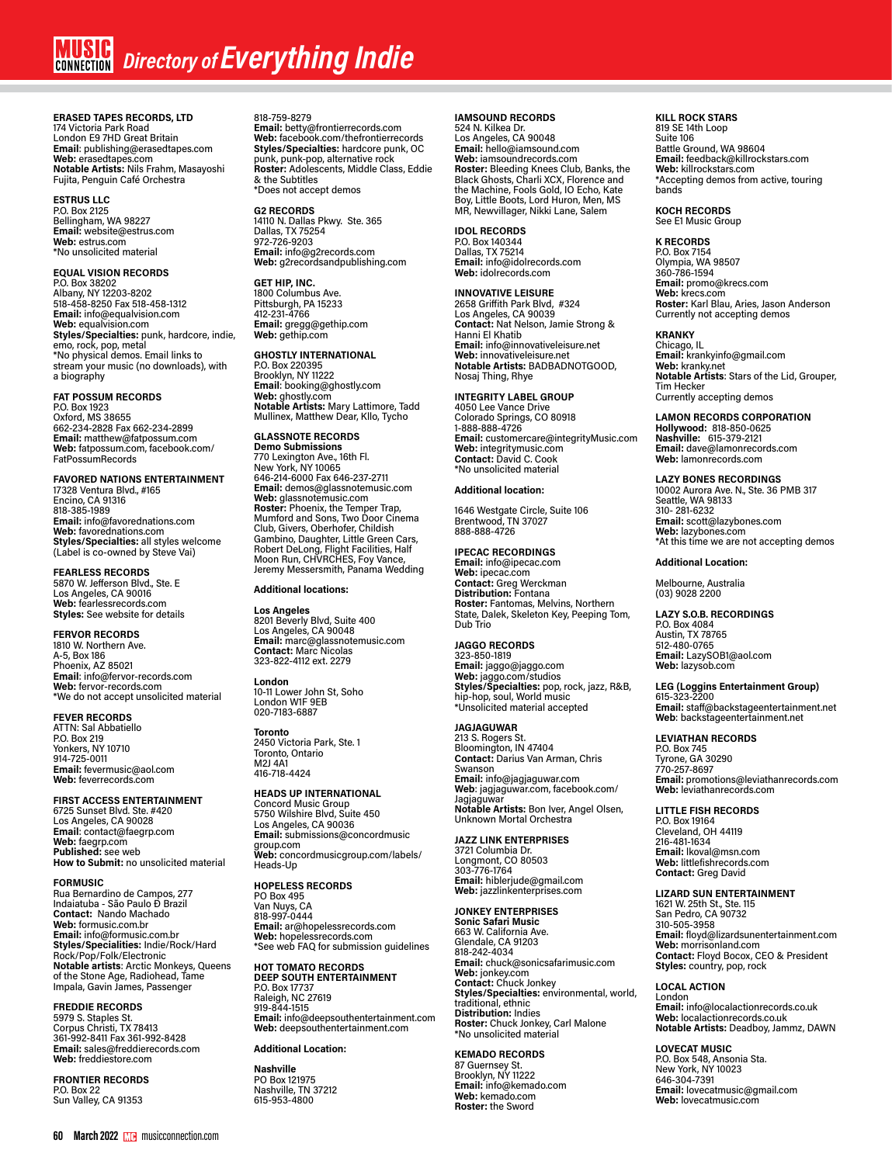# **MUSIC** Directory of **Everything Indie**

**ERASED TAPES RECORDS, LTD** 174 Victoria Park Road London E9 7HD Great Britain **Email**: publishing@erasedtapes.com **Web:** erasedtapes.com **Notable Artists:** Nils Frahm, Masayoshi<br>Fujita, Penguin Café Orchestra

**ESTRUS LLC** P.O. Box 2125 Bellingham, WA 98227 **Email:** website@estrus.com **Web:** estrus.com \*No unsolicited material

**EQUAL VISION RECORDS** P.O. Box 38202 Albany, NY 12203-8202 518-458-8250 Fax 518-458-1312 **Email:** info@equalvision.com **Web:** equalvision.com **Styles/Specialties:** punk, hardcore, indie, emo, rock, pop, metal \*No physical demos. Email links to stream your music (no downloads), with a biography

# **FAT POSSUM RECORDS**

P.O. Box 1923 Oxford, MS 38655 662-234-2828 Fax 662-234-2899 **Email:** matthew@fatpossum.com **Web:** fatpossum.com, facebook.com/ FatPossumRecords

**FAVORED NATIONS ENTERTAINMENT**  17328 Ventura Blvd., #165 Encino, CA 91316 818-385-1989 **Email:** info@favorednations.com **Web:** favorednations.com **Styles/Specialties:** all styles welcome (Label is co-owned by Steve Vai)

# **FEARLESS RECORDS** 5870 W. Jefferson Blvd., Ste. E

Los Angeles, CA 90016 **Web:** fearlessrecords.com **Styles:** See website for details

**FERVOR RECORDS** 1810 W. Northern Ave.

A-5, Box 186 Phoenix, AZ 85021 **Email**: info@fervor-records.com **Web:** fervor-records.com \*We do not accept unsolicited material

**FEVER RECORDS**

ATTN: Sal Abbatiello P.O. Box 219 Yonkers, NY 10710 914-725-0011 **Email:** fevermusic@aol.com **Web:** feverrecords.com

**FIRST ACCESS ENTERTAINMENT** 6725 Sunset Blvd. Ste. #420 Los Angeles, CA 90028 **Email**: contact@faegrp.com **Web:** faegrp.com **Published:** see web **How to Submit:** no unsolicited material

#### **FORMUSIC**

Rua Bernardino de Campos, 277 Indaiatuba - São Paulo Ð Brazil **Contact:** Nando Machado **Web:** formusic.com.br **Email:** info@formusic.com.br **Styles/Specialities:** Indie/Rock/Hard<br>Rock/Pop/Folk/Electronic<br>**Notable artists**: Arctic Monkeys, Queens<br>of the Stone Age, Radiohead, Tame<br>Impala, Gavin James, Passenger

# **FREDDIE RECORDS**

5979 S. Staples St. Corpus Christi, TX 78413 361-992-8411 Fax 361-992-8428 **Email:** sales@freddierecords.com **Web:** freddiestore.com

**FRONTIER RECORDS** P.O. Box 22 Sun Valley, CA 91353

818-759-8279 **Email:** betty@frontierrecords.com **Web:** facebook.com/thefrontierrecords **Styles/Specialties:** hardcore punk, OC punk, punk-pop, alternative rock **Roster:** Adolescents, Middle Class, Eddie & the Subtitles \*Does not accept demos

# **G2 RECORDS**

14110 N. Dallas Pkwy. Ste. 365 Dallas, TX 75254 972-726-9203 **Email:** info@g2records.com **Web:** g2recordsandpublishing.com

**GET HIP, INC.** 1800 Columbus Ave. Pittsburgh, PA 15233

412-231-4766 **Email:** gregg@gethip.com **Web:** gethip.com

# **GHOSTLY INTERNATIONAL**

P.O. Box 220395 Brooklyn, NY 11222 **Email**: booking@ghostly.com **Web:** ghostly.com **Notable Artists:** Mary Lattimore, Tadd Mullinex, Matthew Dear, Kllo, Tycho

# **GLASSNOTE RECORDS**

**Demo Submissions**<br>770 Lexington Ave., 16th Fl.<br>New York, NY 10065<br>646-214-6000 Fax 646-237-2711 **Email:** demos@glassnotemusic.com **Web:** glassnotemusic.com **Roster:** Phoenix, the Temper Trap, Mumford and Sons, Two Door Cinema Club, Givers, Oberhofer, Childish Gambino, Daughter, Little Green Cars, Robert DeLong, Flight Facilities, Half Moon Run, CHVRCHES, Foy Vance, Jeremy Messersmith, Panama Wedding

# **Additional locations:**

**Los Angeles** 8201 Beverly Blvd, Suite 400 Los Angeles, CA 90048 **Email:** marc@glassnotemusic.com **Contact:** Marc Nicolas 323-822-4112 ext. 2279

**London** 10-11 Lower John St, Soho London W1F 9EB 020-7183-6887

**Toronto** 2450 Victoria Park, Ste. 1

Toronto, Ontario M2J 4A1 416-718-4424

# **HEADS UP INTERNATIONAL**

Concord Music Group 5750 Wilshire Blvd, Suite 450 Los Angeles, CA 90036 **Email:** submissions@concordmusic group.com **Web:** concordmusicgroup.com/labels/ Heads-Up

# **HOPELESS RECORDS** PO Box 495

Van Nuys, CA 818-997-0444 **Email:** ar@hopelessrecords.com **Web:** hopelessrecords.com \*See web FAQ for submission guidelines

# **HOT TOMATO RECORDS DEEP SOUTH ENTERTAINMENT** P.O. Box 17737 Raleigh, NC 27619

919-844-1515 **Email:** info@deepsouthentertainment.com **Web:** deepsouthentertainment.com

# **Additional Location:**

**Nashville** PO Box 121975 Nashville, TN 37212 615-953-4800

# **IAMSOUND RECORDS**

524 N. Kilkea Dr. Los Angeles, CA 90048 **Email:** hello@iamsound.com **Web:** iamsoundrecords.com **Roster:** Bleeding Knees Club, Banks, the Black Ghosts, Charli XCX, Florence and the Machine, Fools Gold, IO Echo, Kate Boy, Little Boots, Lord Huron, Men, MS MR, Newvillager, Nikki Lane, Salem

**IDOL RECORDS**

P.O. Box 140344 Dallas, TX 75214 **Email:** info@idolrecords.com **Web:** idolrecords.com

**INNOVATIVE LEISURE** 2658 Griffith Park Blvd, #324 Los Angeles, CA 90039 **Contact:** Nat Nelson, Jamie Strong & Hanni El Khatib **Email:** info@innovativeleisure.net **Web:** innovativeleisure.net **Notable Artists:** BADBADNOTGOOD, Nosaj Thing, Rhye

# **INTEGRITY LABEL GROUP**

4050 Lee Vance Drive Colorado Springs, CO 80918 1-888-888-4726 **Email:** customercare@integrityMusic.com **Web:** integritymusic.com **Contact:** David C. Cook \*No unsolicited material

# **Additional location:**

1646 Westgate Circle, Suite 106 Brentwood, TN 37027 888-888-4726

# **IPECAC RECORDINGS**

**Email:** info@ipecac.com **Web:** ipecac.com **Contact:** Greg Werckman **Distribution:** Fontana **Roster:** Fantomas, Melvins, Northern<br>State, Dalek, Skeleton Key, Peeping Tom, Dub Trio

# **JAGGO RECORDS**

323-850-1819 **Email:** jaggo@jaggo.com **Web:** jaggo.com/studios **Styles/Specialties:** pop, rock, jazz, R&B, hip-hop, soul, World music \*Unsolicited material accepted

# **JAGJAGUWAR**

213 S. Rogers St. Bloomington, IN 47404 **Contact:** Darius Van Arman, Chris Swanson **Email:** info@jagjaguwar.com **Web**: jagjaguwar.com, facebook.com/ **Jagjaguwar Notable Artists:** Bon Iver, Angel Olsen, Unknown Mortal Orchestra

# **JAZZ LINK ENTERPRISES**

3721 Columbia Dr. Longmont, CO 80503 303-776-1764 **Email:** hiblerjude@gmail.com **Web:** jazzlinkenterprises.com

# **JONKEY ENTERPRISES**

**Sonic Safari Music** 663 W. California Ave. Glendale, CA 91203 818-242-4034 **Email:** chuck@sonicsafarimusic.com **Web:** jonkey.com **Contact:** Chuck Jonkey **Styles/Specialties:** environmental, world, traditional, ethnic **Distribution:** Indies **Roster:** Chuck Jonkey, Carl Malone \*No unsolicited material

# **KEMADO RECORDS**

87 Guernsey St. Brooklyn, NY 11222 **Email:** info@kemado.com **Web:** kemado.com **Roster:** the Sword

# **KILL ROCK STARS**

819 SE 14th Loop Suite 106 Battle Ground, WA 98604 **Email:** feedback@killrockstars.com **Web:** killrockstars.com \*Accepting demos from active, touring bands

# **KOCH RECORDS**

See E1 Music Group

# **K RECORDS** P.O. Box 7154

Olympia, WA 98507 360-786-1594 **Email:** promo@krecs.com **Web:** krecs.com **Roster:** Karl Blau, Aries, Jason Anderson Currently not accepting demos

# **KRANKY**

Chicago, IL **Email:** krankyinfo@gmail.com **Web:** kranky.net **Notable Artists**: Stars of the Lid, Grouper, Tim Hecker Currently accepting demos

# **LAMON RECORDS CORPORATION Hollywood:** 818-850-0625 **Nashville:** 615-379-2121 **Email:** dave@lamonrecords.com **Web:** lamonrecords.com

# **LAZY BONES RECORDINGS** 10002 Aurora Ave. N., Ste. 36 PMB 317 Seattle, WA 98133

310- 281-6232 **Email:** scott@lazybones.com **Web:** lazybones.com \*At this time we are not accepting demos

# **Additional Location:**

Melbourne, Australia (03) 9028 2200

# **LAZY S.O.B. RECORDINGS**

P.O. Box 4084 Austin, TX 78765 512-480-0765 **Email:** LazySOB1@aol.com **Web:** lazysob.com

# **LEG (Loggins Entertainment Group)** 615-323-2200 **Email:** staff@backstageentertainment.net **Web**: backstageentertainment.net

# **LEVIATHAN RECORDS**

P.O. Box 745 Tyrone, GA 30290 770-257-8697 **Email:** promotions@leviathanrecords.com **Web:** leviathanrecords.com

# **LITTLE FISH RECORDS**

P.O. Box 19164 Cleveland, OH 44119 216-481-1634 **Email:** lkoval@msn.com **Web:** littlefishrecords.com **Contact:** Greg David

# **LIZARD SUN ENTERTAINMENT**

1621 W. 25th St., Ste. 115 San Pedro, CA 90732 310-505-3958 **Email:** floyd@lizardsunentertainment.com **Web:** morrisonland.com **Contact:** Floyd Bocox, CEO & President Styles: country, pop, rock

# **LOCAL ACTION**

London **Email:** info@localactionrecords.co.uk **Web:** localactionrecords.co.uk **Notable Artists:** Deadboy, Jammz, DAWN

# **LOVECAT MUSIC**

P.O. Box 548, Ansonia Sta. New York, NY 10023 646-304-7391 **Email:** lovecatmusic@gmail.com **Web:** lovecatmusic.com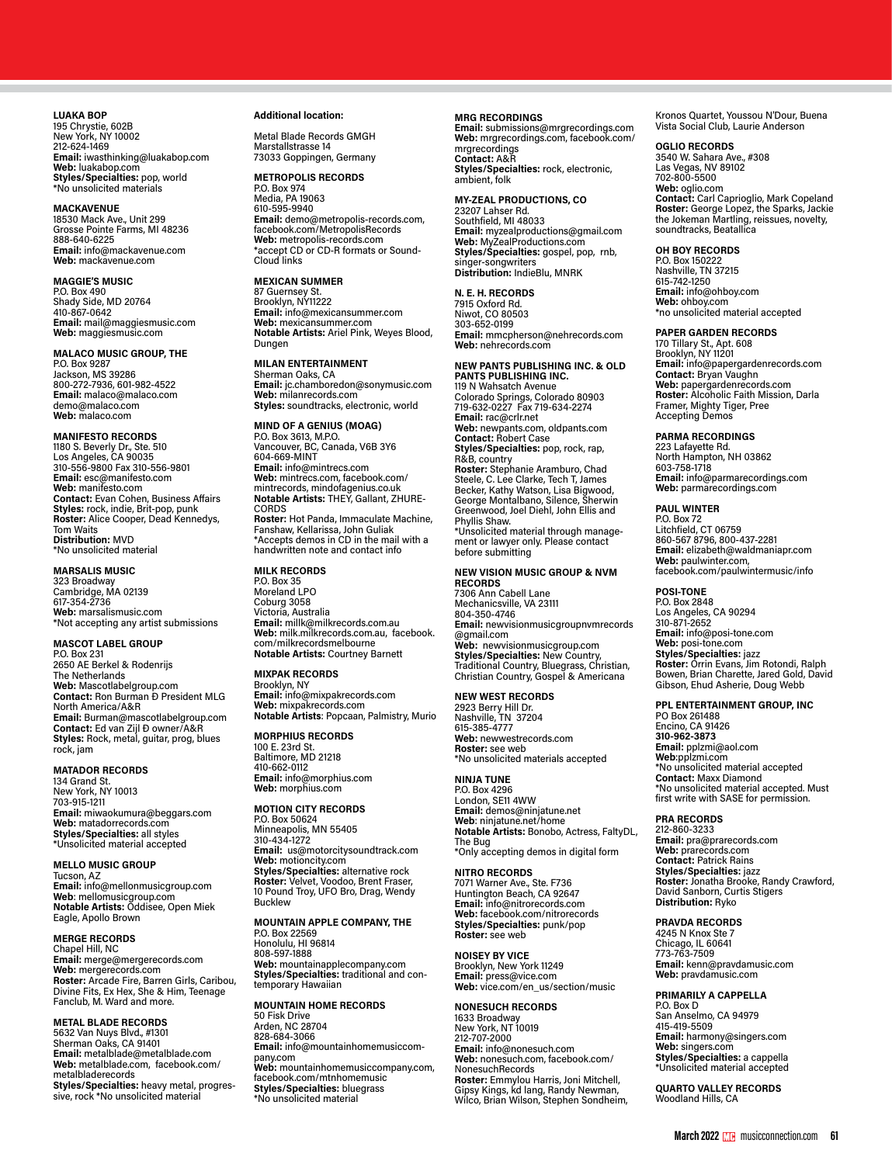**LUAKA BOP** 195 Chrystie, 602B New York, NY 10002 212-624-1469 **Email:** iwasthinking@luakabop.com **Web:** luakabop.com **Styles/Specialties:** pop, world \*No unsolicited materials

**MACKAVENUE** 18530 Mack Ave., Unit 299 Grosse Pointe Farms, MI 48236 888-640-6225 **Email:** info@mackavenue.com **Web:** mackavenue.com

**MAGGIE'S MUSIC** P.O. Box 490 Shady Side, MD 20764 410-867-0642 **Email:** mail@maggiesmusic.com **Web:** maggiesmusic.com

**MALACO MUSIC GROUP, THE** P.O. Box 9287 Jackson, MS 39286 800-272-7936, 601-982-4522 **Email:** malaco@malaco.com demo@malaco.com **Web:** malaco.com

**MANIFESTO RECORDS** 1180 S. Beverly Dr., Ste. 510 Los Angeles, CA 90035 310-556-9800 Fax 310-556-9801 **Email:** esc@manifesto.com **Web:** manifesto.com **Contact:** Evan Cohen, Business Affairs **Styles:** rock, indie, Brit-pop, punk **Roster:** Alice Cooper, Dead Kennedys, Tom Waits **Distribution:** MVD \*No unsolicited material

**MARSALIS MUSIC** 323 Broadway Cambridge, MA 02139 617-354-2736 **Web:** marsalismusic.com \*Not accepting any artist submissions

# **MASCOT LABEL GROUP**

P.O. Box 231 2650 AE Berkel & Rodenrijs The Netherlands **Web:** Mascotlabelgroup.com **Contact:** Ron Burman Ð President MLG North America/A&R **Email:** Burman@mascotlabelgroup.com **Contact:** Ed van Zijl Ð owner/A&R **Styles:** Rock, metal, guitar, prog, blues<br>rock, jam

# **MATADOR RECORDS**

134 Grand St. New York, NY 10013 703-915-1211 **Email:** miwaokumura@beggars.com **Web:** matadorrecords.com **Styles/Specialties:** all styles \*Unsolicited material accepted

# **MELLO MUSIC GROUP**

Tucson, AZ **Email:** info@mellonmusicgroup.com **Web**: mellomusicgroup.com **Notable Artists:** Oddisee, Open Miek Eagle, Apollo Brown

**MERGE RECORDS**

Chapel Hill, NC **Email:** merge@mergerecords.com **Web:** mergerecords.com **Roster:** Arcade Fire, Barren Girls, Caribou, Divine Fits, Ex Hex, She & Him, Teenage Fanclub, M. Ward and more.

**METAL BLADE RECORDS**

5632 Van Nuys Blvd., #1301 Sherman Oaks, CA 91401 **Email:** metalblade@metalblade.com **Web:** metalblade.com, facebook.com/ metalbladerecords **Styles/Specialties:** heavy metal, progressive, rock \*No unsolicited material

# **Additional location:**

Metal Blade Records GMGH Marstallstrasse 14 73033 Goppingen, Germany

**METROPOLIS RECORDS** P.O. Box 974 Media, PA 19063 610-595-9940 **Email:** demo@metropolis-records.com,<br>facebook.com/MetropolisRecords

**Web:** metropolis-records.com \*accept CD or CD-R formats or Sound-Cloud links **MEXICAN SUMMER**

87 Guernsey St. Brooklyn, NY11222 **Email:** info@mexicansummer.com **Web:** mexicansummer.com **Notable Artists:** Ariel Pink, Weyes Blood, Dungen

**MILAN ENTERTAINMENT** Sherman Oaks, CA **Email:** jc.chamboredon@sonymusic.com **Web:** milanrecords.com **Styles:** soundtracks, electronic, world

**MIND OF A GENIUS (MOAG)** P.O. Box 3613, M.P.O. Vancouver, BC, Canada, V6B 3Y6 604-669-MINT **Email:** info@mintrecs.com **Web:** mintrecs.com, facebook.com/ mintrecords, mindofagenius.co.uk **Notable Artists:** THEY, Gallant, ZHURE-CORDS

**Roster:** Hot Panda, Immaculate Machine, Fanshaw, Kellarissa, John Guliak \*Accepts demos in CD in the mail with a handwritten note and contact info

# **MILK RECORDS**

P.O. Box 35 Moreland LPO Coburg 3058 Victoria, Australia **Email:** millk@milkrecords.com.au **Web:** milk.milkrecords.com.au, facebook. com/milkrecordsmelbourne **Notable Artists:** Courtney Barnett

# **MIXPAK RECORDS**

Brooklyn, NY **Email:** info@mixpakrecords.com **Web:** mixpakrecords.com **Notable Artists**: Popcaan, Palmistry, Murio

**MORPHIUS RECORDS** 100 E. 23rd St. Baltimore, MD 21218 410-662-0112 **Email:** info@morphius.com **Web:** morphius.com

#### **MOTION CITY RECORDS**

P.O. Box 50624 Minneapolis, MN 55405 310-434-1272 **Email:** us@motorcitysoundtrack.com **Web:** motioncity.com **Styles/Specialties:** alternative rock **Roster:** Velvet, Voodoo, Brent Fraser, 10 Pound Troy, UFO Bro, Drag, Wendy Bucklew

**MOUNTAIN APPLE COMPANY, THE**

P.O. Box 22569 Honolulu, HI 96814 808-597-1888 **Web:** mountainapplecompany.com **Styles/Specialties:** traditional and contemporary Hawaiian

**MOUNTAIN HOME RECORDS** 50 Fisk Drive Arden, NC 28704 828-684-3066 **Email:** info@mountainhomemusiccom-<br>pany.com<br>**Web:** mountainhomemusiccompany.com, facebook.com/mtnhomemusic **Styles/Specialties:** bluegrass \*No unsolicited material

# **MRG RECORDINGS**

**Email:** submissions@mrgrecordings.com **Web:** mrgrecordings.com, facebook.com/ mrgrecordings **Contact:** A&R **Styles/Specialties:** rock, electronic, ambient, folk

**MY-ZEAL PRODUCTIONS, CO**

23207 Lahser Rd. Southfield, MI 48033 **Email:** myzealproductions@gmail.com **Web:** MyZealProductions.com **Styles/Specialties:** gospel, pop, rnb, singer-songwriters **Distribution:** IndieBlu, MNRK

**N. E. H. RECORDS** 7915 Oxford Rd.

Niwot, CO 80503 303-652-0199 **Email:** mmcpherson@nehrecords.com **Web:** nehrecords.com

# **NEW PANTS PUBLISHING INC. & OLD PANTS PUBLISHING INC.**

119 N Wahsatch Avenue<br>Colorado Springs, Colorado 80903 719-632-0227 Fax 719-634-2274 **Email:** rac@crlr.net **Web:** newpants.com, oldpants.com **Contact:** Robert Case **Styles/Specialties:** pop, rock, rap, R&B, country **Roster:** Stephanie Aramburo, Chad Steele, C. Lee Clarke, Tech T, James Becker, Kathy Watson, Lisa Bigwood, George Montalbano, Silence, Sherwin Greenwood, Joel Diehl, John Ellis and **Phyllis Shaw.**<br>Phyllis Shaw.<br>\*Unsolicited material through manage-\*Unsolicited material through manage- ment or lawyer only. Please contact before submitting

# **NEW VISION MUSIC GROUP & NVM RECORDS**

7306 Ann Cabell Lane Mechanicsville, VA 23111 804-350-4746 **Email:** newvisionmusicgroupnvmrecords @gmail.com **Web:** newvisionmusicgroup.com **Styles/Specialties:** New Country, Traditional Country, Bluegrass, Christian, Christian Country, Gospel & Americana

**NEW WEST RECORDS**

2923 Berry Hill Dr. Nashville, TN 37204 615-385-4777 **Web:** newwestrecords.com **Roster:** see web \*No unsolicited materials accepted

**NINJA TUNE** P.O. Box 4296 London, SE11 4WW **Email:** demos@ninjatune.net **Web**: ninjatune.net/home **Notable Artists:** Bonobo, Actress, FaltyDL, The Bug \*Only accepting demos in digital form

**NITRO RECORDS** 7071 Warner Ave., Ste. F736 Huntington Beach, CA 92647 **Email:** info@nitrorecords.com **Web:** facebook.com/nitrorecords **Styles/Specialties:** punk/pop **Roster:** see web

**NOISEY BY VICE** Brooklyn, New York 11249 **Email:** press@vice.com **Web:** vice.com/en\_us/section/music

**NONESUCH RECORDS** 1633 Broadway New York, NT 10019 212-707-2000 **Email:** info@nonesuch.com **Web:** nonesuch.com, facebook.com/ NonesuchRecords **Roster:** Emmylou Harris, Joni Mitchell, Gipsy Kings, kd lang, Randy Newman, Wilco, Brian Wilson, Stephen Sondheim,

Kronos Quartet, Youssou N'Dour, Buena Vista Social Club, Laurie Anderson

**OGLIO RECORDS**

3540 W. Sahara Ave., #308 Las Vegas, NV 89102 702-800-5500 **Web:** oglio.com **Contact:** Carl Caprioglio, Mark Copeland **Roster:** George Lopez, the Sparks, Jackie<br>the Jokeman Martling, reissues, novelty,<br>soundtracks, Beatallica

# **OH BOY RECORDS**

P.O. Box 150222 Nashville, TN 37215 615-742-1250 **Email:** info@ohboy.com **Web:** ohboy.com \*no unsolicited material accepted

# **PAPER GARDEN RECORDS**

170 Tillary St., Apt. 608 Brooklyn, NY 11201 **Email:** info@papergardenrecords.com **Contact:** Bryan Vaughn **Web:** papergardenrecords.com **Roster:** Alcoholic Faith Mission, Darla Framer, Mighty Tiger, Pree Accepting Demos

# **PARMA RECORDINGS**

223 Lafayette Rd. North Hampton, NH 03862 603-758-1718 **Email:** info@parmarecordings.com **Web:** parmarecordings.com

# **PAUL WINTER**

P.O. Box 72 Litchfield, CT 06759 860-567 8796, 800-437-2281 **Email:** elizabeth@waldmaniapr.com **Web:** paulwinter.com, facebook.com/paulwintermusic/info

# **POSI-TONE**

P.O. Box 2848 Los Angeles, CA 90294 310-871-2652 **Email:** info@posi-tone.com **Web:** posi-tone.com **Styles/Specialties:** jazz **Roster:** Orrin Evans, Jim Rotondi, Ralph Bowen, Brian Charette, Jared Gold, David Gibson, Ehud Asherie, Doug Webb

# **PPL ENTERTAINMENT GROUP, INC**

PO Box 261488 Encino, CA 91426 **310-962-3873 Email:** pplzmi@aol.com **Web**:pplzmi.com \*No unsolicited material accepted **Contact:** Maxx Diamond \*No unsolicited material accepted. Must first write with SASE for permission.

#### **PRA RECORDS**

212-860-3233 **Email:** pra@prarecords.com **Web:** prarecords.com **Contact:** Patrick Rains **Styles/Specialties:** jazz **Roster:** Jonatha Brooke, Randy Crawford, David Sanborn, Curtis Stigers **Distribution:** Ryko

# **PRAVDA RECORDS**

4245 N Knox Ste 7 Chicago, IL 60641 773-763-7509 **Email:** kenn@pravdamusic.com **Web:** pravdamusic.com

# **PRIMARILY A CAPPELLA**

P.O. Box D San Anselmo, CA 94979 415-419-5509 **Email:** harmony@singers.com **Web:** singers.com **Styles/Specialties:** a cappella \*Unsolicited material accepted

**QUARTO VALLEY RECORDS** Woodland Hills, CA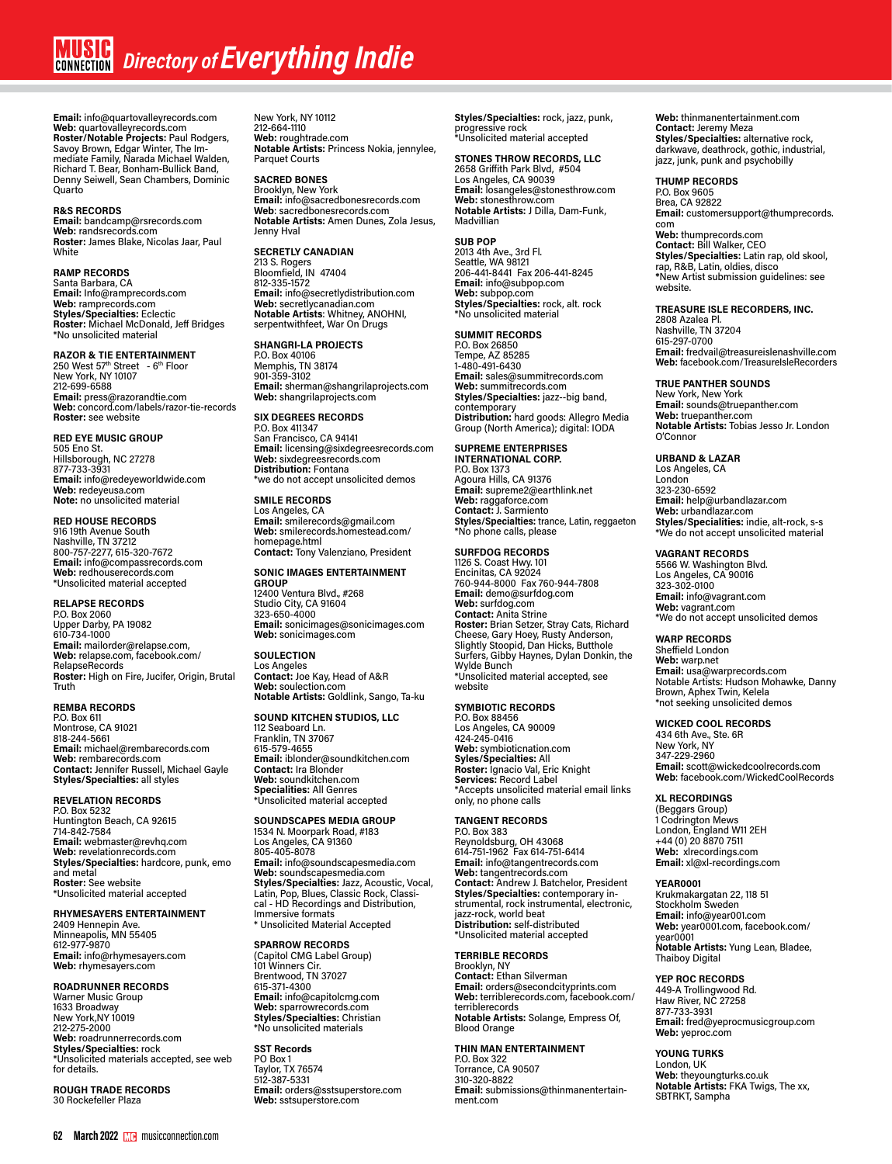**Email:** info@quartovalleyrecords.com **Web:** quartovalleyrecords.com **Roster/Notable Projects:** Paul Rodgers, Savoy Brown, Edgar Winter, The Immediate Family, Narada Michael Walden, Richard T. Bear, Bonham-Bullick Band, Denny Seiwell, Sean Chambers, Dominic Quarto

# **R&S RECORDS**

**Email:** bandcamp@rsrecords.com **Web:** randsrecords.com **Roster:** James Blake, Nicolas Jaar, Paul White

# **RAMP RECORDS**

Santa Barbara, CA **Email:** Info@ramprecords.com **Web:** ramprecords.com **Styles/Specialties:** Eclectic **Roster:** Michael McDonald, Jeff Bridges \*No unsolicited material

# **RAZOR & TIE ENTERTAINMENT**

250 West 57<sup>th</sup> Street - 6<sup>th</sup> Floor<br>New York, NY 10107 212-699-6588 **Email:** press@razorandtie.com **Web:** concord.com/labels/razor-tie-records **Roster:** see website

**RED EYE MUSIC GROUP** 505 Eno St. Hillsborough, NC 27278 877-733-3931 **Email:** info@redeyeworldwide.com **Web:** redeyeusa.com **Note:** no unsolicited material

# **RED HOUSE RECORDS**

916 19th Avenue South Nashville, TN 37212 800-757-2277, 615-320-7672 **Email:** info@compassrecords.com **Web:** redhouserecords.com \*Unsolicited material accepted

# **RELAPSE RECORDS**

P.O. Box 2060 Upper Darby, PA 19082 610-734-1000 **Email:** mailorder@relapse.com, **Web:** relapse.com, facebook.com/ RelapseRecords **Roster:** High on Fire, Jucifer, Origin, Brutal Truth

# **REMBA RECORDS**

P.O. Box 611 Montrose, CA 91021 818-244-5661 **Email:** michael@rembarecords.com **Web:** rembarecords.com **Contact:** Jennifer Russell, Michael Gayle **Styles/Specialties:** all styles

# **REVELATION RECORDS**

P.O. Box 5232 Huntington Beach, CA 92615 714-842-7584 **Email:** webmaster@revhq.com **Web:** revelationrecords.com **Styles/Specialties:** hardcore, punk, emo and metal **Roster:** See website \*Unsolicited material accepted

# **RHYMESAYERS ENTERTAINMENT**

2409 Hennepin Ave. Minneapolis, MN 55405 612-977-9870 **Email:** info@rhymesayers.com **Web:** rhymesayers.com

# **ROADRUNNER RECORDS**

Warner Music Group 1633 Broadway New York,NY 10019 212-275-2000 **Web:** roadrunnerrecords.com **Styles/Specialties:** rock \*Unsolicited materials accepted, see web for details.

**ROUGH TRADE RECORDS** 30 Rockefeller Plaza

New York, NY 10112 212-664-1110 **Web:** roughtrade.com **Notable Artists:** Princess Nokia, jennylee, Parquet Courts

# **SACRED BONES**

Brooklyn, New York **Email:** info@sacredbonesrecords.com **Web**: sacredbonesrecords.com **Notable Artists:** Amen Dunes, Zola Jesus, Jenny Hval

# **SECRETLY CANADIAN**

213 S. Rogers Bloomfield, IN 47404 812-335-1572 **Email:** info@secretlydistribution.com **Web:** secretlycanadian.com **Notable Artists**: Whitney, ANOHNI, serpentwithfeet, War On Drugs

# **SHANGRI-LA PROJECTS**

P.O. Box 40106 Memphis, TN 38174 901-359-3102 **Email:** sherman@shangrilaprojects.com **Web:** shangrilaprojects.com

# **SIX DEGREES RECORDS**

P.O. Box 411347 San Francisco, CA 94141 **Email:** licensing@sixdegreesrecords.com **Web:** sixdegreesrecords.com **Distribution:** Fontana \*we do not accept unsolicited demos

# **SMILE RECORDS**

Los Angeles, CA **Email:** smilerecords@gmail.com **Web:** smilerecords.homestead.com/ homepage.html **Contact:** Tony Valenziano, President

# **SONIC IMAGES ENTERTAINMENT**

**GROUP** 12400 Ventura Blvd., #268 Studio City, CA 91604 323-650-4000 **Email:** sonicimages@sonicimages.com **Web:** sonicimages.com

# **SOULECTION** Los Angeles **Contact:** Joe Kay, Head of A&R **Web:** soulection.com **Notable Artists:** Goldlink, Sango, Ta-ku

# **SOUND KITCHEN STUDIOS, LLC**

112 Seaboard Ln. Franklin, TN 37067 615-579-4655 **Email:** iblonder@soundkitchen.com **Contact:** Ira Blonder **Web:** soundkitchen.com **Specialities:** All Genres \*Unsolicited material accepted

**SOUNDSCAPES MEDIA GROUP<br>1534 N. Moorpark Road, #183<br>Los Angeles, CA 91360<br>805-405-8078<br><b>Email:** info@soundscapesmedia.com **Web:** soundscapesmedia.com **Styles/Specialties:** Jazz, Acoustic, Vocal,<br>Latin, Pop, Blues, Classic Rock, Classi-<br>cal - HD Recordings and Distribution, Immersive formats \* Unsolicited Material Accepted

**SPARROW RECORDS<br>(Capitol CMG Label Group)<br>101 Winners Cir.<br>Brentwood, TN 37027<br>615-371-4300 Email:** info@capitolcmg.com **Web:** sparrowrecords.com **Styles/Specialties:** Christian \*No unsolicited materials

**SST Records** PO Box 1 Taylor, TX 76574 512-387-5331 **Email:** orders@sstsuperstore.com **Web:** sstsuperstore.com

**Styles/Specialties:** rock, jazz, punk, progressive rock \*Unsolicited material accepted

# **STONES THROW RECORDS, LLC** 2658 Griffith Park Blvd, #504 Los Angeles, CA 90039 **Email:** losangeles@stonesthrow.com **Web:** stonesthrow.com **Notable Artists:** J Dilla, Dam-Funk, Madvillian

# **SUB POP**

2013 4th Ave., 3rd Fl. Seattle, WA 98121 206-441-8441 Fax 206-441-8245 **Email:** info@subpop.com **Web:** subpop.com **Styles/Specialties:** rock, alt. rock \*No unsolicited material

# **SUMMIT RECORDS**

P.O. Box 26850 Tempe, AZ 85285 1-480-491-6430 **Email:** sales@summitrecords.com **Web:** summitrecords.com **Styles/Specialties:** jazz--big band, contemporary<br>**Distribution:** hard goods: Allegro Media<br>Group (North America); digital: IODA

# **SUPREME ENTERPRISES INTERNATIONAL CORP.**

P.O. Box 1373 Agoura Hills, CA 91376 **Email:** supreme2@earthlink.net **Web:** raggaforce.com **Contact:** J. Sarmiento **Styles/Specialties:** trance, Latin, reggaeton \*No phone calls, please

# **SURFDOG RECORDS**

1126 S. Coast Hwy. 101 Encinitas, CA 92024 760-944-8000 Fax 760-944-7808 **Email:** demo@surfdog.com **Web:** surfdog.com **Contact:** Anita Strine **Roster:** Brian Setzer, Stray Cats, Richard Cheese, Gary Hoey, Rusty Anderson, Slightly Stoopid, Dan Hicks, Butthole Surfers, Gibby Haynes, Dylan Donkin, the Wylde Bunch \*Unsolicited material accepted, see website

# **SYMBIOTIC RECORDS**

P.O. Box 88456 Los Angeles, CA 90009 424-245-0416 **Web:** symbioticnation.com **Syles/Specialties:** All **Roster:** Ignacio Val, Eric Knight **Services:** Record Label \*Accepts unsolicited material email links only, no phone calls

# **TANGENT RECORDS**

P.O. Box 383 Reynoldsburg, OH 43068 614-751-1962 Fax 614-751-6414 **Email:** info@tangentrecords.com **Web:** tangentrecords.com **Contact:** Andrew J. Batchelor, President **Styles/Specialties:** contemporary instrumental, rock instrumental, electronic, jazz-rock, world beat **Distribution:** self-distributed \*Unsolicited material accepted

**TERRIBLE RECORDS**

Brooklyn, NY **Contact:** Ethan Silverman **Email:** orders@secondcityprints.com **Web:** terriblerecords.com, facebook.com/ terriblerecords **Notable Artists:** Solange, Empress Of, Blood Orange

# **THIN MAN ENTERTAINMENT**

P.O. Box 322 Torrance, CA 90507 310-320-8822 **Email:** submissions@thinmanentertain- ment.com

**Web:** thinmanentertainment.com **Contact:** Jeremy Meza **Styles/Specialties:** alternative rock, darkwave, deathrock, gothic, industrial, jazz, junk, punk and psychobilly

# **THUMP RECORDS**

P.O. Box 9605 Brea, CA 92822 **Email:** customersupport@thumprecords. com **Web:** thumprecords.com **Contact:** Bill Walker, CEO **Styles/Specialties:** Latin rap, old skool, rap, R&B, Latin, oldies, disco **\***New Artist submission guidelines: see website.

# **TREASURE ISLE RECORDERS, INC.**

2808 Azalea Pl. Nashville, TN 37204 615-297-0700 **Email:** fredvail@treasureislenashville.com **Web:** facebook.com/TreasureIsleRecorders

# **TRUE PANTHER SOUNDS**

New York, New York **Email:** sounds@truepanther.com **Web:** truepanther.com **Notable Artists:** Tobias Jesso Jr. London O'Connor

# **URBAND & LAZAR**

Los Angeles, CA London 323-230-6592 **Email:** help@urbandlazar.com **Web:** urbandlazar.com **Styles/Specialities:** indie, alt-rock, s-s \*We do not accept unsolicited material

# **VAGRANT RECORDS**

5566 W. Washington Blvd. Los Angeles, CA 90016 323-302-0100 **Email:** info@vagrant.com **Web:** vagrant.com \*We do not accept unsolicited demos

# **WARP RECORDS**

Sheffield London **Web:** warp.net **Email:** usa@warprecords.com Notable Artists: Hudson Mohawke, Danny Brown, Aphex Twin, Kelela \*not seeking unsolicited demos

# **WICKED COOL RECORDS**

434 6th Ave., Ste. 6R New York, NY 347-229-2960 **Email:** scott@wickedcoolrecords.com **Web**: facebook.com/WickedCoolRecords

# **XL RECORDINGS**

(Beggars Group) 1 Codrington Mews London, England W11 2EH +44 (0) 20 8870 7511 **Web:** xlrecordings.com **Email:** xl@xl-recordings.com

# **YEAR0001**

Krukmakargatan 22, 118 51 Stockholm Sweden **Email:** info@year001.com **Web:** year0001.com, facebook.com/ year0001 **Notable Artists:** Yung Lean, Bladee, Thaiboy Digital

# **YEP ROC RECORDS** 449-A Trollingwood Rd.

Haw River, NC 27258 877-733-3931 **Email:** fred@yeprocmusicgroup.com **Web:** yeproc.com

**YOUNG TURKS**

London, UK **Web**: theyoungturks.co.uk **Notable Artists:** FKA Twigs, The xx, SBTRKT, Sampha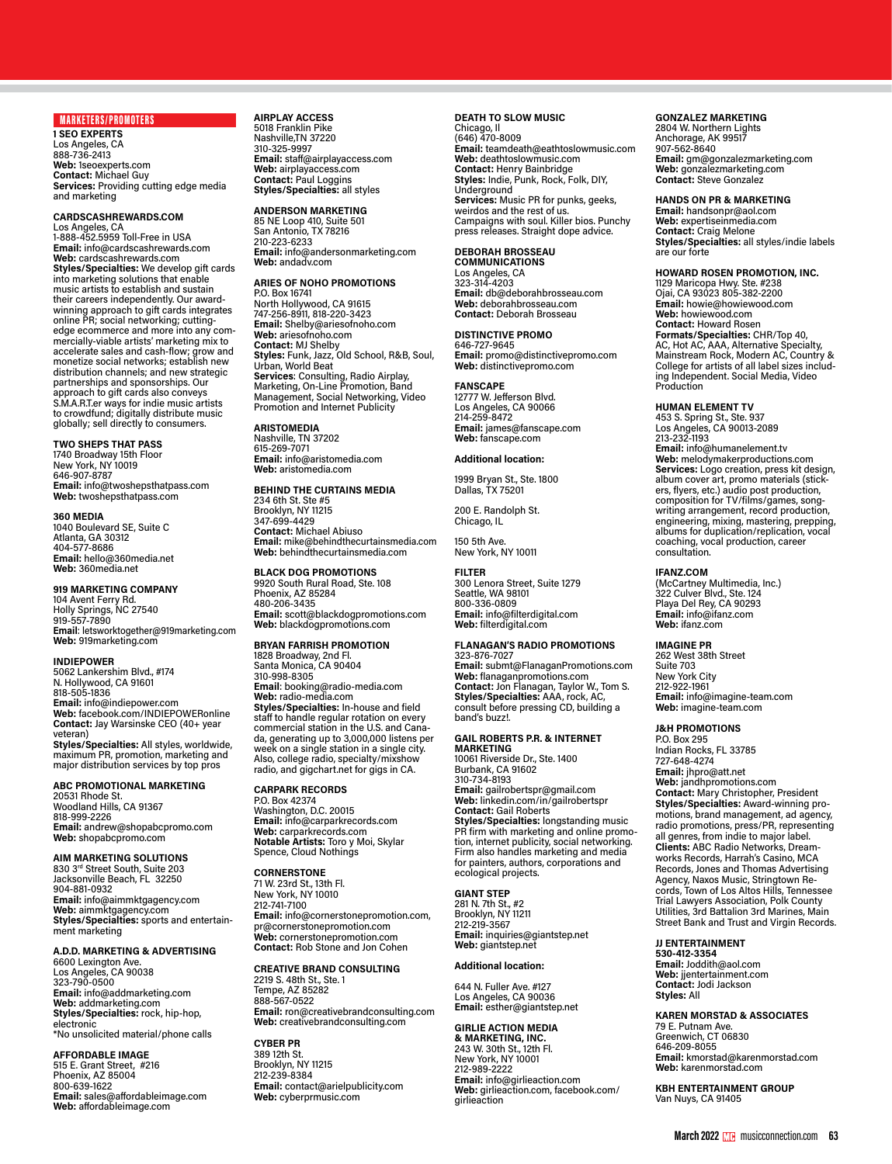# MARKETERS/PROMOTERS

**1 SEO EXPERTS** Los Angeles, CA 888-736-2413 **Web:** 1seoexperts.com **Contact:** Michael Guy **Services:** Providing cutting edge media and marketing

# **CARDSCASHREWARDS.COM**

Los Angeles, CA 1-888-452.5959 Toll-Free in USA **Email:** info@cardscashrewards.com **Web:** cardscashrewards.com **Styles/Specialties:** We develop gift cards into marketing solutions that enable music artists to establish and sustain their careers independently. Our awardwinning approach to gift cards integrates online PR; social networking; cuttingmercially-viable artists' marketing mix to accelerate sales and cash-flow; grow and monetize social networks; establish new distribution channels; and new strategic partnerships and sponsorships. Our approach to gift cards also conveys S.M.A.R.T.er ways for indie music artists to crowdfund; digitally distribute music globally; sell directly to consumers.

# **TWO SHEPS THAT PASS**

1740 Broadway 15th Floor New York, NY 10019 646-907-8787 **Email:** info@twoshepsthatpass.com **Web:** twoshepsthatpass.com

## **360 MEDIA**

1040 Boulevard SE, Suite C Atlanta, GA 30312 404-577-8686 **Email:** hello@360media.net **Web:** 360media.net

# **919 MARKETING COMPANY**

104 Avent Ferry Rd. Holly Springs, NC 27540 919-557-7890 **Email**: letsworktogether@919marketing.com **Web:** 919marketing.com

## **INDIEPOWER**

5062 Lankershim Blvd., #174 N. Hollywood, CA 91601 818-505-1836 **Email:** info@indiepower.com **Web:** facebook.com/INDIEPOWERonline **Contact:** Jay Warsinske CEO (40+ year veteran) **Styles/Specialties:** All styles, worldwide,

maximum PR, promotion, marketing and major distribution services by top pros

# **ABC PROMOTIONAL MARKETING**

20531 Rhode St. Woodland Hills, CA 91367 818-999-2226 **Email:** andrew@shopabcpromo.com **Web:** shopabcpromo.com

**AIM MARKETING SOLUTIONS** 830 3rd Street South, Suite 203 Jacksonville Beach, FL 32250 904-881-0932 **Email:** info@aimmktgagency.com **Web:** aimmktgagency.com **Styles/Specialties:** sports and entertain- ment marketing

# **A.D.D. MARKETING & ADVERTISING**

6600 Lexington Ave. Los Angeles, CA 90038 323-790-0500 **Email:** info@addmarketing.com **Web:** addmarketing.com **Styles/Specialties:** rock, hip-hop, ectronic \*No unsolicited material/phone calls

**AFFORDABLE IMAGE** 515 E. Grant Street, #216 Phoenix, AZ 85004 800-639-1622 **Email:** sales@affordableimage.com **Web:** affordableimage.com

# **AIRPLAY ACCESS** 5018 Franklin Pike

Nashville,TN 37220 310-325-9997 **Email:** staff@airplayaccess.com **Web:** airplayaccess.com **Contact:** Paul Loggins **Styles/Specialties:** all styles

# **ANDERSON MARKETING**

85 NE Loop 410, Suite 501 San Antonio, TX 78216 210-223-6233 **Email:** info@andersonmarketing.com **Web:** andadv.com

# **ARIES OF NOHO PROMOTIONS**

P.O. Box 16741 North Hollywood, CA 91615 747-256-8911, 818-220-3423 **Email:** Shelby@ariesofnoho.com **Web:** ariesofnoho.com **Contact:** MJ Shelby **Styles:** Funk, Jazz, Old School, R&B, Soul, Urban, World Beat **Services**: Consulting, Radio Airplay,<br>Marketing, On-Line Promotion, Band<br>Management, Social Networking, Video Promotion and Internet Publicity

# **ARISTOMEDIA**

Nashville, TN 37202 615-269-7071 **Email:** info@aristomedia.com **Web:** aristomedia.com

# **BEHIND THE CURTAINS MEDIA**

234 6th St. Ste #5 Brooklyn, NY 11215 347-699-4429 **Contact:** Michael Abiuso **Email:** mike@behindthecurtainsmedia.com **Web:** behindthecurtainsmedia.com

# **BLACK DOG PROMOTIONS**

9920 South Rural Road, Ste. 108 Phoenix, AZ 85284 480-206-3435 **Email:** scott@blackdogpromotions.com **Web:** blackdogpromotions.com

# **BRYAN FARRISH PROMOTION**

1828 Broadway, 2nd Fl. Santa Monica, CA 90404 310-998-8305 **Email**: booking@radio-media.com **Web:** radio-media.com **Styles/Specialties:** In-house and field staff to handle regular rotation on every commercial station in the U.S. and Cana- da, generating up to 3,000,000 listens per week on a single station in a single city. Also, college radio, specialty/mixshow radio, and gigchart.net for gigs in CA.

# **CARPARK RECORDS**

P.O. Box 42374 Washington, D.C. 20015 **Email:** info@carparkrecords.com **Web:** carparkrecords.com **Notable Artists:** Toro y Moi, Skylar Spence, Cloud Nothings

**CORNERSTONE** 71 W. 23rd St., 13th Fl. New York, NY 10010 212-741-7100 **Email:** info@cornerstonepromotion.com, pr@cornerstonepromotion.com **Web:** cornerstonepromotion.com **Contact:** Rob Stone and Jon Cohen

# **CREATIVE BRAND CONSULTING** 2219 S. 48th St., Ste. 1 Tempe, AZ 85282 888-567-0522 **Email:** ron@creativebrandconsulting.com **Web:** creativebrandconsulting.com

**CYBER PR** 389 12th St. Brooklyn, NY 11215 212-239-8384 **Email:** contact@arielpublicity.com **Web:** cyberprmusic.com

# **DEATH TO SLOW MUSIC**

Chicago, II<br>(646) 470-8009<br>**Email:** teamdeath@eathtoslowmusic.com **Web:** deathtoslowmusic.com **Contact:** Henry Bainbridge **Styles:** Indie, Punk, Rock, Folk, DIY, Underground **Services:** Music PR for punks, geeks, weirdos and the rest of us. Campaigns with soul. Killer bios. Punchy press releases. Straight dope advice.

# **DEBORAH BROSSEAU COMMUNICATIONS**

Los Angeles, CA 323-314-4203 **Email:** db@deborahbrosseau.com **Web:** deborahbrosseau.com **Contact:** Deborah Brosseau

# **DISTINCTIVE PROMO**

646-727-9645 **Email:** promo@distinctivepromo.com **Web:** distinctivepromo.com

**FANSCAPE** 12777 W. Jefferson Blvd. Los Angeles, CA 90066 214-259-8472 **Email:** james@fanscape.com **Web:** fanscape.com

# **Additional location:**

1999 Bryan St., Ste. 1800 Dallas, TX 75201 200 E. Randolph St. Chicago, IL

150 5th Ave. New York, NY 10011

# **FILTER**

300 Lenora Street, Suite 1279 Seattle, WA 98101 800-336-0809 **Email:** info@filterdigital.com **Web:** filterdigital.com

# **FLANAGAN'S RADIO PROMOTIONS**

323-876-7027 **Email:** submt@FlanaganPromotions.com **Web:** flanaganpromotions.com **Contact:** Jon Flanagan, Taylor W., Tom S. **Styles/Specialties:** AAA, rock, AC, consult before pressing CD, building a band's buzz!.

# **GAIL ROBERTS P.R. & INTERNET**

**MARKETING** 10061 Riverside Dr., Ste. 1400 Burbank, CA 91602 310-734-8193 **Email:** gailrobertspr@gmail.com **Web:** linkedin.com/in/gailrobertspr **Contact:** Gail Roberts **Styles/Specialties:** longstanding music<br>PR firm with marketing and online promo-<br>tion, internet publicity, social networking. Firm also handles marketing and media

for painters, authors, corporations and

# ecological projects.

**GIANT STEP** 281 N. 7th St., #2 Brooklyn, NY 11211 212-219-3567 **Email:** inquiries@giantstep.net **Web:** giantstep.net

# **Additional location:**

644 N. Fuller Ave. #127 Los Angeles, CA 90036 **Email:** esther@giantstep.net

# **GIRLIE ACTION MEDIA**

**& MARKETING, INC.** 243 W. 30th St., 12th Fl. New York, NY 10001 212-989-2222 **Email:** info@girlieaction.com **Web:** girlieaction.com, facebook.com/ girlieaction

# **GONZALEZ MARKETING**

2804 W. Northern Lights Anchorage, AK 99517 907-562-8640 **Email:** gm@gonzalezmarketing.com **Web:** gonzalezmarketing.com **Contact:** Steve Gonzalez

# **HANDS ON PR & MARKETING**

**Email:** handsonpr@aol.com **Web:** expertiseinmedia.com **Contact:** Craig Melone **Styles/Specialties:** all styles/indie labels are our forte

# **HOWARD ROSEN PROMOTION, INC.**

1129 Maricopa Hwy. Ste. #238 Ojai, CA 93023 805-382-2200 **Email:** howie@howiewood.com **Web:** howiewood.com **Contact:** Howard Rosen **Formats/Specialties:** CHR/Top 40, AC, Hot AC, AAA, Alternative Specialty,<br>Mainstream Rock, Modern AC, Country &<br>College for artists of all label sizes includ-<br>ing Independent. Social Media, Video Production

# **HUMAN ELEMENT TV**

453 S. Spring St., Ste. 937 Los Angeles, CA 90013-2089 213-232-1193 **Email:** info@humanelement.tv **Web:** melodymakerproductions.com **Services:** Logo creation, press kit design, album cover art, promo materials (stick-ers, flyers, etc.) audio post production, composition for TV/films/games, songwriting arrangement, record production, engineering, mixing, mastering, prepping, albums for duplication/replication, vocal coaching, vocal production, career consultation.

**IFANZ.COM** (McCartney Multimedia, Inc.) 322 Culver Blvd., Ste. 124 Playa Del Rey, CA 90293 **Email:** info@ifanz.com **Web:** ifanz.com

# **IMAGINE PR**

262 West 38th Street Suite 703 New York City 212-922-1961 **Email:** info@imagine-team.com **Web:** imagine-team.com

# **J&H PROMOTIONS**

P.O. Box 295 Indian Rocks, FL 33785 727-648-4274 **Email:** jhpro@att.net **Web:** jandhpromotions.com **Contact:** Mary Christopher, President **Styles/Specialties:** Award-winning promotions, brand management, ad agency, radio promotions, press/PR, representing all genres, from indie to major label. **Clients:** ABC Radio Networks, Dreamworks Records, Harrah's Casino, MCA Records, Jones and Thomas Advertising Agency, Naxos Music, Stringtown Re-cords, Town of Los Altos Hills, Tennessee Trial Lawyers Association, Polk County Utilities, 3rd Battalion 3rd Marines, Main Street Bank and Trust and Virgin Records.

# **JJ ENTERTAINMENT**

**530-412-3354 Email:** Joddith@aol.com **Web:** jjentertainment.com **Contact:** Jodi Jackson **Styles:** All

# **KAREN MORSTAD & ASSOCIATES**

79 E. Putnam Ave. Greenwich, CT 06830 646-209-8055 **Email:** kmorstad@karenmorstad.com **Web:** karenmorstad.com

**KBH ENTERTAINMENT GROUP** Van Nuys, CA 91405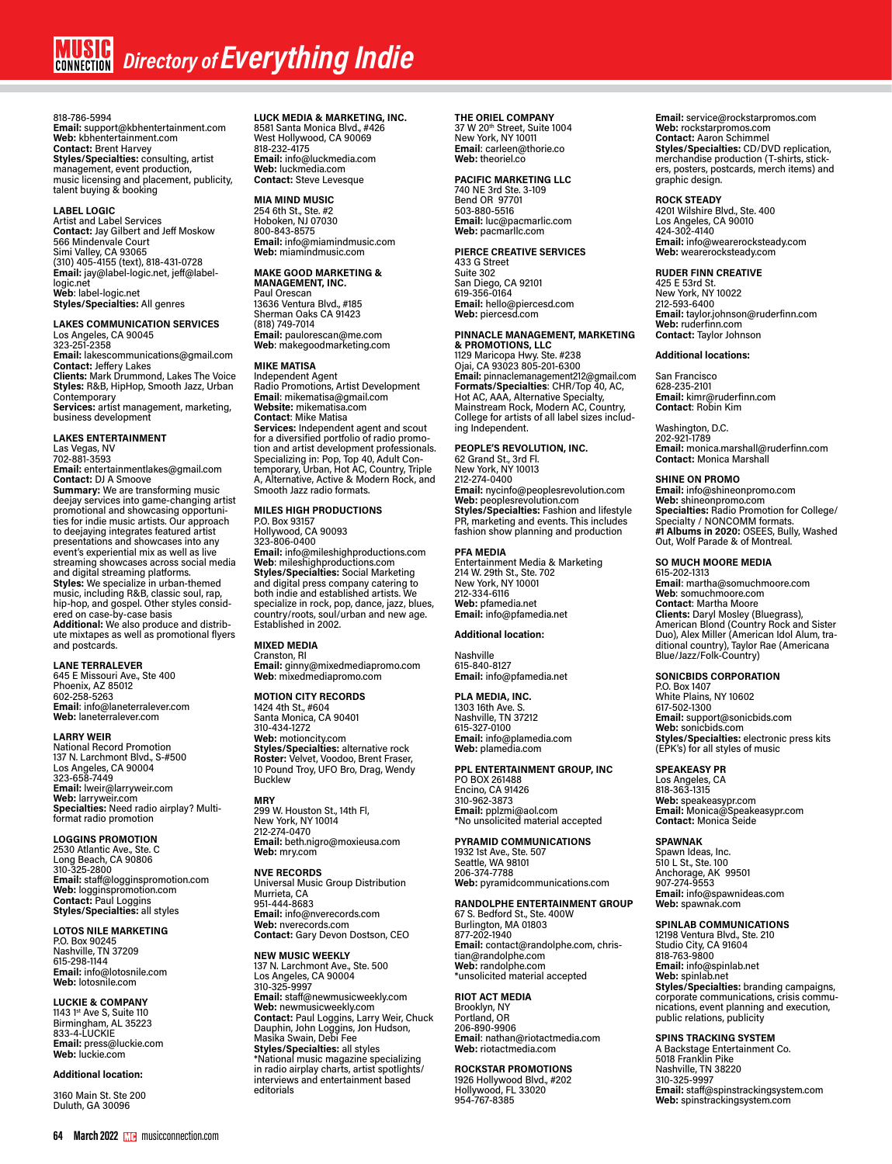# 818-786-5994

**Email:** support@kbhentertainment.com **Web:** kbhentertainment.com **Contact:** Brent Harvey **Styles/Specialties:** consulting, artist management, event production, music licensing and placement, publicity, talent buying & booking

# **LABEL LOGIC**

Artist and Label Services **Contact:** Jay Gilbert and Jeff Moskow 566 Mindenvale Court Simi Valley, CA 93065<br>(310) 405-4155 (text), 818-431-0728<br>**Email:** jay@label-logic.net, jeff@labellogic.net **Web**: label-logic.net **Styles/Specialties:** All genres

# **LAKES COMMUNICATION SERVICES** Los Angeles, CA 90045 323-251-2358

**Email:** lakescommunications@gmail.com **Contact:** Jeffery Lakes **Clients:** Mark Drummond, Lakes The Voice **Styles:** R&B, HipHop, Smooth Jazz, Urban Contemporary **Services:** artist management, marketing,

business development

# **LAKES ENTERTAINMENT**

Las Vegas, NV 702-881-3593

**Email:** entertainmentlakes@gmail.com **Contact:** DJ A Smoove **Summary:** We are transforming music deejay services into game-changing artist promotional and showcasing opportuni-ties for indie music artists. Our approach to deejaying integrates featured artist presentations and showcases into any event's experiential mix as well as live streaming showcases across social media and digital streaming platforms. **Styles:** We specialize in urban-themed music, including R&B, classic soul, rap, hip-hop, and gospel. Other styles consid-ered on case-by-case basis

**Additional:** We also produce and distribute mixtapes as well as promotional flyers and postcards.

**LANE TERRALEVER**<br>645 E Missouri Ave., Ste 400<br>Phoenix, AZ 85012<br>602-258-5263 **Email**: info@laneterralever.com **Web:** laneterralever.com

# **LARRY WEIR**

National Record Promotion 137 N. Larchmont Blvd., S-#500 Los Angeles, CA 90004 323-658-7449 **Email:** lweir@larryweir.com **Web:** larryweir.com **Specialties:** Need radio airplay? Multi-format radio promotion

# **LOGGINS PROMOTION**

2530 Atlantic Ave., Ste. C Long Beach, CA 90806 310-325-2800 **Email:** staff@logginspromotion.com **Web:** logginspromotion.com **Contact:** Paul Loggins **Styles/Specialties:** all styles

# **LOTOS NILE MARKETING**

P.O. Box 90245 Nashville, TN 37209 615-298-1144 **Email:** info@lotosnile.com **Web:** lotosnile.com

# **LUCKIE & COMPANY**

1143 1st Ave S, Suite 110 Birmingham, AL 35223 833-4-LUCKIE **Email:** press@luckie.com **Web:** luckie.com

# **Additional location:**

3160 Main St. Ste 200 Duluth, GA 30096

# **64 March 2022** musicconnection.com **March 2022** musicconnection.com **65**

**LUCK MEDIA & MARKETING, INC.** 8581 Santa Monica Blvd., #426 West Hollywood, CA 90069 818-232-4175 **Email:** info@luckmedia.com **Web:** luckmedia.com **Contact:** Steve Levesque

**MIA MIND MUSIC** 254 6th St., Ste. #2 Hoboken, NJ 07030 800-843-8575 **Email:** info@miamindmusic.com **Web:** miamindmusic.com

# **MAKE GOOD MARKETING & MANAGEMENT, INC.**

Paul Orescan 13636 Ventura Blvd., #185 Sherman Oaks CA 91423 (818) 749-7014 **Email:** paulorescan@me.com **Web**: makegoodmarketing.com

# **MIKE MATISA**

Independent Agent Radio Promotions, Artist Development **Email**: mikematisa@gmail.com **Website:** mikematisa.com **Contact**: Mike Matisa **Services:** Independent agent and scout for a diversified portfolio of radio promotion and artist development professionals. Specializing in: Pop, Top 40, Adult Con-temporary, Urban, Hot AC, Country, Triple A, Alternative, Active & Modern Rock, and Smooth Jazz radio formats.

# **MILES HIGH PRODUCTIONS**

P.O. Box 93157 Hollywood, CA 90093

323-806-0400 **Email:** info@mileshighproductions.com **Web**: mileshighproductions.com **Styles/Specialties:** Social Marketing and digital press company catering to both indie and established artists. We specialize in rock, pop, dance, jazz, blues, country/roots, soul/urban and new age. Established in 2002.

# **MIXED MEDIA**

Cranston, RI **Email:** ginny@mixedmediapromo.com **Web**: mixedmediapromo.com

# **MOTION CITY RECORDS** 1424 4th St., #604

Santa Monica, CA 90401 310-434-1272 **Web:** motioncity.com **Styles/Specialties:** alternative rock **Roster:** Velvet, Voodoo, Brent Fraser, 10 Pound Troy, UFO Bro, Drag, Wendy Bucklew

**MRY** 299 W. Houston St., 14th Fl, New York, NY 10014 212-274-0470 **Email:** beth.nigro@moxieusa.com **Web:** mry.com

**NVE RECORDS** Universal Music Group Distribution Murrieta, CA 951-444-8683 **Email:** info@nverecords.com **Web:** nverecords.com **Contact:** Gary Devon Dostson, CEO

**NEW MUSIC WEEKLY** 137 N. Larchmont Ave., Ste. 500 Los Angeles, CA 90004 310-325-9997 **Email:** staff@newmusicweekly.com **Web:** newmusicweekly.com<br>**Contact:** Paul Loggins, Larry Weir, Chuck<br>Dauphin, John Loggins, Jon Hudson,<br>Masika Swain, Debi Fee<br>**Styles/Specialties:** all styles \*National music magazine specializing in radio airplay charts, artist spotlights/ interviews and entertainment based editorials

# **THE ORIEL COMPANY**

37 W 20th Street, Suite 1004 New York, NY 10011 **Email**: carleen@thorie.co **Web:** theoriel.co

# **PACIFIC MARKETING LLC**

740 NE 3rd Ste. 3-109 Bend OR 97701 503-880-5516 **Email:** luc@pacmarlic.com **Web:** pacmarllc.com

## **PIERCE CREATIVE SERVICES** 433 G Street

Suite 302 San Diego, CA 92101 619-356-0164 **Email:** hello@piercesd.com **Web:** piercesd.com

# **PINNACLE MANAGEMENT, MARKETING & PROMOTIONS, LLC**

1129 Maricopa Hwy. Ste. #238 Ojai, CA 93023 805-201-6300 **Email:** pinnaclemanagement212@gmail.com<br>**Formats/Specialties**: CHR/Top 40, AC,<br>Hot AC, AAA, Alternative Specialty, Mainstream Rock, Modern AC, Country, College for artists of all label sizes includ-ing Independent.

# **PEOPLE'S REVOLUTION, INC.** 62 Grand St., 3rd Fl.

New York, NY 10013 212-274-0400 **Email:** nycinfo@peoplesrevolution.com **Web:** peoplesrevolution.com **Styles/Specialties:** Fashion and lifestyle PR, marketing and events. This includes fashion show planning and production

# **PFA MEDIA**

Entertainment Media & Marketing 214 W. 29th St., Ste. 702 New York, NY 10001 212-334-6116 **Web:** pfamedia.net **Email:** info@pfamedia.net

# **Additional location:**

Nashville 615-840-8127 **Email:** info@pfamedia.net

**PLA MEDIA, INC.** 1303 16th Ave. S. Nashville, TN 37212 615-327-0100 **Email:** info@plamedia.com **Web:** plamedia.com

# **PPL ENTERTAINMENT GROUP, INC**

PO BOX 261488 Encino, CA 91426 310-962-3873 **Email:** pplzmi@aol.com \*No unsolicited material accepted

# **PYRAMID COMMUNICATIONS**

1932 1st Ave., Ste. 507 Seattle, WA 98101 206-374-7788 **Web:** pyramidcommunications.com

# **RANDOLPHE ENTERTAINMENT GROUP**

67 S. Bedford St., Ste. 400W Burlington, MA 01803 877-202-1940 **Email:** contact@randolphe.com, christian@randolphe.com **Web:** randolphe.com \*unsolicited material accepted

# **RIOT ACT MEDIA**

Brooklyn, NY Portland, OR 206-890-9906 **Email**: nathan@riotactmedia.com **Web:** riotactmedia.com

#### **ROCKSTAR PROMOTIONS**  1926 Hollywood Blvd., #202

Hollywood, FL 33020 954-767-8385

**Email:** service@rockstarpromos.com **Web:** rockstarpromos.com **Contact:** Aaron Schimmel **Styles/Specialties:** CD/DVD replication, merchandise production (T-shirts, stickers, posters, postcards, merch items) and graphic design.

**ROCK STEADY** 4201 Wilshire Blvd., Ste. 400 Los Angeles, CA 90010 424-302-4140 **Email:** info@wearerocksteady.com **Web:** wearerocksteady.com

# **RUDER FINN CREATIVE**

425 E 53rd St. New York, NY 10022 212-593-6400 **Email:** taylor.johnson@ruderfinn.com **Web:** ruderfinn.com **Contact:** Taylor Johnson

# **Additional locations:**

San Francisco 628-235-2101 **Email:** kimr@ruderfinn.com **Contact**: Robin Kim

Washington, D.C. 202-921-1789 **Email:** monica.marshall@ruderfinn.com **Contact:** Monica Marshall

**SHINE ON PROMO Email:** info@shineonpromo.com **Web:** shineonpromo.com **Specialties:** Radio Promotion for College/ Specialty / NONCOMM formats. **#1 Albums in 2020:** OSEES, Bully, Washed Out, Wolf Parade & of Montreal.

# **SO MUCH MOORE MEDIA**

615-202-1313 **Email**: martha@somuchmoore.com **Web**: somuchmoore.com **Cinents:** Daryl Mosley (Bluegrass),<br>American Blond (Country Rock and Sister<br>Duo), Alex Miller (American Idol Alum, tra-<br>ditional country), Taylor Rae (Americana<br>Blue/Jazz/Folk-Country)

# **SONICBIDS CORPORATION**

P.O. Box 1407 White Plains, NY 10602 617-502-1300 **Email:** support@sonicbids.com **Web:** sonicbids.com **Styles/Specialties:** electronic press kits (EPK's) for all styles of music

# **SPEAKEASY PR**

Los Angeles, CA 818-363-1315 **Web:** speakeasypr.com **Email:** Monica@Speakeasypr.com **Contact:** Monica Seide

# **SPAWNAK**

Spawn Ideas, Inc. 510 L St., Ste. 100 Anchorage, AK 99501 907-274-9553 **Email:** info@spawnideas.com **Web:** spawnak.com

# **SPINLAB COMMUNICATIONS**

12198 Ventura Blvd., Ste. 210 Studio City, CA 91604 818-763-9800 **Email:** info@spinlab.net **Web:** spinlab.net **Styles/Specialties:** branding campaigns, corporate communications, crisis communications, event planning and execution, public relations, publicity

**SPINS TRACKING SYSTEM** A Backstage Entertainment Co. 5018 Franklin Pike Nashville, TN 38220 310-325-9997 **Email:** staff@spinstrackingsystem.com **Web:** spinstrackingsystem.com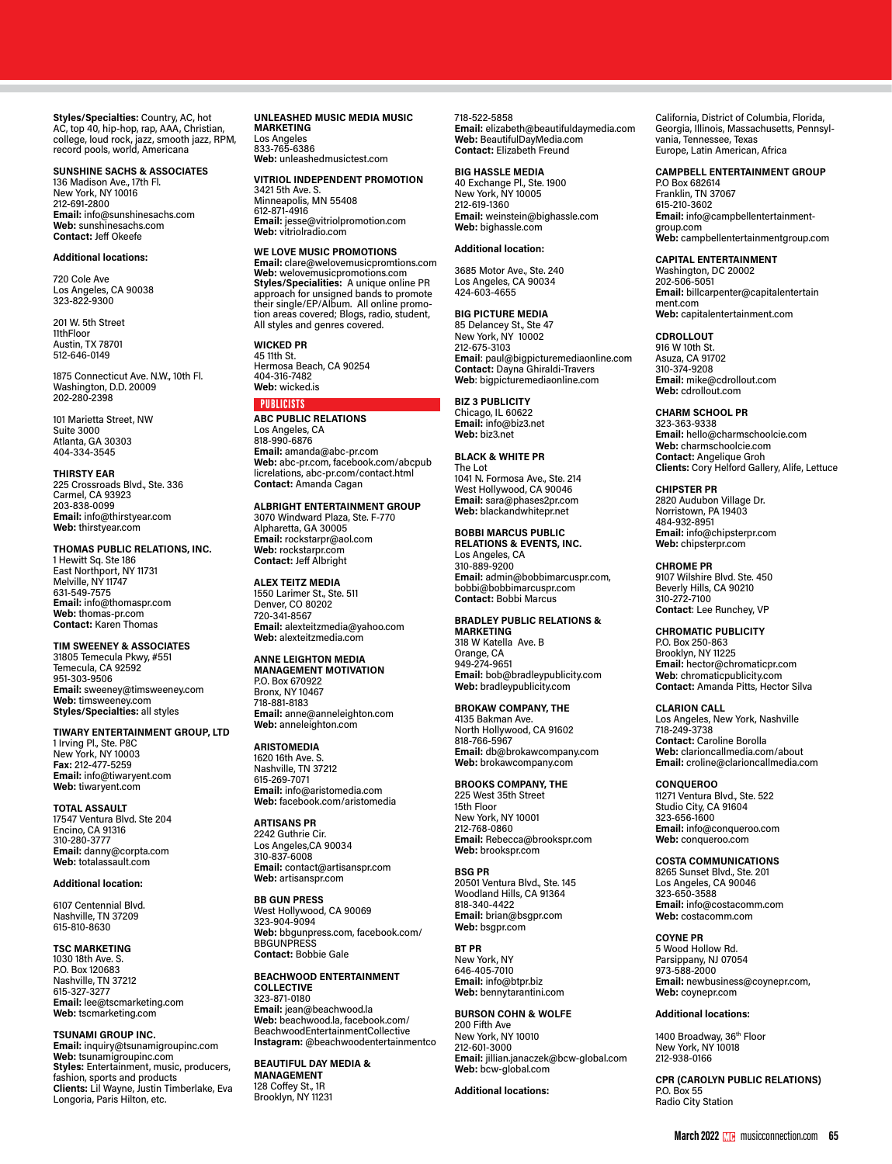**Styles/Specialties:** Country, AC, hot AC, top 40, hip-hop, rap, AAA, Christian, college, loud rock, jazz, smooth jazz, RPM, record pools, world, Americana

# **SUNSHINE SACHS & ASSOCIATES**

136 Madison Ave., 17th Fl. New York, NY 10016 212-691-2800 **Email:** info@sunshinesachs.com **Web:** sunshinesachs.com **Contact:** Jeff Okeefe

# **Additional locations:**

720 Cole Ave Los Angeles, CA 90038 323-822-9300

201 W. 5th Street 11thFloor Austin, TX 78701 512-646-0149

1875 Connecticut Ave. N.W., 10th Fl. Washington, D.D. 20009 202-280-2398

101 Marietta Street, NW Suite 3000 Atlanta, GA 30303 404-334-3545

#### **THIRSTY EAR**

225 Crossroads Blvd., Ste. 336 Carmel, CA 93923 203-838-0099 **Email:** info@thirstyear.com **Web:** thirstyear.com

# **THOMAS PUBLIC RELATIONS, INC.**

1 Hewitt Sq. Ste 186 East Northport, NY 11731 Melville, NY 11747 631-549-7575 **Email:** info@thomaspr.com **Web:** thomas-pr.com **Contact:** Karen Thomas

# **TIM SWEENEY & ASSOCIATES**

31805 Temecula Pkwy, #551 Temecula, CA 92592 951-303-9506 **Email:** sweeney@timsweeney.com **Web:** timsweeney.com **Styles/Specialties:** all styles

**TIWARY ENTERTAINMENT GROUP, LTD**

1 Irving Pl., Ste. P8C New York, NY 10003 **Fax:** 212-477-5259 **Email:** info@tiwaryent.com **Web:** tiwaryent.com

# **TOTAL ASSAULT**

17547 Ventura Blvd. Ste 204 Encino, CA 91316 310-280-3777 **Email:** danny@corpta.com **Web:** totalassault.com

# **Additional location:**

6107 Centennial Blvd. Nashville, TN 37209 615-810-8630

# **TSC MARKETING**

1030 18th Ave. S. P.O. Box 120683 Nashville, TN 37212 615-327-3277 **Email:** lee@tscmarketing.com **Web:** tscmarketing.com

## **TSUNAMI GROUP INC.**

**Email:** inquiry@tsunamigroupinc.com **Web:** tsunamigroupinc.com **Styles:** Entertainment, music, producers, fashion, sports and products **Clients:** Lil Wayne, Justin Timberlake, Eva Longoria, Paris Hilton, etc.

# **UNLEASHED MUSIC MEDIA MUSIC MARKETING** Los Angeles 833-765-6386

**Web:** unleashedmusictest.com

# **VITRIOL INDEPENDENT PROMOTION**

3421 5th Ave. S. Minneapolis, MN 55408 612-871-4916 **Email:** jesse@vitriolpromotion.com **Web:** vitriolradio.com

# **WE LOVE MUSIC PROMOTIONS**

**Email:** clare@welovemusicpromtions.com **Web:** welovemusicpromotions.com **Styles/Specialities:** A unique online PR approach for unsigned bands to promote<br>their single/EP/Album. All online promotheir single/EP/Album. All online promo-All styles and genres covered.

**WICKED PR** 45 11th St. Hermosa Beach, CA 90254 404-316-7482

# **Web:** wicked.is

PUBLICISTS **ABC PUBLIC RELATIONS** Los Angeles, CA 818-990-6876 **Email:** amanda@abc-pr.com **Web:** abc-pr.com, facebook.com/abcpub licrelations, abc-pr.com/contact.html **Contact:** Amanda Cagan

**ALBRIGHT ENTERTAINMENT GROUP** 3070 Windward Plaza, Ste. F-770 Alpharetta, GA 30005 **Email:** rockstarpr@aol.com **Web:** rockstarpr.com **Contact:** Jeff Albright

**ALEX TEITZ MEDIA** 1550 Larimer St., Ste. 511 Denver, CO 80202 720-341-8567 **Email:** alexteitzmedia@yahoo.com **Web:** alexteitzmedia.com

# **ANNE LEIGHTON MEDIA**

**MANAGEMENT MOTIVATION** P.O. Box 670922 Bronx, NY 10467 718-881-8183 **Email:** anne@anneleighton.com **Web:** anneleighton.com

# **ARISTOMEDIA**

1620 16th Ave. S. Nashville, TN 37212 615-269-7071 **Email:** info@aristomedia.com **Web:** facebook.com/aristomedia

**ARTISANS PR** 2242 Guthrie Cir. Los Angeles,CA 90034 310-837-6008 **Email:** contact@artisanspr.com **Web:** artisanspr.com

**BB GUN PRESS** West Hollywood, CA 90069 323-904-9094 **Web:** bbgunpress.com, facebook.com/ **BBGUNPRESS Contact:** Bobbie Gale

**BEACHWOOD ENTERTAINMENT COLLECTIVE** 323-871-0180 **Email:** jean@beachwood.la **Web:** beachwood.la, facebook.com/ BeachwoodEntertainmentCollective **Instagram:** @beachwoodentertainmentco

**BEAUTIFUL DAY MEDIA & MANAGEMENT** 128 Coffey St., 1R Brooklyn, NY 11231

# 718-522-5858

**Email:** elizabeth@beautifuldaymedia.com **Web:** BeautifulDayMedia.com **Contact:** Elizabeth Freund

# **BIG HASSLE MEDIA**

40 Exchange Pl., Ste. 1900 New York, NY 10005 212-619-1360 **Email:** weinstein@bighassle.com **Web:** bighassle.com

# **Additional location:**

3685 Motor Ave., Ste. 240 Los Angeles, CA 90034 424-603-4655

# **BIG PICTURE MEDIA**

85 Delancey St., Ste 47 New York, NY 10002 212-675-3103 **Email**: paul@bigpicturemediaonline.com **Contact:** Dayna Ghiraldi-Travers **Web**: bigpicturemediaonline.com

# **BIZ 3 PUBLICITY**

Chicago, IL 60622 **Email:** info@biz3.net **Web:** biz3.net

# **BLACK & WHITE PR**

The Lot 1041 N. Formosa Ave., Ste. 214 West Hollywood, CA 90046 **Email:** sara@phases2pr.com **Web:** blackandwhitepr.net

# **BOBBI MARCUS PUBLIC RELATIONS & EVENTS, INC.**

Los Angeles, CA 310-889-9200 **Email:** admin@bobbimarcuspr.com, bobbi@bobbimarcuspr.com **Contact:** Bobbi Marcus

# **BRADLEY PUBLIC RELATIONS &**

**MARKETING** 318 W Katella Ave. B Orange, CA 949-274-9651 **Email:** bob@bradleypublicity.com **Web:** bradleypublicity.com

## **BROKAW COMPANY, THE**

4135 Bakman Ave. North Hollywood, CA 91602 818-766-5967 **Email:** db@brokawcompany.com **Web:** brokawcompany.com

# **BROOKS COMPANY, THE** 225 West 35th Street 15th Floor New York, NY 10001 212-768-0860 **Email:** Rebecca@brookspr.com **Web:** brookspr.com

**BSG PR** 20501 Ventura Blvd., Ste. 145 Woodland Hills, CA 91364 818-340-4422 **Email:** brian@bsgpr.com **Web:** bsgpr.com

**BT PR** New York, NY 646-405-7010 **Email:** info@btpr.biz **Web:** bennytarantini.com

# **BURSON COHN & WOLFE** 200 Fifth Ave

New York, NY 10010 212-601-3000 **Email:** jillian.janaczek@bcw-global.com **Web:** bcw-global.com

**Additional locations:**

California, District of Columbia, Florida, Georgia, Illinois, Massachusetts, Pennsylvania, Tennessee, Texas Europe, Latin American, Africa

# **CAMPBELL ENTERTAINMENT GROUP**

P.O Box 682614 Franklin, TN 37067 615-210-3602 **Email:** info@campbellentertainmentgroup.com **Web:** campbellentertainmentgroup.com

# **CAPITAL ENTERTAINMENT**

Washington, DC 20002 202-506-5051 **Email:** billcarpenter@capitalentertain ment.com **Web:** capitalentertainment.com

# **CDROLLOUT**

916 W 10th St. Asuza, CA 91702 310-374-9208 **Email:** mike@cdrollout.com **Web:** cdrollout.com

# **CHARM SCHOOL PR**

323-363-9338 **Email:** hello@charmschoolcie.com **Web:** charmschoolcie.com **Contact:** Angelique Groh **Clients:** Cory Helford Gallery, Alife, Lettuce

# **CHIPSTER PR**

2820 Audubon Village Dr. Norristown, PA 19403 484-932-8951 **Email:** info@chipsterpr.com **Web:** chipsterpr.com

# **CHROME PR**

9107 Wilshire Blvd. Ste. 450 Beverly Hills, CA 90210 310-272-7100 **Contact**: Lee Runchey, VP

# **CHROMATIC PUBLICITY**

P.O. Box 250-863 Brooklyn, NY 11225 **Email:** hector@chromaticpr.com **Web**: chromaticpublicity.com **Contact:** Amanda Pitts, Hector Silva

#### **CLARION CALL**

Los Angeles, New York, Nashville 718-249-3738 **Contact:** Caroline Borolla **Web:** clarioncallmedia.com/about **Email:** croline@clarioncallmedia.com

# **CONQUEROO**

11271 Ventura Blvd., Ste. 522 Studio City, CA 91604 323-656-1600 **Email:** info@conqueroo.com **Web:** conqueroo.com

# **COSTA COMMUNICATIONS**

8265 Sunset Blvd., Ste. 201 Los Angeles, CA 90046 323-650-3588 **Email:** info@costacomm.com **Web:** costacomm.com

# **COYNE PR**

5 Wood Hollow Rd. Parsippany, NJ 07054 973-588-2000 **Email:** newbusiness@coynepr.com, **Web:** coynepr.com

# **Additional locations:**

1400 Broadway, 36<sup>th</sup> Floor New York, NY 10018 212-938-0166

**CPR (CAROLYN PUBLIC RELATIONS)** P.O. Box 55 Radio City Station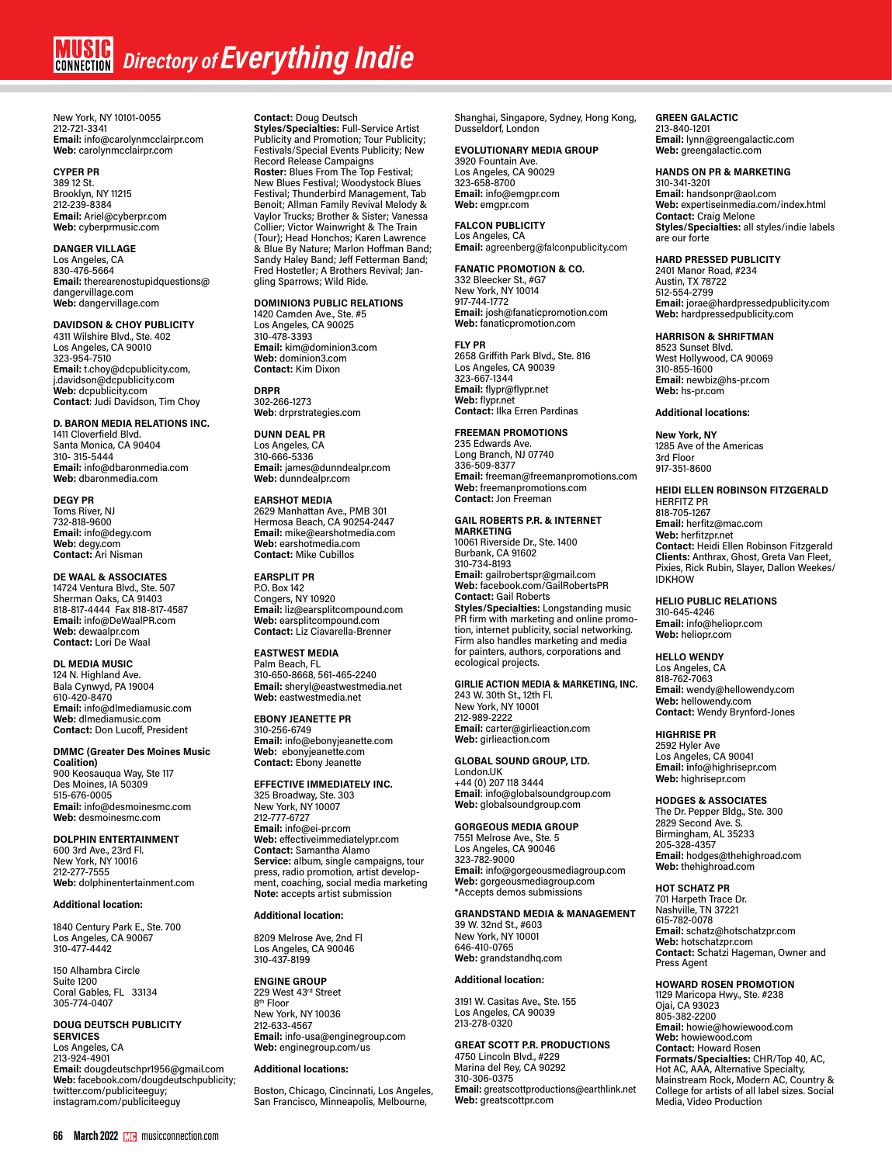New York, NY 10101-0055 212-721-3341 **Email:** info@carolynmcclairpr.com **Web:** carolynmcclairpr.com

# **CYPER PR**

389 12 St. Brooklyn, NY 11215 212-239-8384 **Email:** Ariel@cyberpr.com **Web:** cyberprmusic.com

# **DANGER VILLAGE**

Los Angeles, CA 830-476-5664 **Email:** therearenostupidquestions@ dangervillage.com **Web:** dangervillage.com

# **DAVIDSON & CHOY PUBLICITY**

4311 Wilshire Blvd., Ste. 402 Los Angeles, CA 90010 323-954-7510 **Email:** t.choy@dcpublicity.com, j.davidson@dcpublicity.com **Web:** dcpublicity.com **Contact**: Judi Davidson, Tim Choy

# **D. BARON MEDIA RELATIONS INC.**

1411 Cloverfield Blvd. Santa Monica, CA 90404 310- 315-5444 **Email:** info@dbaronmedia.com **Web:** dbaronmedia.com

# **DEGY PR**

Toms River, NJ 732-818-9600 **Email:** info@degy.com **Web:** degy.com **Contact:** Ari Nisman

# **DE WAAL & ASSOCIATES**

14724 Ventura Blvd., Ste. 507 Sherman Oaks, CA 91403 818-817-4444 Fax 818-817-4587 **Email:** info@DeWaalPR.com **Web:** dewaalpr.com **Contact:** Lori De Waal

**DL MEDIA MUSIC** 124 N. Highland Ave. Bala Cynwyd, PA 19004 610-420-8470 **Email:** info@dlmediamusic.com **Web:** dlmediamusic.com **Contact:** Don Lucoff, President

**DMMC (Greater Des Moines Music Coalition)** 900 Keosaugua Way, Ste 117 Des Moines, IA 50309 515-676-0005 **Email:** info@desmoinesmc.com **Web:** desmoinesmc.com

**DOLPHIN ENTERTAINMENT** 600 3rd Ave., 23rd Fl. New York, NY 10016 212-277-7555 **Web:** dolphinentertainment.com

# **Additional location:**

1840 Century Park E., Ste. 700 Los Angeles, CA 90067 310-477-4442

150 Alhambra Circle Suite 1200 Coral Gables, FL 33134 305-774-0407

## **DOUG DEUTSCH PUBLICITY SERVICES**

Los Angeles, CA 213-924-4901 **Email:** dougdeutschpr1956@gmail.com **Web:** facebook.com/dougdeutschpublicity; twitter.com/publiciteeguy; instagram.com/publiciteeguy

**Contact:** Doug Deutsch **Styles/Specialties:** Full-Service Artist Publicity and Promotion; Tour Publicity; Festivals/Special Events Publicity; New Record Release Campaigns **Roster:** Blues From The Top Festival; New Blues Festival; Woodystock Blues Festival; Thunderbird Management, Tab Benoit; Allman Family Revival Melody & Vaylor Trucks; Brother & Sister; Vanessa Collier; Victor Wainwright & The Train (Tour); Head Honchos; Karen Lawrence & Blue By Nature; Marlon Hoffman Band; Sandy Haley Band; Jeff Fetterman Band; Fred Hostetler; A Brothers Revival; Jangling Sparrows; Wild Ride.

# **DOMINION3 PUBLIC RELATIONS**

1420 Camden Ave., Ste. #5 Los Angeles, CA 90025 310-478-3393 **Email:** kim@dominion3.com **Web:** dominion3.com **Contact:** Kim Dixon

**DRPR** 302-266-1273 **Web**: drprstrategies.com

**DUNN DEAL PR** Los Angeles, CA 310-666-5336 **Email:** james@dunndealpr.com **Web:** dunndealpr.com

# **EARSHOT MEDIA** 2629 Manhattan Ave., PMB 301

Hermosa Beach, CA 90254-2447 **Email:** mike@earshotmedia.com **Web:** earshotmedia.com **Contact:** Mike Cubillos

# **EARSPLIT PR**

P.O. Box 142 Congers, NY 10920 **Email:** liz@earsplitcompound.com **Web:** earsplitcompound.com **Contact:** Liz Ciavarella-Brenner

**EASTWEST MEDIA** Palm Beach, FL 310-650-8668, 561-465-2240 **Email:** sheryl@eastwestmedia.net **Web:** eastwestmedia.net

**EBONY JEANETTE PR** 310-256-6749 **Email:** info@ebonyjeanette.com **Web:** ebonyjeanette.com **Contact:** Ebony Jeanette

# **EFFECTIVE IMMEDIATELY INC.** 325 Broadway, Ste. 303 New York, NY 10007 212-777-6727 **Email:** info@ei-pr.com **Web:** effectiveimmediatelypr.com **Contact:** Samantha Alamo **Service:** album, single campaigns, tour press, radio promotion, artist development, coaching, social media marketing **Note:** accepts artist submission

# **Additional location:**

8209 Melrose Ave, 2nd Fl Los Angeles, CA 90046 310-437-8199

**ENGINE GROUP** 229 West 43rd Street 8th Floor New York, NY 10036 212-633-4567 **Email:** info-usa@enginegroup.com **Web:** enginegroup.com/us

# **Additional locations:**

Boston, Chicago, Cincinnati, Los Angeles, San Francisco, Minneapolis, Melbourne,

Shanghai, Singapore, Sydney, Hong Kong, Dusseldorf, London

# **EVOLUTIONARY MEDIA GROUP**

3920 Fountain Ave. Los Angeles, CA 90029 323-658-8700 **Email:** info@emgpr.com **Web:** emgpr.com

# **FALCON PUBLICITY** Los Angeles, CA

**Email:** agreenberg@falconpublicity.com

# **FANATIC PROMOTION & CO.**

332 Bleecker St., #G7 New York, NY 10014 917-744-1772 **Email:** josh@fanaticpromotion.com **Web:** fanaticpromotion.com

# **FLY PR**

2658 Griffith Park Blvd., Ste. 816 Los Angeles, CA 90039 323-667-1344 **Email:** flypr@flypr.net **Web:** flypr.net **Contact:** Ilka Erren Pardinas

# **FREEMAN PROMOTIONS**

235 Edwards Ave. Long Branch, NJ 07740<br>336-509-8377 336-509-8377 **Email:** freeman@freemanpromotions.com **Web:** freemanpromotions.com **Contact:** Jon Freeman

# **GAIL ROBERTS P.R. & INTERNET**

**MARKETING** 10061 Riverside Dr., Ste. 1400 Burbank, CA 91602 310-734-8193 **Email:** gailrobertspr@gmail.com **Web:** facebook.com/GailRobertsPR **Contact:** Gail Roberts **Styles/Specialties:** Longstanding music PR firm with marketing and online promo-tion, internet publicity, social networking. Firm also handles marketing and media for painters, authors, corporations and ecological projects.

# **GIRLIE ACTION MEDIA & MARKETING, INC.**

243 W. 30th St., 12th Fl. New York, NY 10001 212-989-2222 **Email:** carter@girlieaction.com **Web:** girlieaction.com

# **GLOBAL SOUND GROUP, LTD.** London.UK

+44 (0) 207 118 3444 **Email**: info@globalsoundgroup.com **Web:** globalsoundgroup.com

# **GORGEOUS MEDIA GROUP** 7551 Melrose Ave., Ste. 5

Los Angeles, CA 90046 323-782-9000 **Email:** info@gorgeousmediagroup.com **Web:** gorgeousmediagroup.com \*Accepts demos submissions

# **GRANDSTAND MEDIA & MANAGEMENT**

39 W. 32nd St., #603 New York, NY 10001 646-410-0765 **Web:** grandstandhq.com

# **Additional location:**

3191 W. Casitas Ave., Ste. 155 Los Angeles, CA 90039 213-278-0320

**GREAT SCOTT P.R. PRODUCTIONS** 4750 Lincoln Blvd., #229 Marina del Rey, CA 90292 310-306-0375 **Email:** greatscottproductions@earthlink.net **Web:** greatscottpr.com

**GREEN GALACTIC** 213-840-1201

**Email:** lynn@greengalactic.com **Web:** greengalactic.com

# **HANDS ON PR & MARKETING**

310-341-3201 **Email:** handsonpr@aol.com **Web:** expertiseinmedia.com/index.html **Contact:** Craig Melone **Styles/Specialties:** all styles/indie labels are our forte

# **HARD PRESSED PUBLICITY**

2401 Manor Road, #234 Austin, TX 78722 512-554-2799 **Email:** jorae@hardpressedpublicity.com **Web:** hardpressedpublicity.com

# **HARRISON & SHRIFTMAN**

8523 Sunset Blvd. West Hollywood, CA 90069 310-855-1600 **Email:** newbiz@hs-pr.com **Web:** hs-pr.com

# **Additional locations:**

**New York, NY** 1285 Ave of the Americas 3rd Floor 917-351-8600

#### **HEIDI ELLEN ROBINSON FITZGERALD** HERFITZ PR

818-705-1267 **Email:** herfitz@mac.com **Web:** herfitzpr.net **Contact:** Heidi Ellen Robinson Fitzgerald **Clients:** Anthrax, Ghost, Greta Van Fleet, Pixies, Rick Rubin, Slayer, Dallon Weekes/ **IDKHOW** 

# **HELIO PUBLIC RELATIONS** 310-645-4246

**Email:** info@heliopr.com **Web:** heliopr.com

# **HELLO WENDY**

Los Angeles, CA 818-762-7063 **Email:** wendy@hellowendy.com **Web:** hellowendy.com **Contact:** Wendy Brynford-Jones

# **HIGHRISE PR**

2592 Hyler Ave Los Angeles, CA 90041 **Email: i**nfo@highrisepr.com **Web:** highrisepr.com

# **HODGES & ASSOCIATES**

The Dr. Pepper Bldg., Ste. 300 2829 Second Ave. S. Birmingham, AL 35233 205-328-4357 **Email:** hodges@thehighroad.com **Web:** thehighroad.com

# **HOT SCHATZ PR**

701 Harpeth Trace Dr. Nashville, TN 37221 615-782-0078 **Email:** schatz@hotschatzpr.com **Web:** hotschatzpr.com **Contact:** Schatzi Hageman, Owner and Press Agent

# **HOWARD ROSEN PROMOTION**

1129 Maricopa Hwy., Ste. #238 Ojai, CA 93023 805-382-2200 **Email:** howie@howiewood.com **Web:** howiewood.com **Contact:** Howard Rosen **Formats/Specialties:** CHR/Top 40, AC, Hot AC, AAA, Alternative Specialty, Mainstream Rock, Modern AC, Country & College for artists of all label sizes. Social Media, Video Production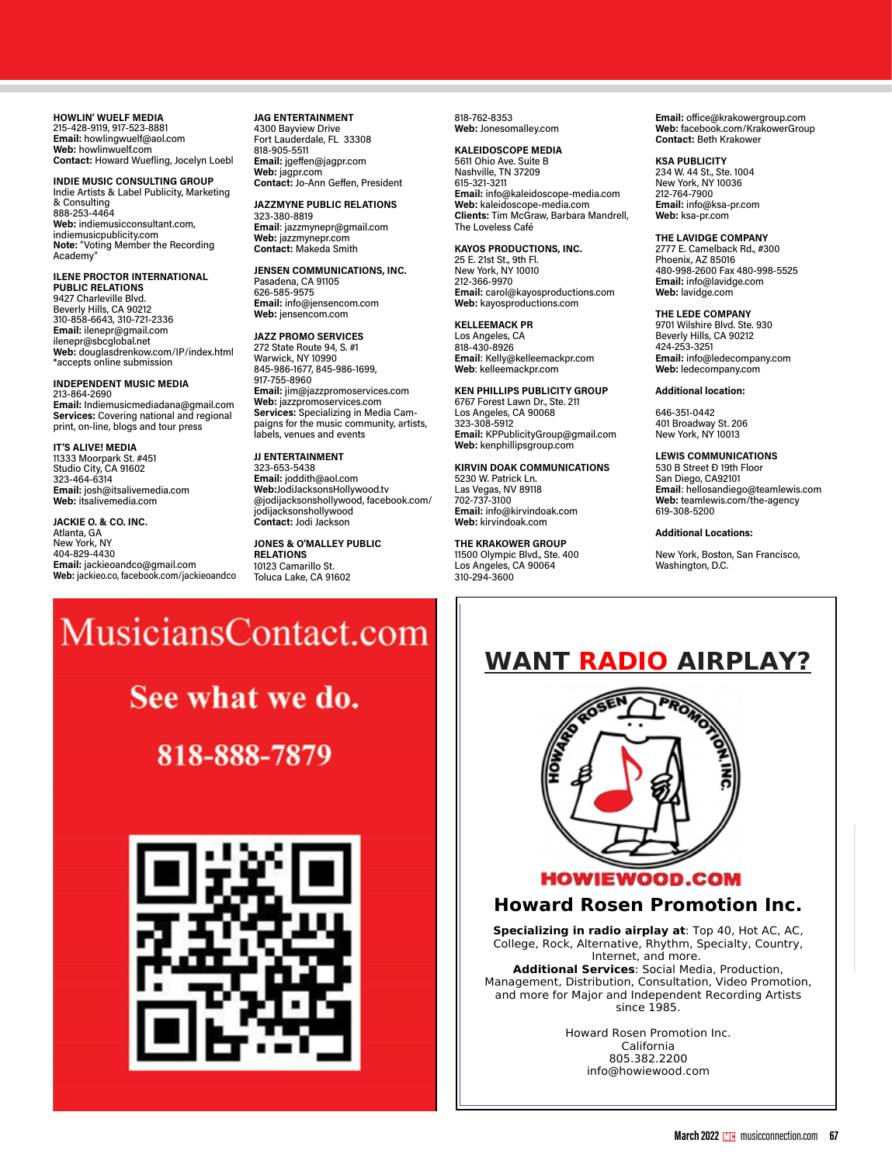**HOWLIN' WUELF MEDIA** 215-428-9119, 917-523-8881 **Email:** dusty@mojaveaudio.com **Email:** howlingwuelf@aol.com **Web:** howlinwuelf.com **Contact: Howard Wuefling, Jocelyn Loeb!** 877-733-3931 **Notable Projects:** Dwight Yoakam,

**INDIE MUSIC CONSULTING GROUP** Indie Artists & Label Publicity, Marketing marc Artists & Eaber Fabricity, Marketing<br>& Consulting 888-253-4464 On-Line Promotion, Band Management, Social **Email:** help@urbandlazar.com **JEFF VAUGHN**  888-253-4464<br>**Web:** indiemusicconsultant.com, indiemusicpublicity.com web: malemusicconsultant.com,<br>indiemusicpublicity.com<br>Note: "Voting Member the Recording<br>Academv" novements...<br>Academy" Nashville, Theorem 2022 **VAGRANT RECORDS** marketers / promoters / promoters / promoters / promoters / promoters / promoters / promoters / promoters / pr<br>In the contract of the contract of the contract of the contract of the contract of the contract of the contract raaoni, **Note: "Voting Member the Recordin**<br>Academy" **Website:** Sonic

**ILENE PROCTOR INTERNATIONAL PUBLIC RELATIONS** POBLIC RELATIONS<br>9427 Charleville Blvd. **Beverly Hills, CA 90212**<br> **ARTISTS** HOUSE MUSIC 310-858-6643, 310-721-2336 **Web:** artistshousemusic.org \*We do not accept unsolicited demos **Email:** info@twoshepsthatpass.com 310-858-0043, 310-721-2330<br>**Email:** ilenepr@gmail.com **Email:** lienepr@gmail.com<br>ilenepr@sbcglobal.net nenepr@spcgiobal.net<br>**Web:** douglasdrenkow.com/IP/index.html<br>\*eccents saling submission **Atlanta, Galgasciennewson,** The Submission 858-412-4329

# **INDEPENDENT MUSIC MEDIA**

213-864-2690 **Email:** Indiemusicmediadana@gmail.com **Services:** Covering national and regional Services. Covering national and region<br>print, on-line, blogs and tour press **Example:** Indiemusicmediadana<br> **Rock Containst Containst Containst Containst Containst Containst Containst Containst Containst Containst Conta** *s-*864-2690<br>**nail:** Indiemusicmediadana@gmail.co<br>**:rvices:** Covering national and regiona **VAPOR RECORDS nail:** Indiemusicmediadana(<br>**Invices:** Covering pational a 213-864-2690<br> **Email:** Indiemusicmediadana@gma<br> **Services:** Covering national and reg

**IT'S ALIVE! MEDIA IT'S ALIVE! MEDIA<br>11333 Moorpark St. #451<br>Studie Gitu SA 91699 Example Moenix Carlists**<br>Studio City, CA 91602 323-464-6314 480-206-3435 **Web:** vaporrecords.com **TOM WEIR**  323-464-6314<br>**Email:** josh@itsalivemedia.com **Web:** itsalive media.com

347-229-2960

**JACKIE O. & CO. INC. Atlanta, GA**<br>Atlanta, GA New York, NY 310-998-8305 **Web:** victoryrecords.com **Styles/Specialties:** All styles, worldwide, maximum PR, promotion, marketing and **Styles:** all 404-829-4430 **Email**: airplay@radio-media.com \*Accepts unsolicited demos major distribution services by top pros **Notable Projects:** Rod Stewart, Scott **Email:** jackieoandco@gmail.com **Web:** jackieo.co, facebook.com/jackieoandco 04-023-4450<br>:<mark>mail:</mark> jackieoandco@gmail.com<br><mark>Veb:</mark> jackieo.co, facebook.com/jackieoandco Email: jackieoandco@gmail.com<br>Web: jackieo.co, facebook.com/jackieoand W W W . U N S I G N E D O N L Y . C O M

818-999-2226 Fax 818-999-2236

**JAG ENTERTAINMENT** 2000 Bayview Drive Fort Lauderdale, FL 33308 818-905-5511 7 Arlene Ave. **Web:** indiepower.com Promotion and Internet Publicity O'Neal, Warren G, Biffy Clyro, Vertical Hori-

T H E W O R L D F O R

<del>cho ese con</del><br>**Email:** jgeffen@jagpr.com<br>Web: jagpr.com **Email:** jagpr.com web: Jayph.com<br>**Contact:** Jo-Ann Geffen, President **JAZZMYNE PUBLIC RELATIONS** 

**มAZZMTNE PUBLIC ห**<br>323-380-8819 323-380-8819<br>**Email**: jazzmynepr@gmail.com<br>**Web: 200 Web:** jazzmynepr.com **FANSCAPE**<br>**FANSCAPE**<br> **FANSCAPE**<br> **EMAGE**<br> **EMAGE** 

JENSEN COMMUNICATIONS, INC. **Pasadena, CA 91105<br>Pasadena, CA 91105 626-585-9575** 626-585-9575<br>**Email:** info@jensencom.com **Web:** jensencom.com

**JAZZ PROMO SERVICES** 272 State Route 94, S. #1<br>Warwick, NY 10990 845-986-1677, 845-986-1699, **A.D.D. MARKETING & ADVERTISING** 149 S. Barrington Ave., Ste. 812 **JOE ZOOK**  917-755-8960 150 5th Ave. 6600 Lexington Ave. Los Angeles, CA 90049 Joe D'Ambrosio Management, Inc. 914- ອາ*າ-າ* ວວ-oອoບ<br>**Email:** jim@jazzpromoservices.com **Eman:** *jim@jazzpromoservice*<br>Web: jazzpromoservices.com web. <sub>Jazzpromoservices.com<br>Services: Specializing in Media Cam-</sub> **Services:** Specializing in Media Cam-<br>paigns for the music community, artists, paigns for the music community, artists,<br>labels, venues and events 1999 Bryan St., Ste. 1800 **Email:** info@aimmarketingsolutions.com **SAZZ THOMO SENVIGES<br>272 State Route 94, S. #1<br>Warwick, NY 10990 Notable Projects:** Alice In Chains, 3

**JJ ENTERTAINMENT**<br>222. bes 5.000 **323-653-5438 Email:** joddith@aol.com **Email:** submt@FlanaganPromotions.com **Web:** flanaganpromotions.com **AFFORDABLE IMAGE** 1828 Broadway, 2nd Fl. T's, Kelly Clarkson, Serena Ryder, Brooke Fraser, Mary J. Blige. AIMEE MANN **•** ROBERT SMITH (THE CURE) **•** NLE CHOPPA **Web:**JodiJacksonsHollywood.tv **Contact:** Jon Flanagan, Taylor W., Tom S. 2515 N. 7th St. Santa Monica, CA 90404 310-998-8305 WALK THE MOON **•** LOCASH **•** SANCTUS REAL **•** O.A.R. web.bodijacksonshollywood.tv<br>@jodijacksonshollywood, facebook.com/ jodijacksonshollywood before pressing CD, building a band's buzz! **Email:** sales@affordableimage.com **Web:** radio-media.com **rent directories (producers, engineers,**  THE FLAMING LIPS **•** RUTHIE FOSTER **•** I AM THEY **Contact:** Jodi Jackson

**JONES & O'MALLEY PUBLIC SONES & O MALLET T OBLIC**<br>RELATIONS **HELATIONS**<br>10123 Camarillo St. roizs camarilio st.<br>Toluca Lake, CA 91602 company: Management, record label, music

**Contact:** Paul Loggins

830 Traction Ave., #3F

818-762-8353 **Web:** Jonesomalley.com *Duckwrth: The Value of Purpose*

Contact: Beth Krakower<br>KALEIDOSCOPE MEDIA **EMANDER COOL.COMPANY.**<br>5611 Ohio Ave. Suite B **Nashville, TN 37209**  $615 - 321 - 3211$ New York, NY 10036<br>
Email: info@kaleidoscope-media.com 212-764-7900<br>
212-764-7900 **EMAIL:** hand in alternation: Enterprise to his headline to his headline to his headline to his headline to his headline to his headline to his headline to his headline to his headline to his headline to his headline to hi Clients: Time McGraw, Barbara Mandrell, Web: ksa-pr.com<br>Clients: Tim McGraw, Barbara Mandrell, Web: ksa-pr.com The Loveless Café **KSA PUBLICITY** 212-239-8384 **Email:** contact@arielpublicity.com **Contact:** Gail Roberts **Styles/Specialties:** longstanding music PR up EP, *SG8*, both via Republic Records, marked a turning point in his Soli of the Suite B<br>
Nashville, TN 37209<br>
615-321-3211<br>
New York, NY 10036 **ALEIDOSCOPE MEDIA<br>
Web: facebook.com/KrakowerGroup<br>
<b>AALEIDOSCOPE MEDIA**<br>
S611 Ohio Ave. Suite B<br>
Nashville TN 37209<br>
Nashville TN 37209

*Download at musicconnection.com/industry-contacts*

*Download at www.musicconnection.com/digital*

25 E. 21st St., 9th Fl. **Howard Rosen produced by the Moonix, AZ 85016** 25 L. 2131 St., 311 Fr.<br>New York, NY 10010 212-366-9970 805-382-2200 single city. Also, college radio, specialty/ 212-366-9970<br>**Email:** carol@kayosproductions.com **Web:** lavidge.com **Contact: Contact: Contact: Contact: Contact: Contact: Contact: Contact: Contact: Contact: Contact: Contact: Cont<br>
<b>THE LEDE COMPANY** 25 E. 21st St., 9th Fl.<br>
25 E. 21st St., 9th Fl.<br>
26 E. 21st St., 9th Fl.<br>
26 - 998-2600 Fax 480-998-5525

**KELLEEMACK PR** Los Angeles, CA<br>818-430-8926 **Web:** kelleemackpr.com **Web:** kelleemackpr.com **Web:** ledecompany.com Los Angeles, CA 90028 213-217-4500 Los Angeles, CA 90038 323-464-4170 Fax 323-464-4294

**KEN PHILLIPS PUBLICITY GROUP Contact:** Rob Stone and Jon Cohen

**REN PHILLIPS POBLICT PROMOTIONS**<br>6767 Forest Lawn Dr., Ste. 211 **Email: CA 90068**<br> **Email: Email: Email: Email: Email: Email: Email: PM**<br> **EM**<br> **EM** 2<del>03 Angeles, 8A 36668</del><br>323-308-5912 323-308-5912<br>**Email:** KPPublicityGroup@gmail.com<br>**Email:** KPPublic system **Eman:** NPT ablicity aroup log<sub>1</sub> and the composition of the VCV Web: kemphillipsgroup.com

LE<br>**KIRVIN DOAK COMMUNICATIONS** 53 5230 W. Patrick Ln. mastering, prepping, albums for duplication/ Los Angeles, CA Las Vegas, NV 89118 replication, vocal coaching, vocal production, career consultation. **Sao Paulo** Miami, FL **Email:** info@futurestarmusic.com After moving to San Francisco to study 702-737-3100 5511.4097.9713 **Web:** futurestarmusic.com graphic design, Duckwrth found new **Email:** info@kirvindoak.com Web: kirvindoak.com for TV/films/games, songwriting arrangement, KIRVIN DOAK COMMUNICATION

# Ad<br>THE KRAKOWER GROUP

11500 Olympic Blvd., Ste. 400 **Los Angeles, CA 90064**<br> **MARKETING**<br>
10. 304 Responses 310-294-3600 **IMAGINE PR** New York City **CYBER PR** Burbank, CA 91602  $\frac{1}{200}$  E<sub>2</sub>+  $\frac{1}{2000}$ 

my own sound, my own message. *Duck***tape** [a self-released digital download] from 2012]—if you want to talk about the talk about the talk about the talk about the talk about the talk about the talk about the talk about the talk about the talk about the talk about the talk about the talk about the t  $\mathbf{t}$  that rockets that rockets into space.

**Email:** office@krakowergroup.com **Web:** facebook.com/KrakowerGroup **Contact: Beth Krakower** 

234 W. 44 St., Ste. 1004 New York, NY 10036 **NOW TONY, NYTHOGGC**<br>212-764-7900 ziz-70<del>4</del>-7500<br>**Email:** info@ksa-pr.com **Web:** ksa-pr.com

*www.musicconnection.com/digital*

**KAYOS PRODUCTIONS, INC.** our forte commercial station in the U.S. and **FILTER CREATIVE GROUP** festivals around the world, including the Montreaux Jazz Festival, Lolla-The Loveless Café<br> **THE LAVIDGE COMPANY** 2777 E. Camelback Rd., #300 **Phoenix, AZ 85016 Email:** info@lavidge.com Jones and Thomas Advertising Agency, **Web:** evolutionpromotion.com **Styles/Specialties:** all styles \*No unsolicited material **Web:** lavidge.com

**Email**: Kelly@kelleemackpr.com Media, Video, Production **Email:** info@cornerstonepromotion.com, pr@cornerstonepromotion.com 2649 N. Troy St., Unit 2 "Mom didn't let us listen to hip hop, so it was a rebellion of sorts," he Web: kayosproductions.com THE LEDE COMPANY KELLEEMACK PR<br>Los Angeles, CA Beverly Hills, CA 90212 424-253-3251 **JJ ENTERTAINMENT Email:** Joddith@aol.com **FANSCAPE** 212-219-3567 **Email:** maurice@giantstep.net school, immersing himself in freestyle and taking part in rap battles. 424-253-3251<br>**Email:** info@ledecompany.com

# **Additional location:**

646-351-0442 5456 Peachtree Blvd., Ste. 451 **Additional location:** 401 Broadway St. 206 Atlanta, GA 3034 **GIRLIE ACTION MEDIA**  401 Broadway St. 206<br>New York, NY 10013

**LEWIS COMMUNICATIONS**<br>530 B Street B 10th Floor 530 B Street *Đ* 19th Floor Societion.com<br>San Diego, CA92101 **Email:** hellosandiego@teamlewis.com **Linan:** heliosandlego@teamlewis<br>Web: teamlewis.com/the-agency **FLAN** COMMONSTRANGE agency<br>619-308-5200

# **Additional Locations:**

New York, Boston, San Francisco,<br>Webkington, D.C. **Example 19 Derival Specialty Support Communications**<br>Washington, D.C.

#### $\mathbf{x}$ **CARPARK RECORDS**  $\overline{P}$ ontact.co **Web**: wickedcoolrecords.com <u>iviusi</u> 7ntact.c  $S<sub>2</sub>$  x  $S<sub>2</sub>$  782 **Web:** shopabcpromo.com IVIUSICIA bitract.com

**i** we do. **Email:** xl@xl-recordings.com **See what we do. See what we do** 

**Email:** info@cornerstonepromotion.com, pr@cornerstonepromotion.com **Web:** cornerstonepromotion.com  $-7879$ **Email: Email: Styles: Funk, Shelby, American Styles: Funk, American Styles: Funk, American Styles: Funk, American Styles: Funk, American Styles: Funk, American Styles: Funk, American Styles: Funk, American Styles: Fun Email: info@addmarketing.com Press, 2010.000.72970. Web:** addmarketing.com **Sao Paulo**



# WANT RADIO AIRPLAY? <u>online as Duckward, he was developed to develop his own solo</u>



# $\parallel$   $\,$  Howard Rosen Promotion Inc.  $\,$   $\,$  $\parallel$  - Flowerd Kosen Promotion inc.

**Specializing in radio airplay at**: Top 40, Hot AC, AC,  $\mathcal{L}$  Declining in take an play at  $\log_{10}$ , it has to be order to be order to be order to be order to be order to be order to be order to be order to be order to be order to be order to be order to be order to be orde  $\mu$  being in the momentation  $\mu$  in the moment, and more. **Additional Services**: Social Media, Production,  $\begin{vmatrix} \cdot & \cdot & \cdot \\ \cdot & \cdot & \cdot \\ \cdot & \cdot & \cdot \end{vmatrix}$ 

 $\parallel$  Management, Distribution, Consultation, Video Promotion, and more for Major and Independent Recording Artists  $\vert$  Since 1985.

 $\parallel$  **the his style and sound Rosen Promotion Inc.**  $\blacksquare$ California  $\begin{array}{l}\n\text{Gamma} \\
\text{805.382.2200}\n\end{array}$ energy. The mine. The mine. The mine of the mine of the mine of  $\frac{1}{2}$  info@howiewood.com  $\begin{bmatrix} 1 & \cdots & \cdots & \cdots \end{bmatrix}$  and the new things want people to be neglected.

*Experience Duckwrth at duckwrth.com*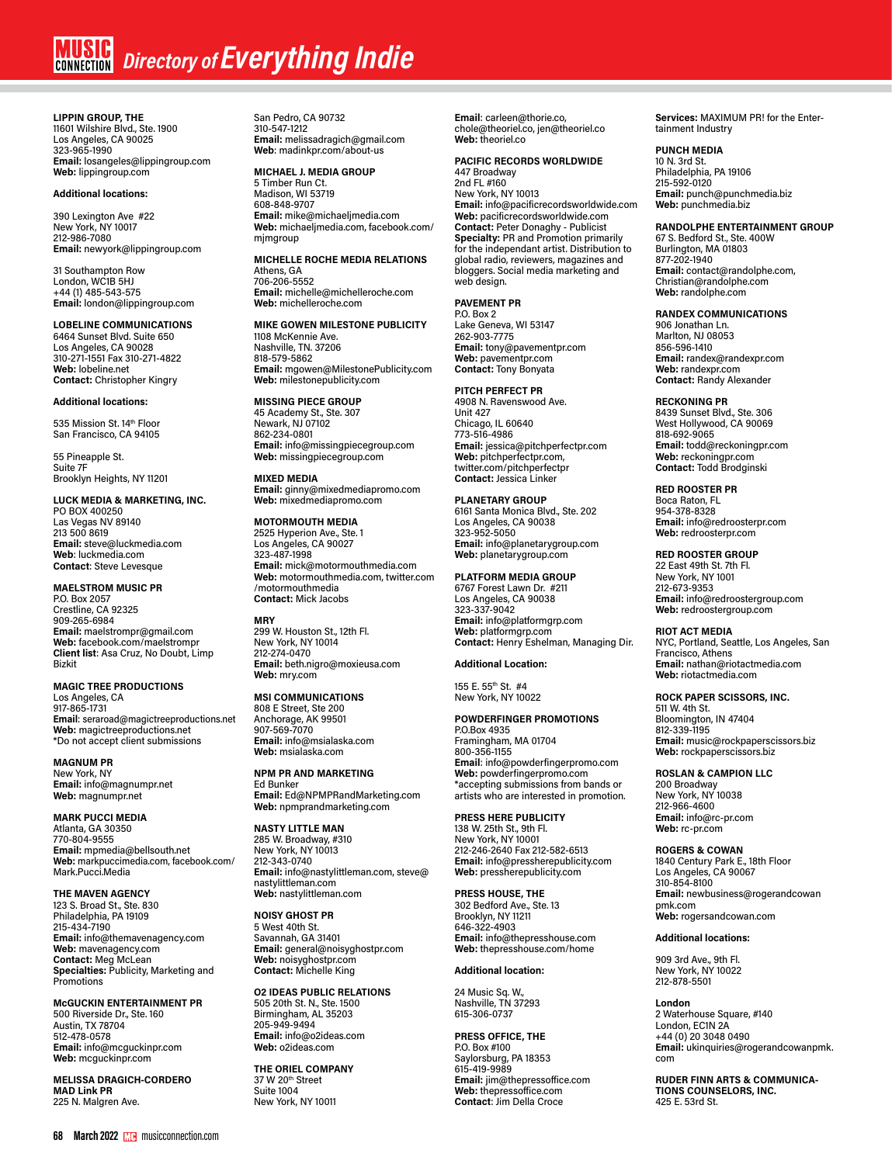# **MUSIC** Directory of **Everything Indie**

**LIPPIN GROUP, THE** 11601 Wilshire Blvd., Ste. 1900 Los Angeles, CA 90025 323-965-1990 **Email:** losangeles@lippingroup.com **Web:** lippingroup.com

# **Additional locations:**

390 Lexington Ave #22 New York, NY 10017 212-986-7080 **Email:** newyork@lippingroup.com

31 Southampton Row London, WC1B 5HJ +44 (1) 485-543-575 **Email:** london@lippingroup.com

# **LOBELINE COMMUNICATIONS**

6464 Sunset Blvd. Suite 650 Los Angeles, CA 90028 310-271-1551 Fax 310-271-4822 **Web:** lobeline.net **Contact:** Christopher Kingry

# **Additional locations:**

535 Mission St. 14th Floor San Francisco, CA 94105

55 Pineapple St. Suite 7F Brooklyn Heights, NY 11201

# **LUCK MEDIA & MARKETING, INC.**

PO BOX 400250 Las Vegas NV 89140 213 500 8619 **Email:** steve@luckmedia.com **Web**: luckmedia.com **Contact**: Steve Levesque

**MAELSTROM MUSIC PR** P.O. Box 2057 Crestline, CA 92325 909-265-6984 **Email:** maelstrompr@gmail.com **Web:** facebook.com/maelstrompr **Client list**: Asa Cruz, No Doubt, Limp Bizkit

**MAGIC TREE PRODUCTIONS** Los Angeles, CA 917-865-1731 **Email**: seraroad@magictreeproductions.net **Web:** magictreeproductions.net \*Do not accept client submissions

**MAGNUM PR** New York, NY **Email:** info@magnumpr.net **Web:** magnumpr.net

**MARK PUCCI MEDIA** Atlanta, GA 30350 770-804-9555 **Email:** mpmedia@bellsouth.net **Web:** markpuccimedia.com, facebook.com/ Mark.Pucci.Media

**THE MAVEN AGENCY** 123 S. Broad St., Ste. 830 Philadelphia, PA 19109 215-434-7190 **Email:** info@themavenagency.com **Web:** mavenagency.com **Contact:** Meg McLean **Specialties:** Publicity, Marketing and **Promotions** 

**McGUCKIN ENTERTAINMENT PR** 500 Riverside Dr., Ste. 160 Austin, TX 78704 512-478-0578 **Email:** info@mcguckinpr.com **Web:** mcguckinpr.com

**MELISSA DRAGICH-CORDERO MAD Link PR** 225 N. Malgren Ave.

San Pedro, CA 90732 310-547-1212 **Email:** melissadragich@gmail.com **Web**: madinkpr.com/about-us

**MICHAEL J. MEDIA GROUP** 5 Timber Run Ct. Madison, WI 53719 608-848-9707 **Email:** mike@michaeljmedia.com **Web:** michaeljmedia.com, facebook.com/ mimaroup

**MICHELLE ROCHE MEDIA RELATIONS** Athens, GA 706-206-5552 **Email:** michelle@michelleroche.com **Web:** michelleroche.com

**MIKE GOWEN MILESTONE PUBLICITY** 1108 McKennie Ave. Nashville, TN. 37206 818-579-5862 **Email:** mgowen@MilestonePublicity.com **Web:** milestonepublicity.com

**MISSING PIECE GROUP** 45 Academy St., Ste. 307 Newark, NJ 07102 862-234-0801 **Email:** info@missingpiecegroup.com **Web:** missingpiecegroup.com

**MIXED MEDIA Email:** ginny@mixedmediapromo.com **Web:** mixedmediapromo.com

**MOTORMOUTH MEDIA** 2525 Hyperion Ave., Ste. 1 Los Angeles, CA 90027 323-487-1998 **Email:** mick@motormouthmedia.com **Web:** motormouthmedia.com, twitter.com /motormouthmedia **Contact:** Mick Jacobs

**MRY** 299 W. Houston St., 12th Fl. New York, NY 10014 212-274-0470 **Email:** beth.nigro@moxieusa.com **Web:** mry.com

**MSI COMMUNICATIONS** 808 E Street, Ste 200 Anchorage, AK 99501 907-569-7070 **Email:** info@msialaska.com **Web:** msialaska.com

**NPM PR AND MARKETING** Ed Bunker **Email:** Ed@NPMPRandMarketing.com **Web:** npmprandmarketing.com

**NASTY LITTLE MAN** 285 W. Broadway, #310 New York, NY 10013 212-343-0740 **Email:** info@nastylittleman.com, steve@ nastylittleman.com **Web:** nastylittleman.com

**NOISY GHOST PR** 5 West 40th St. Savannah, GA 31401 **Email:** general@noisyghostpr.com **Web:** noisyghostpr.com **Contact:** Michelle King

**O2 IDEAS PUBLIC RELATIONS** 505 20th St. N., Ste. 1500 Birmingham, AL 35203 205-949-9494 **Email:** info@o2ideas.com **Web:** o2ideas.com

**THE ORIEL COMPANY** 37 W 20th Street<br>Suite 1004 New York, NY 10011

**Email**: carleen@thorie.co, chole@theoriel.co, jen@theoriel.co **Web:** theoriel.co

# **PACIFIC RECORDS WORLDWIDE**

447 Broadway 2nd FL #160 New York, NY 10013 **Email:** info@pacificrecordsworldwide.com **Web:** pacificrecordsworldwide.com **Contact:** Peter Donaghy - Publicist **Specialty:** PR and Promotion primarily for the independant artist. Distribution to global radio, reviewers, magazines and bloggers. Social media marketing and web design.

**PAVEMENT PR** P.O. Box 2 Lake Geneva, WI 53147 262-903-7775 **Email:** tony@pavementpr.com **Web:** pavementpr.com **Contact:** Tony Bonyata

#### **PITCH PERFECT PR** 4908 N. Ravenswood Ave.

Unit 427 Chicago, IL 60640 773-516-4986 **Email:** jessica@pitchperfectpr.com **Web:** pitchperfectpr.com, twitter.com/pitchperfectpr **Contact: Jessica Linker** 

# **PLANETARY GROUP**

6161 Santa Monica Blvd., Ste. 202 Los Angeles, CA 90038 323-952-5050 **Email:** info@planetarygroup.com **Web:** planetarygroup.com

**PLATFORM MEDIA GROUP**

6767 Forest Lawn Dr. #211 Los Angeles, CA 90038 323-337-9042 **Email:** info@platformgrp.com **Web:** platformgrp.com **Contact:** Henry Eshelman, Managing Dir.

# **Additional Location:**

155 E. 55th St. #4 New York, NY 10022

# **POWDERFINGER PROMOTIONS**

P.O.Box 4935 Framingham, MA 01704 800-356-1155 **Email**: info@powderfingerpromo.com **Web:** powderfingerpromo.com \*accepting submissions from bands or artists who are interested in promotion.

**PRESS HERE PUBLICITY**

138 W. 25th St., 9th Fl. New York, NY 10001 212-246-2640 Fax 212-582-6513 **Email:** info@pressherepublicity.com **Web:** pressherepublicity.com

**PRESS HOUSE, THE** 302 Bedford Ave., Ste. 13 Brooklyn, NY 11211 646-322-4903 **Email:** info@thepresshouse.com **Web:** thepresshouse.com/home

# **Additional location:**

24 Music Sq. W., Nashville, TN 37293 615-306-0737

**PRESS OFFICE, THE** P.O. Box #100 Saylorsburg, PA 18353 615-419-9989 **Email:** jim@thepressoffice.com **Web:** thepressoffice.com **Contact**: Jim Della Croce

**Services:** MAXIMUM PR! for the Entertainment Industry

# **PUNCH MEDIA**

10 N. 3rd St. Philadelphia, PA 19106 215-592-0120 **Email:** punch@punchmedia.biz **Web:** punchmedia.biz

# **RANDOLPHE ENTERTAINMENT GROUP**

67 S. Bedford St., Ste. 400W Burlington, MA 01803 877-202-1940 **Email:** contact@randolphe.com, Christian@randolphe.com **Web:** randolphe.com

# **RANDEX COMMUNICATIONS**

906 Jonathan Ln. Marlton, NJ 08053 856-596-1410 **Email:** randex@randexpr.com **Web:** randexpr.com **Contact:** Randy Alexander

# **RECKONING PR**

8439 Sunset Blvd., Ste. 306 West Hollywood, CA 90069 818-692-9065 **Email:** todd@reckoningpr.com **Web:** reckoningpr.com **Contact:** Todd Brodginski

**RED ROOSTER PR**

Boca Raton, FL 954-378-8328 **Email:** info@redroosterpr.com **Web:** redroosterpr.com

**RED ROOSTER GROUP** 22 East 49th St. 7th Fl. New York, NY 1001 212-673-9353 **Email:** info@redroostergroup.com **Web:** redroostergroup.com

**RIOT ACT MEDIA** NYC, Portland, Seattle, Los Angeles, San Francisco, Athens **Email:** nathan@riotactmedia.com **Web:** riotactmedia.com

# **ROCK PAPER SCISSORS, INC.**

511 W. 4th St. Bloomington, IN 47404 812-339-1195 **Email:** music@rockpaperscissors.biz **Web:** rockpaperscissors.biz

# **ROSLAN & CAMPION LLC**

200 Broadway New York, NY 10038 212-966-4600 **Email:** info@rc-pr.com **Web:** rc-pr.com

**ROGERS & COWAN** 1840 Century Park E., 18th Floor

Los Angeles, CA 90067 310-854-8100 **Email:** newbusiness@rogerandcowan pmk.com **Web:** rogersandcowan.com

## **Additional locations:**

909 3rd Ave., 9th Fl. New York, NY 10022 212-878-5501

**London** 2 Waterhouse Square, #140 London, EC1N 2A +44 (0) 20 3048 0490 **Email:** ukinquiries@rogerandcowanpmk. com

**RUDER FINN ARTS & COMMUNICA-TIONS COUNSELORS, INC.** 425 E. 53rd St.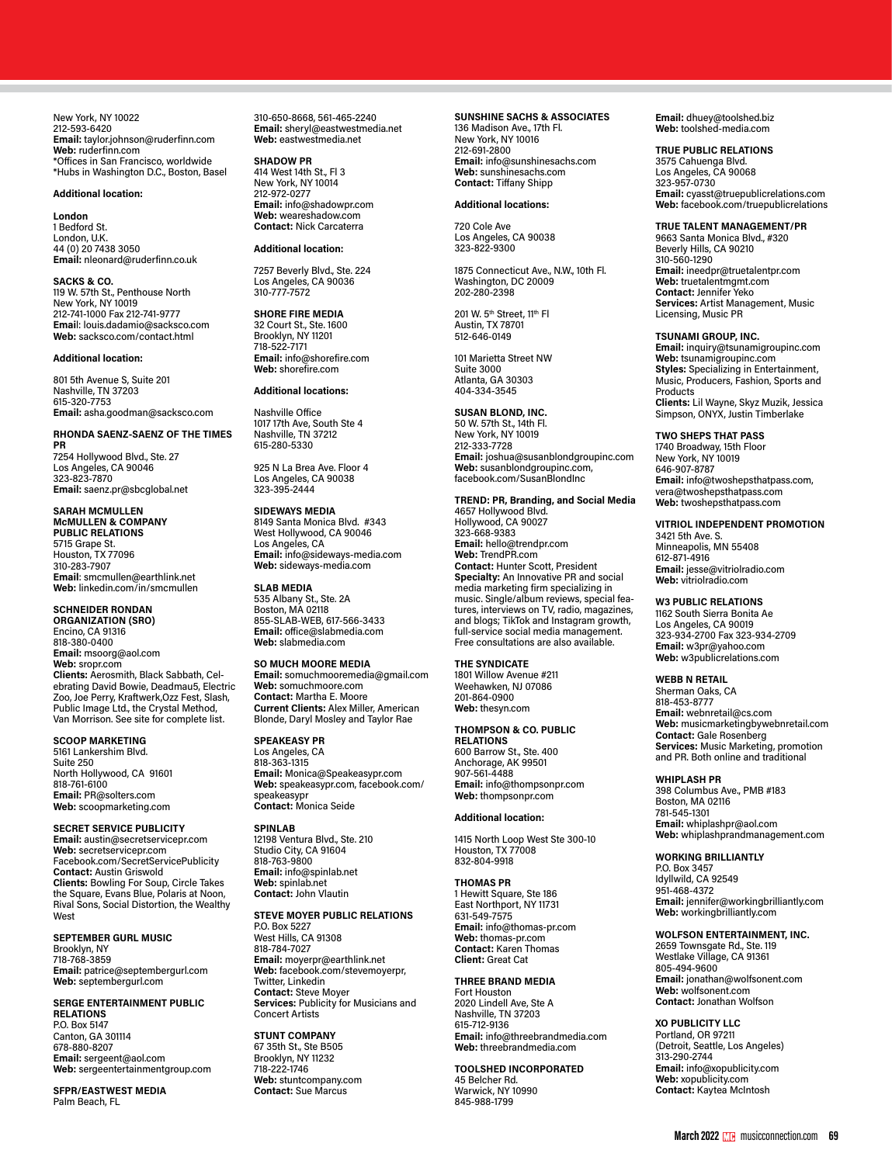New York, NY 10022 212-593-6420 **Email:** taylor.johnson@ruderfinn.com **Web:** ruderfinn.com \*Offices in San Francisco, worldwide \*Hubs in Washington D.C., Boston, Basel

## **Additional location:**

**London**

1 Bedford St. London, U.K. 44 (0) 20 7438 3050 **Email:** nleonard@ruderfinn.co.uk

**SACKS & CO.** 119 W. 57th St., Penthouse North New York, NY 10019 212-741-1000 Fax 212-741-9777 **Emai**l: louis.dadamio@sacksco.com **Web:** sacksco.com/contact.html

# **Additional location:**

801 5th Avenue S, Suite 201 Nashville, TN 37203 615-320-7753 **Email:** asha.goodman@sacksco.com

# **RHONDA SAENZ-SAENZ OF THE TIMES**

**PR** 7254 Hollywood Blvd., Ste. 27 Los Angeles, CA 90046 323-823-7870 **Email:** saenz.pr@sbcglobal.net

**SARAH MCMULLEN McMULLEN & COMPANY PUBLIC RELATIONS** 5715 Grape St. Houston, TX 77096 310-283-7907 **Email**: smcmullen@earthlink.net **Web:** linkedin.com/in/smcmullen

**SCHNEIDER RONDAN ORGANIZATION (SRO)** Encino, CA 91316 818-380-0400 **Email:** msoorg@aol.com **Web:** sropr.com **Clients:** Aerosmith, Black Sabbath, Celebrating David Bowie, Deadmau5, Electric Zoo, Joe Perry, Kraftwerk,Ozz Fest, Slash, Public Image Ltd., the Crystal Method, Van Morrison. See site for complete list.

**SCOOP MARKETING** 5161 Lankershim Blvd. Suite 250 North Hollywood, CA 91601 818-761-6100 **Email:** PR@solters.com **Web:** scoopmarketing.com

**SECRET SERVICE PUBLICITY Email:** austin@secretservicepr.com **Web:** secretservicepr.com Facebook.com/SecretServicePublicity **Contact:** Austin Griswold **Clients:** Bowling For Soup, Circle Takes the Square, Evans Blue, Polaris at Noon, Rival Sons, Social Distortion, the Wealthy **West** 

**SEPTEMBER GURL MUSIC** Brooklyn, NY 718-768-3859 **Email:** patrice@septembergurl.com **Web:** septembergurl.com

**SERGE ENTERTAINMENT PUBLIC RELATIONS**

P.O. Box 5147 Canton, GA 301114 678-880-8207 **Email:** sergeent@aol.com **Web:** sergeentertainmentgroup.com

**SFPR/EASTWEST MEDIA** Palm Beach, FL

310-650-8668, 561-465-2240 **Email:** sheryl@eastwestmedia.net **Web:** eastwestmedia.net

#### **SHADOW PR**

414 West 14th St., Fl 3 New York, NY 10014 212-972-0277 **Email:** info@shadowpr.com **Web:** weareshadow.com **Contact:** Nick Carcaterra

# **Additional location:**

7257 Beverly Blvd., Ste. 224 Los Angeles, CA 90036 310-777-7572

**SHORE FIRE MEDIA** 32 Court St., Ste. 1600 Brooklyn, NY 11201 718-522-7171 **Email:** info@shorefire.com **Web:** shorefire.com

**Additional locations:**

Nashville Office 1017 17th Ave, South Ste 4 Nashville, TN 37212 615-280-5330

925 N La Brea Ave. Floor 4 Los Angeles, CA 90038 323-395-2444

# **SIDEWAYS MEDIA**

8149 Santa Monica Blvd. #343 West Hollywood, CA 90046 Los Angeles, CA **Email:** info@sideways-media.com **Web:** sideways-media.com

**SLAB MEDIA** 535 Albany St., Ste. 2A Boston, MA 02118 855-SLAB-WEB, 617-566-3433 **Email:** office@slabmedia.com **Web:** slabmedia.com

# **SO MUCH MOORE MEDIA**

**Email:** somuchmooremedia@gmail.com **Web:** somuchmoore.com **Contact:** Martha E. Moore **Current Clients:** Alex Miller, American Blonde, Daryl Mosley and Taylor Rae

# **SPEAKEASY PR**

Los Angeles, CA 818-363-1315 **Email:** Monica@Speakeasypr.com **Web:** speakeasypr.com, facebook.com/ speakeasypr **Contact:** Monica Seide

# **SPINLAB**

12198 Ventura Blvd., Ste. 210 Studio City, CA 91604 818-763-9800 **Email:** info@spinlab.net **Web:** spinlab.net **Contact:** John Vlautin

# **STEVE MOYER PUBLIC RELATIONS**

P.O. Box 5227 West Hills, CA 91308 818-784-7027 **Email:** moyerpr@earthlink.net **Web:** facebook.com/stevemoyerpr, Twitter, Linkedin **Contact:** Steve Moyer **Services:** Publicity for Musicians and Concert Artists

**STUNT COMPANY** 67 35th St., Ste B505 Brooklyn, NY 11232 718-222-1746 **Web:** stuntcompany.com **Contact:** Sue Marcus

# **SUNSHINE SACHS & ASSOCIATES**

136 Madison Ave., 17th Fl. New York, NY 10016 212-691-2800 **Email:** info@sunshinesachs.com **Web:** sunshinesachs.com **Contact:** Tiffany Shipp

# **Additional locations:**

720 Cole Ave Los Angeles, CA 90038 323-822-9300

1875 Connecticut Ave., N.W., 10th Fl. Washington, DC 20009 202-280-2398

201 W. 5<sup>th</sup> Street, 11<sup>th</sup> Fl Austin, TX 78701 512-646-0149

101 Marietta Street NW Suite 3000 Atlanta, GA 30303 404-334-3545

# **SUSAN BLOND, INC.**

50 W. 57th St., 14th Fl. New York, NY 10019 212-333-7728 **Email:** joshua@susanblondgroupinc.com **Web:** susanblondgroupinc.com, facebook.com/SusanBlondInc

# **TREND: PR, Branding, and Social Media**

4657 Hollywood Blvd. Hollywood, CA 90027 323-668-9383 **Email:** hello@trendpr.com **Web:** TrendPR.com **Contact:** Hunter Scott, President **Specialty:** An Innovative PR and social media marketing firm specializing in music. Single/album reviews, special features, interviews on TV, radio, magazines, and blogs; TikTok and Instagram growth, full-service social media management. Free consultations are also available.

# **THE SYNDICATE**

1801 Willow Avenue #211 Weehawken, NJ 07086 201-864-0900 **Web:** thesyn.com

# **THOMPSON & CO. PUBLIC**

**RELATIONS** 600 Barrow St., Ste. 400 Anchorage, AK 99501 907-561-4488 **Email:** info@thompsonpr.com **Web:** thompsonpr.com

# **Additional location:**

1415 North Loop West Ste 300-10 Houston, TX 77008 832-804-9918

# **THOMAS PR**

1 Hewitt Square, Ste 186 East Northport, NY 11731 631-549-7575 **Email:** info@thomas-pr.com **Web:** thomas-pr.com **Contact:** Karen Thomas **Client:** Great Cat

# **THREE BRAND MEDIA**

Fort Houston 2020 Lindell Ave, Ste A Nashville, TN 37203 615-712-9136 **Email:** info@threebrandmedia.com **Web:** threebrandmedia.com

**TOOLSHED INCORPORATED** 45 Belcher Rd. Warwick, NY 10990 845-988-1799

**Email:** dhuey@toolshed.biz **Web:** toolshed-media.com

# **TRUE PUBLIC RELATIONS**

3575 Cahuenga Blvd. Los Angeles, CA 90068 323-957-0730 **Email:** cyasst@truepublicrelations.com **Web:** facebook.com/truepublicrelations

# **TRUE TALENT MANAGEMENT/PR**

9663 Santa Monica Blvd., #320 Beverly Hills, CA 90210 310-560-1290 **Email:** ineedpr@truetalentpr.com **Web:** truetalentmgmt.com **Contact:** Jennifer Yeko **Services:** Artist Management, Music Licensing, Music PR

# **TSUNAMI GROUP, INC.**

**Email:** inquiry@tsunamigroupinc.com **Web:** tsunamigroupinc.com **Styles:** Specializing in Entertainment, Music, Producers, Fashion, Sports and Products **Clients:** Lil Wayne, Skyz Muzik, Jessica Simpson, ONYX, Justin Timberlake

# **TWO SHEPS THAT PASS**

1740 Broadway, 15th Floor New York, NY 10019 646-907-8787 **Email:** info@twoshepsthatpass.com, vera@twoshepsthatpass.com **Web:** twoshepsthatpass.com

# **VITRIOL INDEPENDENT PROMOTION**

3421 5th Ave. S. Minneapolis, MN 55408 612-871-4916 **Email:** jesse@vitriolradio.com **Web:** vitriolradio.com

## **W3 PUBLIC RELATIONS**

1162 South Sierra Bonita Ae Los Angeles, CA 90019 323-934-2700 Fax 323-934-2709 **Email:** w3pr@yahoo.com **Web:** w3publicrelations.com

# **WEBB N RETAIL**

Sherman Oaks, CA 818-453-8777 **Email:** webnretail@cs.com **Web:** musicmarketingbywebnretail.com **Contact:** Gale Rosenberg **Services:** Music Marketing, promotion and PR. Both online and traditional

# **WHIPLASH PR**

398 Columbus Ave., PMB #183 Boston, MA 02116 781-545-1301 **Email:** whiplashpr@aol.com **Web:** whiplashprandmanagement.com

# **WORKING BRILLIANTLY**

P.O. Box 3457 Idyllwild, CA 92549 951-468-4372 **Email:** jennifer@workingbrilliantly.com **Web:** workingbrilliantly.com

# **WOLFSON ENTERTAINMENT, INC.**

2659 Townsgate Rd., Ste. 119 Westlake Village, CA 91361 805-494-9600 **Email:** jonathan@wolfsonent.com **Web:** wolfsonent.com **Contact:** Jonathan Wolfson

**XO PUBLICITY LLC**

Portland, OR 97211 (Detroit, Seattle, Los Angeles) 313-290-2744 **Email:** info@xopublicity.com **Web:** xopublicity.com **Contact:** Kaytea McIntosh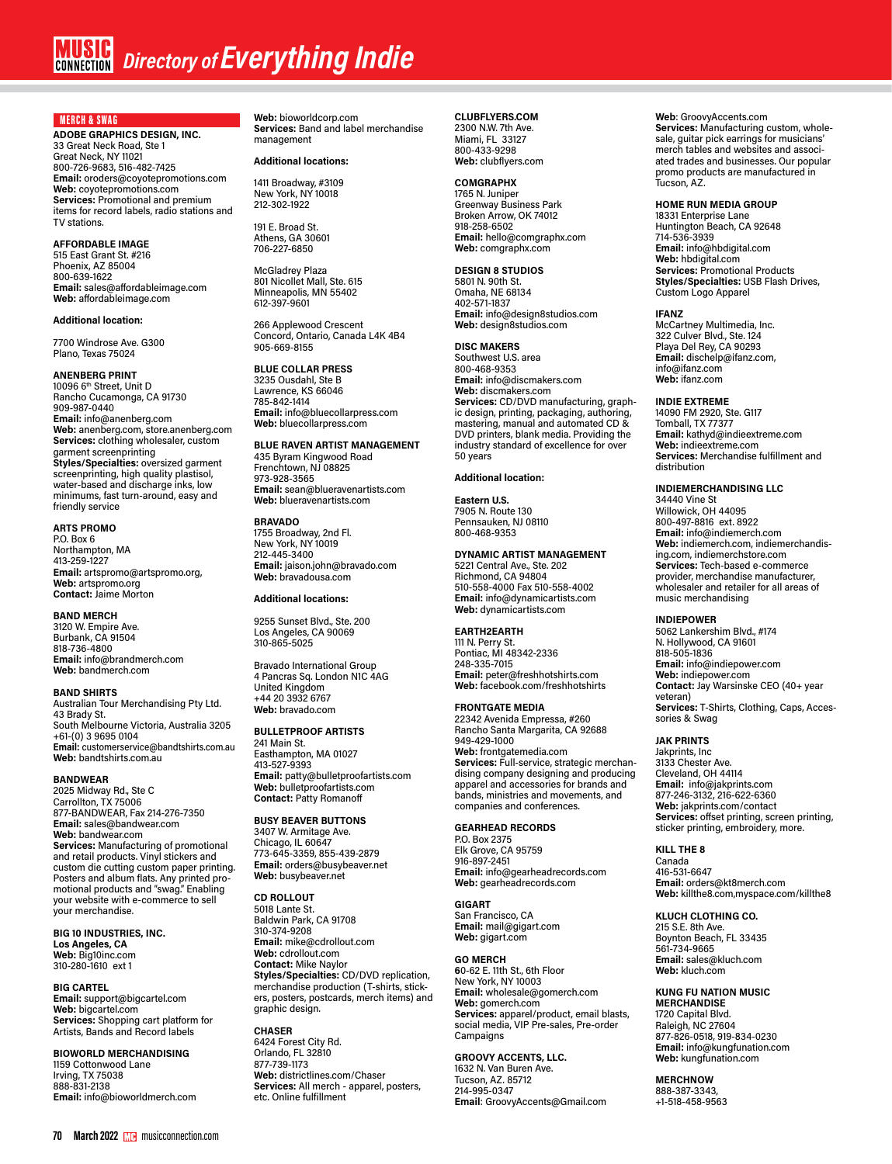# *<u>RUSIC</u> Directory of Everything Indie*

# MERCH & SWAG

**ADOBE GRAPHICS DESIGN, INC.** 33 Great Neck Road, Ste 1 Great Neck, NY 11021 800-726-9683, 516-482-7425 **Email:** oroders@coyotepromotions.com **Web:** coyotepromotions.com **Services:** Promotional and premium items for record labels, radio stations and TV stations.

# **AFFORDABLE IMAGE**

515 East Grant St. #216 Phoenix, AZ 85004 800-639-1622 **Email:** sales@affordableimage.com **Web:** affordableimage.com

# **Additional location:**

7700 Windrose Ave. G300 Plano, Texas 75024

# **ANENBERG PRINT**

10096 6<sup>th</sup> Street, Unit D Rancho Cucamonga, CA 91730 909-987-0440 **Email:** info@anenberg.com **Web:** anenberg.com, store.anenberg.com **Services:** clothing wholesaler, custom garment screenprinting **Styles/Specialties:** oversized garment screenprinting, high quality plastisol, water-based and discharge inks, low minimums, fast turn-around, easy and friendly service

# **ARTS PROMO**

P.O. Box 6 Northampton, MA 413-259-1227 **Email:** artspromo@artspromo.org, **Web:** artspromo.org **Contact:** Jaime Morton

# **BAND MERCH**

3120 W. Empire Ave. Burbank, CA 91504 818-736-4800 **Email:** info@brandmerch.com **Web:** bandmerch.com

# **BAND SHIRTS**

Australian Tour Merchandising Pty Ltd. 43 Brady St. South Melbourne Victoria, Australia 3205 +61-(0) 3 9695 0104 **Email:** customerservice@bandtshirts.com.au **Web:** bandtshirts.com.au

# **BANDWEAR**

2025 Midway Rd., Ste C Carrollton, TX 75006 877-BANDWEAR, Fax 214-276-7350 **Email:** sales@bandwear.com **Web:** bandwear.com **Services:** Manufacturing of promotional and retail products. Vinyl stickers and custom die cutting custom paper printing. Posters and album flats. Any printed promotional products and "swag." Enabling your website with e-commerce to sell your merchandise.

**BIG 10 INDUSTRIES, INC. Los Angeles, CA Web:** Big10inc.com 310-280-1610 ext 1

# **BIG CARTEL**

**Email:** support@bigcartel.com **Web:** bigcartel.com **Services:** Shopping cart platform for Artists, Bands and Record labels

**BIOWORLD MERCHANDISING** 1159 Cottonwood Lane Irving, TX 75038 888-831-2138 **Email:** info@bioworldmerch.com **Web:** bioworldcorp.com **Services:** Band and label merchandise management

# **Additional locations:**

1411 Broadway, #3109 New York, NY 10018 212-302-1922

191 E. Broad St. Athens, GA 30601 706-227-6850

McGladrey Plaza 801 Nicollet Mall, Ste. 615 Minneapolis, MN 55402 612-397-9601

266 Applewood Crescent Concord, Ontario, Canada L4K 4B4 905-669-8155

# **BLUE COLLAR PRESS**

3235 Ousdahl, Ste B Lawrence, KS 66046 785-842-1414 **Email:** info@bluecollarpress.com **Web:** bluecollarpress.com

# **BLUE RAVEN ARTIST MANAGEMENT**

435 Byram Kingwood Road Frenchtown, NJ 08825 973-928-3565 **Email:** sean@blueravenartists.com **Web:** blueravenartists.com

# **BRAVADO**

1755 Broadway, 2nd Fl. New York, NY 10019 212-445-3400 **Email:** jaison.john@bravado.com **Web:** bravadousa.com

# **Additional locations:**

9255 Sunset Blvd., Ste. 200 Los Angeles, CA 90069 310-865-5025

Bravado International Group 4 Pancras Sq. London N1C 4AG United Kingdom +44 20 3932 6767 **Web:** bravado.com

# **BULLETPROOF ARTISTS**

241 Main St. Easthampton, MA 01027 413-527-9393 **Email:** patty@bulletproofartists.com **Web:** bulletproofartists.com **Contact:** Patty Romanoff

# **BUSY BEAVER BUTTONS** 3407 W. Armitage Ave.

Chicago, IL 60647 773-645-3359, 855-439-2879 **Email:** orders@busybeaver.net **Web:** busybeaver.net

# **CD ROLLOUT**

5018 Lante St. Baldwin Park, CA 91708 310-374-9208 **Email:** mike@cdrollout.com **Web:** cdrollout.com **Contact:** Mike Naylor **Styles/Specialties:** CD/DVD replication, merchandise production (T-shirts, stickers, posters, postcards, merch items) and graphic design.

**CHASER** 6424 Forest City Rd.

Orlando, FL 32810 877-739-1173 **Web:** districtlines.com/Chaser **Services:** All merch - apparel, posters, etc. Online fulfillment

# **CLUBFLYERS.COM** 2300 N.W. 7th Ave.

Miami, FL 33127 800-433-9298 **Web:** clubflyers.com

**COMGRAPHX** 1765 N. Juniper Greenway Business Park Broken Arrow, OK 74012 918-258-6502 **Email:** hello@comgraphx.com **Web:** comgraphx.com

**DESIGN 8 STUDIOS** 5801 N. 90th St.

Omaha, NE 68134 402-571-1837 **Email:** info@design8studios.com **Web:** design8studios.com

# **DISC MAKERS**

Southwest U.S. area 800-468-9353 **Email:** info@discmakers.com **Web:** discmakers.com **Services:** CD/DVD manufacturing, graph-<br>ic design, printing, packaging, authoring,<br>mastering, manual and automated CD & DVD printers, blank media. Providing the industry standard of excellence for over 50 years

# **Additional location:**

**Eastern U.S.** 7905 N. Route 130 Pennsauken, NJ 08110 800-468-9353

# **DYNAMIC ARTIST MANAGEMENT**

5221 Central Ave., Ste. 202 Richmond, CA 94804 510-558-4000 Fax 510-558-4002 **Email:** info@dynamicartists.com **Web:** dynamicartists.com

# **EARTH2EARTH**

111 N. Perry St. Pontiac, MI 48342-2336 248-335-7015 **Email:** peter@freshhotshirts.com **Web:** facebook.com/freshhotshirts

# **FRONTGATE MEDIA**

22342 Avenida Empressa, #260 Rancho Santa Margarita, CA 92688 949-429-1000 **Web:** frontgatemedia.com **Services:** Full-service, strategic merchandising company designing and producing apparel and accessories for brands and bands, ministries and movements, and companies and conferences.

# **GEARHEAD RECORDS**

P.O. Box 2375 Elk Grove, CA 95759 916-897-2451 **Email:** info@gearheadrecords.com **Web:** gearheadrecords.com

# **GIGART**

San Francisco, CA **Email:** mail@gigart.com **Web:** gigart.com

# **GO MERCH**

**6**0-62 E. 11th St., 6th Floor New York, NY 10003 **Email:** wholesale@gomerch.com **Web:** gomerch.com **Services:** apparel/product, email blasts, social media, VIP Pre-sales, Pre-order Campaigns

# **GROOVY ACCENTS, LLC.** 1632 N. Van Buren Ave.

Tucson, AZ. 85712 214-995-0347 **Email**: GroovyAccents@Gmail.com

# **Web**: GroovyAccents.com

**Services:** Manufacturing custom, wholesale, guitar pick earrings for musicians' merch tables and websites and associ-ated trades and businesses. Our popular promo products are manufactured in Tucson, AZ.

# **HOME RUN MEDIA GROUP**

18331 Enterprise Lane Huntington Beach, CA 92648 714-536-3939 **Email:** info@hbdigital.com **Web:** hbdigital.com Services: Promotional Products **Styles/Specialties:** USB Flash Drives, Custom Logo Apparel

# **IFANZ**

McCartney Multimedia, Inc. 322 Culver Blvd., Ste. 124 Playa Del Rey, CA 90293 **Email:** dischelp@ifanz.com, info@ifanz.com **Web:** ifanz.com

# **INDIE EXTREME**

14090 FM 2920, Ste. G117 Tomball, TX 77377 **Email:** kathyd@indieextreme.com **Web:** indieextreme.com **Services:** Merchandise fulfillment and distribution

# **INDIEMERCHANDISING LLC**

34440 Vine St Willowick, OH 44095 800-497-8816 ext. 8922 **Email:** info@indiemerch.com **Web:** indiemerch.com, indiemerchandising.com, indiemerchstore.com **Services:** Tech-based e-commerce provider, merchandise manufacturer. wholesaler and retailer for all areas of music merchandising

# **INDIEPOWER**

5062 Lankershim Blvd., #174 N. Hollywood, CA 91601 818-505-1836 **Email:** info@indiepower.com **Web:** indiepower.com **Contact:** Jay Warsinske CEO (40+ year veteran) **Services:** T-Shirts, Clothing, Caps, Accessories & Swag

# **JAK PRINTS**

Jakprints, Inc 3133 Chester Ave. Cleveland, OH 44114 **Email:** info@jakprints.com 877-246-3132, 216-622-6360 **Web:** jakprints.com/contact **Services:** offset printing, screen printing, sticker printing, embroidery, more.

# **KILL THE 8**

Canada 416-531-6647 **Email:** orders@kt8merch.com **Web:** killthe8.com,myspace.com/killthe8

# **KLUCH CLOTHING CO.**

215 S.E. 8th Ave. Boynton Beach, FL 33435 561-734-9665 **Email:** sales@kluch.com **Web:** kluch.com

# **KUNG FU NATION MUSIC**

**MERCHANDISE** 1720 Capital Blvd. Raleigh, NC 27604 877-826-0518, 919-834-0230 **Email:** info@kungfunation.com **Web:** kungfunation.com

**MERCHNOW** 888-387-3343, +1-518-458-9563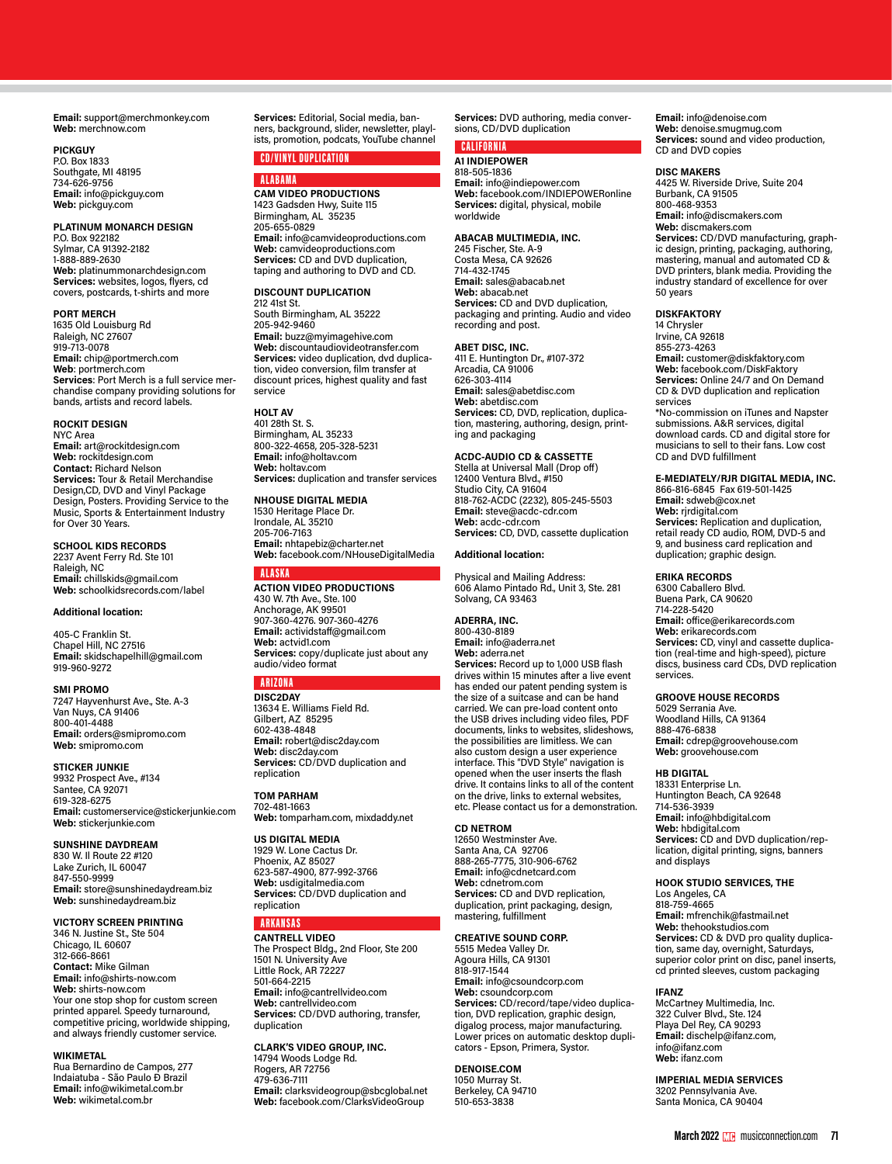**Email:** support@merchmonkey.com **Web:** merchnow.com

# **PICKGUY**

P.O. Box 1833 Southgate, MI 48195 734-626-9756 **Email:** info@pickguy.com **Web:** pickguy.com

# **PLATINUM MONARCH DESIGN**

P.O. Box 922182 Sylmar, CA 91392-2182 1-888-889-2630 **Web:** platinummonarchdesign.com **Services:** websites, logos, flyers, cd covers, postcards, t-shirts and more

# **PORT MERCH**

1635 Old Louisburg Rd Raleigh, NC 27607 919-713-0078 **Email:** chip@portmerch.com **Web**: portmerch.com **Services**: Port Merch is a full service merchandise company providing solutions for bands, artists and record labels.

# **ROCKIT DESIGN**

NYC Area **Email:** art@rockitdesign.com **Web:** rockitdesign.com **Contact:** Richard Nelson **Services:** Tour & Retail Merchandise Design,CD, DVD and Vinyl Package Design, Posters. Providing Service to the Music, Sports & Entertainment Industry for Over 30 Years.

**SCHOOL KIDS RECORDS** 2237 Avent Ferry Rd. Ste 101 Raleigh, NC **Email:** chillskids@gmail.com **Web:** schoolkidsrecords.com/label

# **Additional location:**

405-C Franklin St. Chapel Hill, NC 27516 **Email:** skidschapelhill@gmail.com 919-960-9272

# **SMI PROMO**

7247 Hayvenhurst Ave., Ste. A-3 Van Nuys, CA 91406 800-401-4488 **Email:** orders@smipromo.com **Web:** smipromo.com

# **STICKER JUNKIE**

9932 Prospect Ave., #134 Santee, CA 92071 619-328-6275 **Email:** customerservice@stickerjunkie.com **Web:** stickerjunkie.com

# **SUNSHINE DAYDREAM**

830 W. Il Route 22 #120 Lake Zurich, IL 60047 847-550-9999 **Email:** store@sunshinedaydream.biz **Web:** sunshinedaydream.biz

# **VICTORY SCREEN PRINTING**

346 N. Justine St., Ste 504 Chicago, IL 60607 312-666-8661 **Contact:** Mike Gilman **Email:** info@shirts-now.com **Web:** shirts-now.com Your one stop shop for custom screen printed apparel. Speedy turnaround, competitive pricing, worldwide shipping, and always friendly customer service.

# **WIKIMETAL**

Rua Bernardino de Campos, 277 Indaiatuba - São Paulo Ð Brazil **Email:** info@wikimetal.com.br **Web:** wikimetal.com.br

**Services:** Editorial, Social media, banners, background, slider, newsletter, playlists, promotion, podcats, YouTube channel

# CD/VINYL DUPLICATION

**ALARAMA CAM VIDEO PRODUCTIONS** 1423 Gadsden Hwy, Suite 115 Birmingham, AL 35235 205-655-0829 **Email:** info@camvideoproductions.com **Web:** camvideoproductions.com **Services:** CD and DVD duplication, taping and authoring to DVD and CD.

#### **DISCOUNT DUPLICATION**

212 41st St. South Birmingham, AL 35222 205-942-9460 **Email:** buzz@myimagehive.com **Web:** discountaudiovideotransfer.com **Services:** video duplication, dvd duplication, video conversion, film transfer at discount prices, highest quality and fast service

# **HOLT AV**

401 28th St. S. Birmingham, AL 35233 800-322-4658, 205-328-5231 **Email:** info@holtav.com **Web:** holtav.com **Services:** duplication and transfer services

# **NHOUSE DIGITAL MEDIA** 1530 Heritage Place Dr. Irondale, AL 35210

205-706-7163 **Email:** nhtapebiz@charter.net **Web:** facebook.com/NHouseDigitalMedia

# ALASKA

**ACTION VIDEO PRODUCTIONS** 430 W. 7th Ave., Ste. 100 Anchorage, AK 99501 907-360-4276. 907-360-4276 **Email:** actividstaff@gmail.com **Web:** actvid1.com **Services:** copy/duplicate just about any audio/video format

# ARIZONA

**DISC2DAY** 13634 E. Williams Field Rd. Gilbert, AZ 85295 602-438-4848 **Email:** robert@disc2day.com **Web:** disc2day.com **Services:** CD/DVD duplication and replication

# **TOM PARHAM**

702-481-1663 **Web:** tomparham.com, mixdaddy.net

# **US DIGITAL MEDIA**

1929 W. Lone Cactus Dr. Phoenix, AZ 85027 623-587-4900, 877-992-3766 **Web:** usdigitalmedia.com **Services:** CD/DVD duplication and replication

# ARKANSAS

**CANTRELL VIDEO** The Prospect Bldg., 2nd Floor, Ste 200 1501 N. University Ave Little Rock, AR 72227 501-664-2215 **Email:** info@cantrellvideo.com **Web:** cantrellvideo.com **Services:** CD/DVD authoring, transfer, duplication

# **CLARK'S VIDEO GROUP, INC.**

14794 Woods Lodge Rd. Rogers, AR 72756 479-636-7111 **Email:** clarksvideogroup@sbcglobal.net **Web:** facebook.com/ClarksVideoGroup

**Services:** DVD authoring, media conversions, CD/DVD duplication

# CALIFORNIA

**A1 INDIEPOWER** 818-505-1836 **Email:** info@indiepower.com **Web:** facebook.com/INDIEPOWERonline **Services:** digital, physical, mobile worldwide

# **ABACAB MULTIMEDIA, INC.**

245 Fischer, Ste. A-9 Costa Mesa, CA 92626 714-432-1745 **Email:** sales@abacab.net **Web:** abacab.net **Services:** CD and DVD duplication, packaging and printing. Audio and video recording and post.

**ABET DISC, INC.**  411 E. Huntington Dr., #107-372 Arcadia, CA 91006 626-303-4114 **Email:** sales@abetdisc.com **Web:** abetdisc.com **Services:** CD, DVD, replication, duplication, mastering, authoring, design, print-ing and packaging

**ACDC-AUDIO CD & CASSETTE** Stella at Universal Mall (Drop off) 12400 Ventura Blvd., #150 Studio City, CA 91604 818-762-ACDC (2232), 805-245-5503 **Email:** steve@acdc-cdr.com **Web:** acdc-cdr.com **Services:** CD, DVD, cassette duplication

# **Additional location:**

Physical and Mailing Address: 606 Alamo Pintado Rd., Unit 3, Ste. 281 Solvang, CA 93463

# **ADERRA, INC.**

800-430-8189 **Email:** info@aderra.net **Web:** aderra.net **Services:** Record up to 1,000 USB flash drives within 15 minutes after a live event has ended our patent pending system is the size of a suitcase and can be hand carried. We can pre-load content onto the USB drives including video files, PDF documents, links to websites, slideshows, the possibilities are limitless. We can also custom design a user experience interface. This "DVD Style" navigation is opened when the user inserts the flash drive. It contains links to all of the content on the drive, links to external websites, etc. Please contact us for a demonstration.

# **CD NETROM**

12650 Westminster Ave. Santa Ana, CA 92706 888-265-7775, 310-906-6762 **Email:** info@cdnetcard.com **Web:** cdnetrom.com **Services:** CD and DVD replication, duplication, print packaging, design, mastering, fulfillment

# **CREATIVE SOUND CORP.**

5515 Medea Valley Dr. Agoura Hills, CA 91301 818-917-1544 **Email:** info@csoundcorp.com **Web:** csoundcorp.com **Services:** CD/record/tape/video duplication, DVD replication, graphic design, digalog process, major manufacturing. Lower prices on automatic desktop duplicators - Epson, Primera, Systor.

# **DENOISE.COM**

1050 Murray St. Berkeley, CA 94710 510-653-3838

**Email:** info@denoise.com **Web:** denoise.smugmug.com **Services:** sound and video production, CD and DVD copies

#### **DISC MAKERS**

4425 W. Riverside Drive, Suite 204 Burbank, CA 91505 800-468-9353 **Email:** info@discmakers.com **Web:** discmakers.com **Services:** CD/DVD manufacturing, graphic design, printing, packaging, authoring, mastering, manual and automated CD & DVD printers, blank media. Providing the industry standard of excellence for over 50 years

# **DISKFAKTORY**

14 Chrysler Irvine, CA 92618 855-273-4263 **Email:** customer@diskfaktory.com **Web:** facebook.com/DiskFaktory **Services:** Online 24/7 and On Demand CD & DVD duplication and replication services \*No-commission on iTunes and Napster submissions. A&R services, digital download cards. CD and digital store for musicians to sell to their fans. Low cost CD and DVD fulfillment

# **E-MEDIATELY/RJR DIGITAL MEDIA, INC.**

866-816-6845 Fax 619-501-1425 **Email:** sdweb@cox.net **Web:** rjrdigital.com **Services:** Replication and duplication, retail ready CD audio, ROM, DVD-5 and 9, and business card replication and duplication; graphic design.

# **ERIKA RECORDS**

6300 Caballero Blvd. Buena Park, CA 90620 714-228-5420 **Email:** office@erikarecords.com **Web:** erikarecords.com **Services:** CD, vinyl and cassette duplication (real-time and high-speed), picture discs, business card CDs, DVD replication services.

# **GROOVE HOUSE RECORDS**

5029 Serrania Ave. Woodland Hills, CA 91364 888-476-6838 **Email:** cdrep@groovehouse.com **Web:** groovehouse.com

# **HB DIGITAL**

18331 Enterprise Ln. Huntington Beach, CA 92648 714-536-3939 **Email:** info@hbdigital.com **Web:** hbdigital.com **Services:** CD and DVD duplication/replication, digital printing, signs, banners and displays

# **HOOK STUDIO SERVICES, THE**

Los Angeles, CA 818-759-4665 **Email:** mfrenchik@fastmail.net **Web:** thehookstudios.com **Services:** CD & DVD pro quality duplication, same day, overnight, Saturdays, superior color print on disc, panel inserts, cd printed sleeves, custom packaging

# **IFANZ**

McCartney Multimedia, Inc. 322 Culver Blvd., Ste. 124 Playa Del Rey, CA 90293 **Email:** dischelp@ifanz.com, info@ifanz.com **Web:** ifanz.com

**IMPERIAL MEDIA SERVICES** 3202 Pennsylvania Ave. Santa Monica, CA 90404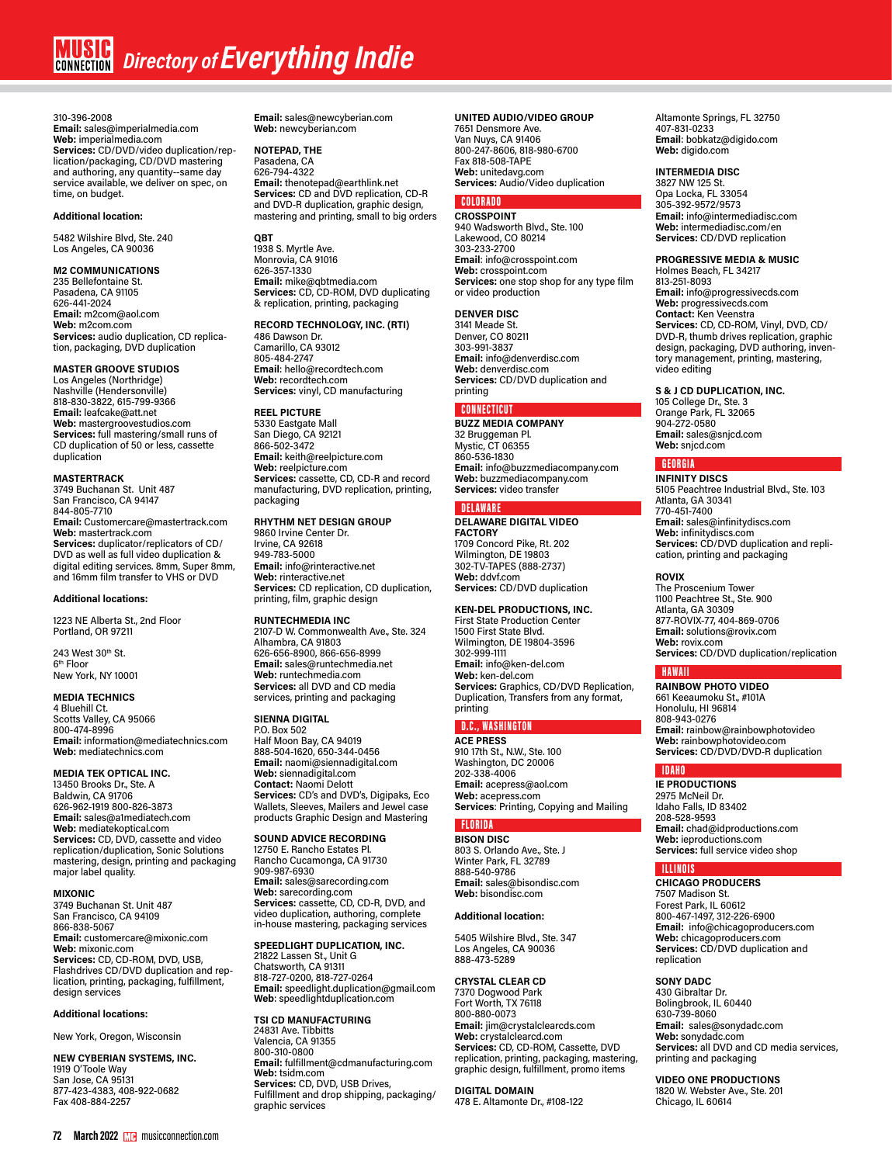310-396-2008 **Email:** sales@imperialmedia.com **Web:** imperialmedia.com **Services:** CD/DVD/video duplication/replication/packaging, CD/DVD mastering and authoring, any quantity--same day service available, we deliver on spec, on time, on budget.

# **Additional location:**

5482 Wilshire Blvd, Ste. 240 Los Angeles, CA 90036

**M2 COMMUNICATIONS**

235 Bellefontaine St. Pasadena, CA 91105 626-441-2024 **Email:** m2com@aol.com **Web:** m2com.com **Services:** audio duplication, CD replication, packaging, DVD duplication

# **MASTER GROOVE STUDIOS**

Los Angeles (Northridge) Nashville (Hendersonville) 818-830-3822, 615-799-9366 **Email:** leafcake@att.net **Web:** mastergroovestudios.com **Services:** full mastering/small runs of CD duplication of 50 or less, cassette duplication

# **MASTERTRACK**

3749 Buchanan St. Unit 487 San Francisco, CA 94147 844-805-7710 **Email:** Customercare@mastertrack.com **Web:** mastertrack.com **Services:** duplicator/replicators of CD/ DVD as well as full video duplication & digital editing services. 8mm, Super 8mm, and 16mm film transfer to VHS or DVD

# **Additional locations:**

1223 NE Alberta St., 2nd Floor Portland, OR 97211

243 West 30th St. 6th Floor New York, NY 10001

# **MEDIA TECHNICS**

4 Bluehill Ct. Scotts Valley, CA 95066 800-474-8996 **Email:** information@mediatechnics.com **Web:** mediatechnics.com

# **MEDIA TEK OPTICAL INC.**

13450 Brooks Dr., Ste. A Baldwin, CA 91706 626-962-1919 800-826-3873 **Email:** sales@a1mediatech.com **Web:** mediatekoptical.com **Services:** CD, DVD, cassette and video replication/duplication, Sonic Solutions mastering, design, printing and packaging major label quality.

## **MIXONIC**

3749 Buchanan St. Unit 487 San Francisco, CA 94109 866-838-5067 **Email:** customercare@mixonic.com **Web:** mixonic.com **Services:** CD, CD-ROM, DVD, USB, Flashdrives CD/DVD duplication and replication, printing, packaging, fulfillment, design services

# **Additional locations:**

New York, Oregon, Wisconsin

# **NEW CYBERIAN SYSTEMS, INC.**

1919 O'Toole Way San Jose, CA 95131 877-423-4383, 408-922-0682 Fax 408-884-2257

**Email:** sales@newcyberian.com **Web:** newcyberian.com

# **NOTEPAD, THE**

Pasadena, CA 626-794-4322 **Email:** thenotepad@earthlink.net **Services:** CD and DVD replication, CD-R and DVD-R duplication, graphic design, mastering and printing, small to big orders

# **QBT**

1938 S. Myrtle Ave. Monrovia, CA 91016 626-357-1330 **Email:** mike@qbtmedia.com **Services:** CD, CD-ROM, DVD duplicating & replication, printing, packaging

# **RECORD TECHNOLOGY, INC. (RTI)**

486 Dawson Dr. Camarillo, CA 93012 805-484-2747 **Email**: hello@recordtech.com **Web:** recordtech.com **Services:** vinyl, CD manufacturing

# **REEL PICTURE**

5330 Eastgate Mall San Diego, CA 92121 866-502-3472 **Email:** keith@reelpicture.com **Web:** reelpicture.com **Services:** cassette, CD, CD-R and record manufacturing, DVD replication, printing, packaging

# **RHYTHM NET DESIGN GROUP**

9860 Irvine Center Dr. Irvine, CA 92618 949-783-5000 **Email:** info@rinteractive.net **Web:** rinteractive.net **Services:** CD replication, CD duplication, printing, film, graphic design

# **RUNTECHMEDIA INC**

2107-D W. Commonwealth Ave., Ste. 324 Alhambra, CA 91803 626-656-8900, 866-656-8999 **Email:** sales@runtechmedia.net **Web:** runtechmedia.com **Services:** all DVD and CD media services, printing and packaging

# **SIENNA DIGITAL**

P.O. Box 502 Half Moon Bay, CA 94019 888-504-1620, 650-344-0456 **Email:** naomi@siennadigital.com **Web:** siennadigital.com **Contact:** Naomi Delott **Services:** CD's and DVD's, Digipaks, Eco Wallets, Sleeves, Mailers and Jewel case products Graphic Design and Mastering

# **SOUND ADVICE RECORDING**

12750 E. Rancho Estates Pl. Rancho Cucamonga, CA 91730 909-987-6930 **Email:** sales@sarecording.com **Web:** sarecording.com **Services:** cassette, CD, CD-R, DVD, and video duplication, authoring, complete in-house mastering, packaging services

# **SPEEDLIGHT DUPLICATION, INC.**

21822 Lassen St., Unit G Chatsworth, CA 91311 818-727-0200, 818-727-0264 **Email:** speedlight.duplication@gmail.com **Web**: speedlightduplication.com

**TSI CD MANUFACTURING** 24831 Ave. Tibbitts Valencia, CA 91355 800-310-0800 **Email:** fulfillment@cdmanufacturing.com **Web:** tsidm.com **Services:** CD, DVD, USB Drives, Fulfillment and drop shipping, packaging/ graphic services

# **UNITED AUDIO/VIDEO GROUP**

7651 Densmore Ave. Van Nuys, CA 91406 800-247-8606, 818-980-6700 Fax 818-508-TAPE **Web:** unitedavg.com **Services:** Audio/Video duplication

# **COLORADO**

**CROSSPOINT** 940 Wadsworth Blvd., Ste. 100 Lakewood, CO 80214 303-233-2700 **Email**: info@crosspoint.com **Web:** crosspoint.com **Services:** one stop shop for any type film or video production

# **DENVER DISC**

3141 Meade St. Denver, CO 80211 303-991-3837 **Email:** info@denverdisc.com **Web:** denverdisc.com **Services:** CD/DVD duplication and printing

# CONNECTICUT

**BUZZ MEDIA COMPANY** 32 Bruggeman Pl. Mystic, CT 06355 860-536-1830 **Email:** info@buzzmediacompany.com **Web:** buzzmediacompany.com **Services:** video transfer

# **DELAWAR**

**DELAWARE DIGITAL VIDEO FACTORY** 1709 Concord Pike, Rt. 202 Wilmington, DE 19803 302-TV-TAPES (888-2737) **Web:** ddvf.com **Services:** CD/DVD duplication

# **KEN-DEL PRODUCTIONS, INC.**

First State Production Center 1500 First State Blvd. Wilmington, DE 19804-3596 302-999-1111 **Email:** info@ken-del.com **Web:** ken-del.com **Services:** Graphics, CD/DVD Replication, Duplication, Transfers from any format, printing

# D.C., WASHINGTON

**ACE PRESS** 910 17th St., N.W., Ste. 100 Washington, DC 20006 202-338-4006 **Email:** acepress@aol.com **Web:** acepress.com **Services**: Printing, Copying and Mailing

# FLORIDA

**BISON DISC** 803 S. Orlando Ave., Ste. J Winter Park, FL 32789 888-540-9786 **Email:** sales@bisondisc.com **Web:** bisondisc.com

# **Additional location:**

5405 Wilshire Blvd., Ste. 347 Los Angeles, CA 90036 888-473-5289

# **CRYSTAL CLEAR CD**

7370 Dogwood Park Fort Worth, TX 76118 800-880-0073 **Email:** jim@crystalclearcds.com **Web:** crystalclearcd.com **Services:** CD, CD-ROM, Cassette, DVD replication, printing, packaging, mastering, graphic design, fulfillment, promo items

**DIGITAL DOMAIN** 478 E. Altamonte Dr., #108-122 Altamonte Springs, FL 32750 407-831-0233 **Email**: bobkatz@digido.com **Web:** digido.com

# **INTERMEDIA DISC**

3827 NW 125 St. Opa Locka, FL 33054 305-392-9572/9573 **Email:** info@intermediadisc.com **Web:** intermediadisc.com/en **Services:** CD/DVD replication

# **PROGRESSIVE MEDIA & MUSIC**

Holmes Beach, FL 34217 813-251-8093 **Email:** info@progressivecds.com **Web:** progressivecds.com **Contact:** Ken Veenstra **Services:** CD, CD-ROM, Vinyl, DVD, CD/ DVD-R, thumb drives replication, graphic design, packaging, DVD authoring, inven-tory management, printing, mastering, video editing

# **S & J CD DUPLICATION, INC.**

105 College Dr., Ste. 3 Orange Park, FL 32065 904-272-0580 **Email:** sales@snjcd.com **Web:** snjcd.com

# GEORGIA

**INFINITY DISCS** 5105 Peachtree Industrial Blvd., Ste. 103 Atlanta, GA 30341 770-451-7400 **Email:** sales@infinitydiscs.com **Web:** infinitydiscs.com **Services:** CD/DVD duplication and replication, printing and packaging

# **ROVIX**

The Proscenium Tower 1100 Peachtree St., Ste. 900 Atlanta, GA 30309 877-ROVIX-77, 404-869-0706 **Email:** solutions@rovix.com **Web:** rovix.com **Services:** CD/DVD duplication/replication

# HAWAII

**RAINBOW PHOTO VIDEO** 661 Keeaumoku St., #101A Honolulu, HI 96814 808-943-0276 **Email:** rainbow@rainbowphotovideo **Web:** rainbowphotovideo.com **Services:** CD/DVD/DVD-R duplication

# IDAHO

**IE PRODUCTIONS** 2975 McNeil Dr. Idaho Falls, ID 83402 208-528-9593 **Email:** chad@idproductions.com **Web:** ieproductions.com **Services:** full service video shop

# ILLINOIS

**CHICAGO PRODUCERS** 7507 Madison St. Forest Park, IL 60612 800-467-1497, 312-226-6900 **Email:** info@chicagoproducers.com **Web:** chicagoproducers.com **Services:** CD/DVD duplication and replication

# **SONY DADC**

430 Gibraltar Dr. Bolingbrook, IL 60440 630-739-8060 **Email:** sales@sonydadc.com **Web:** sonydadc.com **Services:** all DVD and CD media services, printing and packaging

**VIDEO ONE PRODUCTIONS** 1820 W. Webster Ave., Ste. 201 Chicago, IL 60614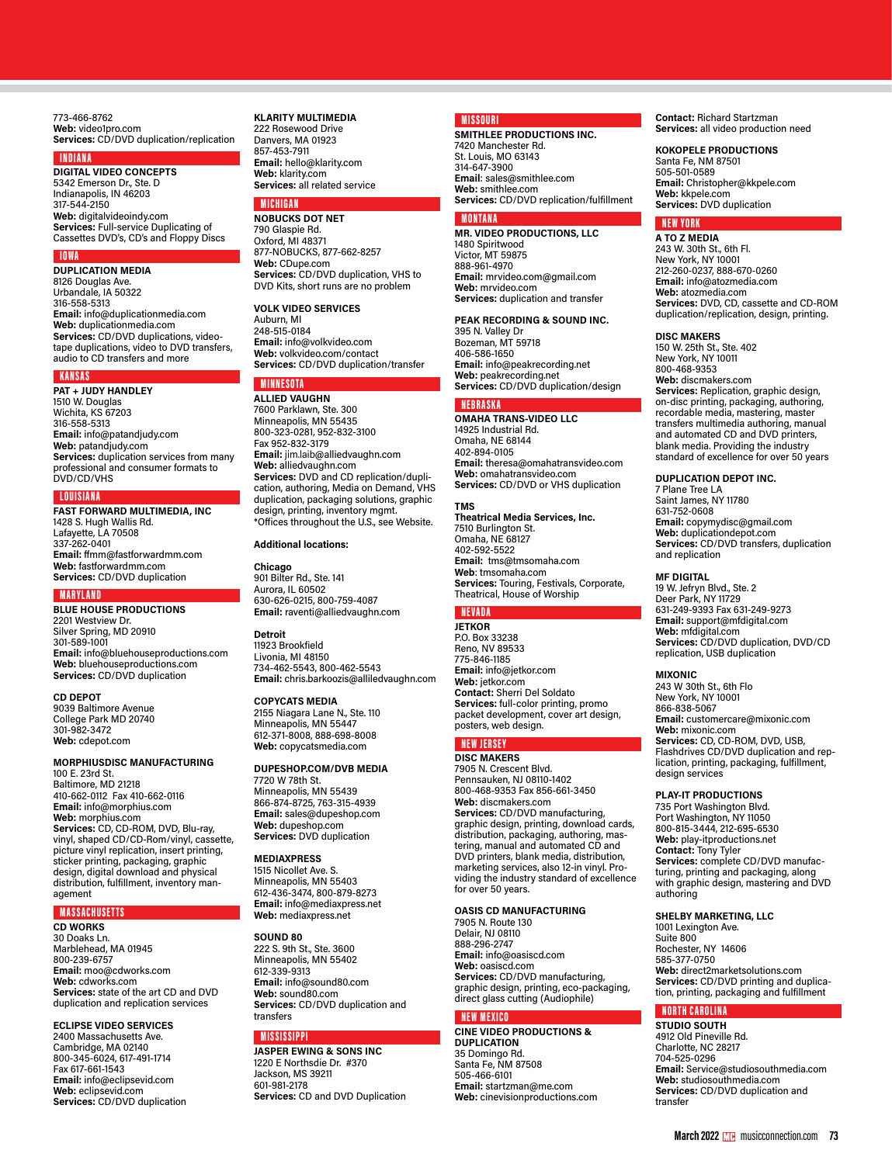773-466-8762 **Web:** video1pro.com **Services:** CD/DVD duplication/replication

# INDIANA

**DIGITAL VIDEO CONCEPTS** 5342 Emerson Dr., Ste. D Indianapolis, IN 46203 317-544-2150 **Web:** digitalvideoindy.com **Services:** Full-service Duplicating of Cassettes DVD's, CD's and Floppy Discs

# IOWA

**DUPLICATION MEDIA** 8126 Douglas Ave. Urbandale, IA 50322 316-558-5313 **Email:** info@duplicationmedia.com **Web:** duplicationmedia.com **Services:** CD/DVD duplications, videotape duplications, video to DVD transfers, audio to CD transfers and more

# **KANSAS**

**PAT + JUDY HANDLEY** 1510 W. Douglas Wichita, KS 67203 316-558-5313 **Email:** info@patandjudy.com **Web:** patandjudy.com **Services:** duplication services from many professional and consumer formats to DVD/CD/VHS

# **LOUISIANA**

**FAST FORWARD MULTIMEDIA, INC** 1428 S. Hugh Wallis Rd. Lafayette, LA 70508 337-262-0401 **Email:** ffmm@fastforwardmm.com **Web:** fastforwardmm.com **Services:** CD/DVD duplication

## MARYLAND

**BLUE HOUSE PRODUCTIONS** 2201 Westview Dr. Silver Spring, MD 20910 301-589-1001 **Email:** info@bluehouseproductions.com **Web:** bluehouseproductions.com **Services:** CD/DVD duplication

# **CD DEPOT**

9039 Baltimore Avenue College Park MD 20740 301-982-3472 **Web:** cdepot.com

# **MORPHIUSDISC MANUFACTURING**

100 E. 23rd St. Baltimore, MD 21218 410-662-0112 Fax 410-662-0116 **Email:** info@morphius.com **Web:** morphius.com **Services:** CD, CD-ROM, DVD, Blu-ray,<br>vinyl, shaped CD/CD-Rom/vinyl, cassette,<br>picture vinyl replication, insert printing, sticker printing, packaging, graphic design, digital download and physical distribution, fulfillment, inventory management

# MASSACHUSETTS

**CD WORKS**

30 Doaks Ln. Marblehead, MA 01945 800-239-6757 **Email:** moo@cdworks.com **Web:** cdworks.com **Services:** state of the art CD and DVD duplication and replication services

# **ECLIPSE VIDEO SERVICES**

2400 Massachusetts Ave. Cambridge, MA 02140 800-345-6024, 617-491-1714 Fax 617-661-1543 **Email:** info@eclipsevid.com **Web:** eclipsevid.com **Services:** CD/DVD duplication

# **KLARITY MULTIMEDIA**

222 Rosewood Drive Danvers, MA 01923 857-453-7911 **Email:** hello@klarity.com **Web:** klarity.com **Services:** all related service

# MICHIGA

**NOBUCKS DOT NET** 790 Glaspie Rd. Oxford, MI 48371 877-NOBUCKS, 877-662-8257 **Web:** CDupe.com **Services:** CD/DVD duplication, VHS to DVD Kits, short runs are no problem

# **VOLK VIDEO SERVICES**

Auburn, MI 248-515-0184 **Email:** info@volkvideo.com **Web:** volkvideo.com/contact **Services:** CD/DVD duplication/transfer

# **MINNESOTA ALLIED VAUGHN**

7600 Parklawn, Ste. 300 Minneapolis, MN 55435 800-323-0281, 952-832-3100 Fax 952-832-3179 **Email:** jim.laib@alliedvaughn.com **Web:** alliedvaughn.com **Services:** DVD and CD replication/duplication, authoring, Media on Demand, VHS duplication, packaging solutions, graphic design, printing, inventory mgmt. \*Offices throughout the U.S., see Website.

# **Additional locations:**

**Chicago** 901 Bilter Rd., Ste. 141 Aurora, IL 60502 630-626-0215, 800-759-4087 **Email:** raventi@alliedvaughn.com

**Detroit** 11923 Brookfield Livonia, MI 48150 734-462-5543, 800-462-5543 **Email:** chris.barkoozis@alliledvaughn.com

# **COPYCATS MEDIA**

2155 Niagara Lane N., Ste. 110 Minneapolis, MN 55447 612-371-8008, 888-698-8008 **Web:** copycatsmedia.com

# **DUPESHOP.COM/DVB MEDIA**

7720 W 78th St. Minneapolis, MN 55439 866-874-8725, 763-315-4939 **Email:** sales@dupeshop.com **Web:** dupeshop.com **Services:** DVD duplication

## **MEDIAXPRESS**

1515 Nicollet Ave. S. Minneapolis, MN 55403 612-436-3474, 800-879-8273 **Email:** info@mediaxpress.net **Web:** mediaxpress.net

## **SOUND 80**

222 S. 9th St., Ste. 3600 Minneapolis, MN 55402 612-339-9313 **Email:** info@sound80.com **Web:** sound80.com **Services:** CD/DVD duplication and transfers

# **MISSISSIPPI**

**JASPER EWING & SONS INC** 1220 E Northsdie Dr. #370 Jackson, MS 39211 601-981-2178 **Services:** CD and DVD Duplication

# MISSOURI

**SMITHLEE PRODUCTIONS INC.** 7420 Manchester Rd. St. Louis, MO 63143 314-647-3900 **Email**: sales@smithlee.com **Web:** smithlee.com **Services:** CD/DVD replication/fulfillment

# MONTANA

**MR. VIDEO PRODUCTIONS, LLC** 1480 Spiritwood Victor, MT 59875 888-961-4970 **Email:** mrvideo.com@gmail.com **Web:** mrvideo.com **Services:** duplication and transfer

# **PEAK RECORDING & SOUND INC.**

395 N. Valley Dr Bozeman, MT 59718 406-586-1650 **Email:** info@peakrecording.net **Web:** peakrecording.net **Services:** CD/DVD duplication/design

# **NERRASKI**

**OMAHA TRANS-VIDEO LLC** 14925 Industrial Rd. Omaha, NE 68144 402-894-0105 **Email:** theresa@omahatransvideo.com **Web:** omahatransvideo.com **Services:** CD/DVD or VHS duplication

## **TMS**

**Theatrical Media Services, Inc.** 7510 Burlington St. Omaha, NE 68127 402-592-5522 **Email:** tms@tmsomaha.com **Web**: tmsomaha.com **Services:** Touring, Festivals, Corporate, Theatrical, House of Worship

# **NEVAD**

**JETKOR** P.O. Box 33238 Reno, NV 89533 775-846-1185 **Email:** info@jetkor.com **Web:** jetkor.com **Contact:** Sherri Del Soldato **Services:** full-color printing, promo packet development, cover art design, posters, web design.

# NEW JERSEY

**DISC MAKERS** 7905 N. Crescent Blvd. Pennsauken, NJ 08110-1402 800-468-9353 Fax 856-661-3450 **Web:** discmakers.com **Services:** CD/DVD manufacturing,<br>graphic design, printing, download cards,<br>distribution, packaging, authoring, mastering, manual and automated CD and DVD printers, blank media, distribution, marketing services, also 12-in vinyl. Providing the industry standard of excellence for over 50 years.

# **OASIS CD MANUFACTURING**

7905 N. Route 130 Delair, NJ 08110 888-296-2747 **Email:** info@oasiscd.com **Web:** oasiscd.com **Services:** CD/DVD manufacturing, graphic design, printing, eco-packaging, direct glass cutting (Audiophile)

# NEW MEXICO

**CINE VIDEO PRODUCTIONS & DUPLICATION** 35 Domingo Rd. Santa Fe, NM 87508 505-466-6101 **Email:** startzman@me.com **Web:** cinevisionproductions.com **Contact:** Richard Startzman **Services:** all video production need

# **KOKOPELE PRODUCTIONS**

Santa Fe, NM 87501 505-501-0589 **Email:** Christopher@kkpele.com **Web:** kkpele.com **Services:** DVD duplication

# NEW YORK

**A TO Z MEDIA** 243 W. 30th St., 6th Fl. New York, NY 10001 212-260-0237, 888-670-0260 **Email:** info@atozmedia.com **Web:** atozmedia.com **Services:** DVD, CD, cassette and CD-ROM duplication/replication, design, printing.

# **DISC MAKERS**

150 W. 25th St., Ste. 402 New York, NY 10011 800-468-9353 **Web:** discmakers.com **Services:** Replication, graphic design, on-disc printing, packaging, authoring, recordable media, mastering, master transfers multimedia authoring, manual and automated CD and DVD printers, blank media. Providing the industry standard of excellence for over 50 years

# **DUPLICATION DEPOT INC.**

7 Plane Tree LA Saint James, NY 11780 631-752-0608 **Email:** copymydisc@gmail.com **Web:** duplicationdepot.com **Services:** CD/DVD transfers, duplication and replication

# **MF DIGITAL**

19 W. Jefryn Blvd., Ste. 2 Deer Park, NY 11729 631-249-9393 Fax 631-249-9273 **Email:** support@mfdigital.com **Web:** mfdigital.com **Services:** CD/DVD duplication, DVD/CD replication, USB duplication

# **MIXONIC**

243 W 30th St., 6th Flo New York, NY 10001 866-838-5067 **Email:** customercare@mixonic.com **Web:** mixonic.com **Services:** CD, CD-ROM, DVD, USB, Flashdrives CD/DVD duplication and replication, printing, packaging, fulfillment, design services

# **PLAY-IT PRODUCTIONS**

735 Port Washington Blvd. Port Washington, NY 11050 800-815-3444, 212-695-6530 **Web:** play-itproductions.net **Contact:** Tony Tyler **Services:** complete CD/DVD manufacturing, printing and packaging, along with graphic design, mastering and DVD authoring

# **SHELBY MARKETING, LLC**

1001 Lexington Ave. Suite 800 Rochester, NY 14606 585-377-0750 **Web:** direct2marketsolutions.com **Services:** CD/DVD printing and duplication, printing, packaging and fulfillment

# NORTH CAROLINA

**STUDIO SOUTH** 4912 Old Pineville Rd. Charlotte, NC 28217 704-525-0296 **Email:** Service@studiosouthmedia.com **Web:** studiosouthmedia.com **Services:** CD/DVD duplication and transfer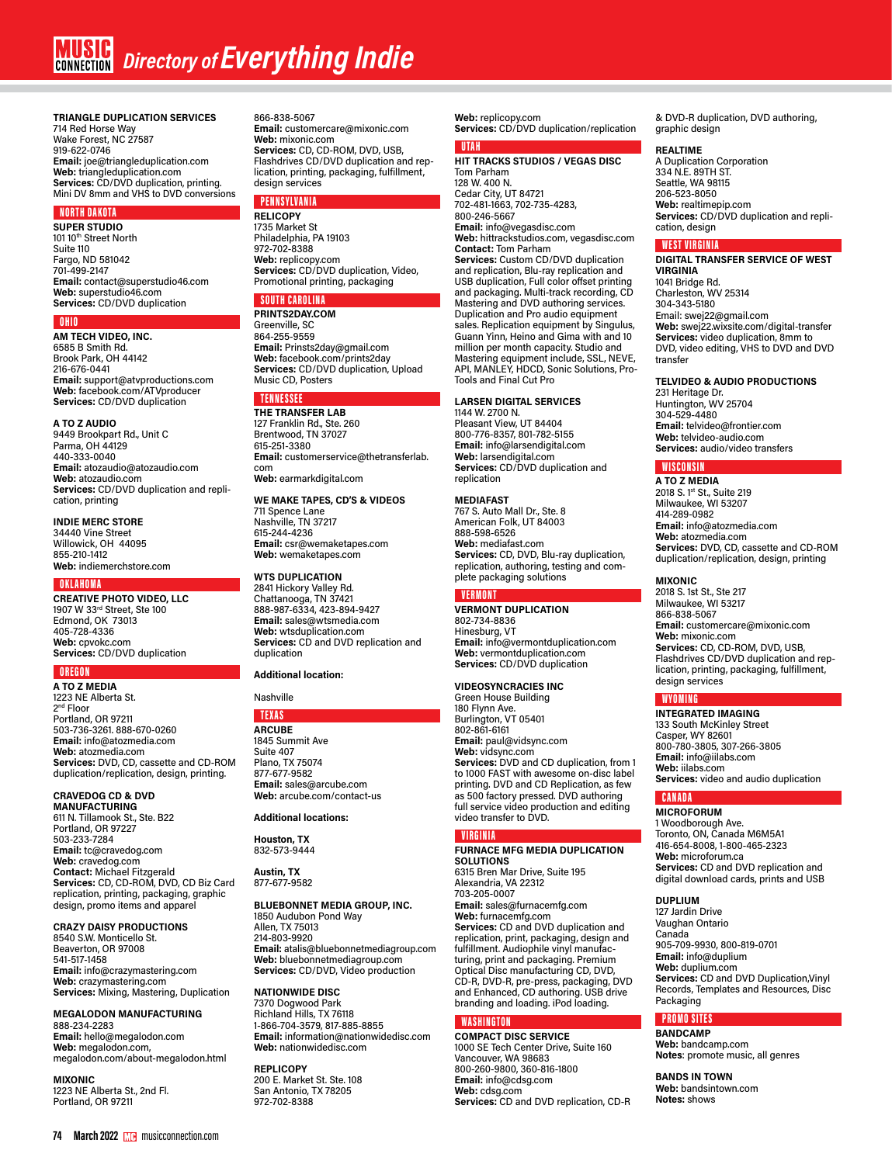# **TRIANGLE DUPLICATION SERVICES** 714 Red Horse Way Wake Forest, NC 27587 919-622-0746 **Email:** joe@triangleduplication.com **Web:** triangleduplication.com **Services:** CD/DVD duplication, printing. Mini DV 8mm and VHS to DVD conversions

# NORTH DAKOTA

**SUPER STUDIO** 101 10<sup>th</sup> Street North Suite 110 Fargo, ND 581042 701-499-2147 **Email:** contact@superstudio46.com **Web:** superstudio46.com **Services:** CD/DVD duplication

# OHIO

**AM TECH VIDEO, INC.** 6585 B Smith Rd. Brook Park, OH 44142 216-676-0441 **Email:** support@atvproductions.com **Web:** facebook.com/ATVproducer **Services:** CD/DVD duplication

# **A TO Z AUDIO** 9449 Brookpart Rd., Unit C

Parma, OH 44129 440-333-0040 **Email:** atozaudio@atozaudio.com **Web:** atozaudio.com **Services:** CD/DVD duplication and replication, printing

# **INDIE MERC STORE**

34440 Vine Street Willowick, OH 44095 855-210-1412 **Web:** indiemerchstore.com

# OKLAHOMA

**CREATIVE PHOTO VIDEO, LLC** 1907 W 33rd Street, Ste 100 Edmond, OK 73013 405-728-4336 **Web:** cpvokc.com **Services:** CD/DVD duplication

# **OREGO**

**A TO Z MEDIA** 1223 NE Alberta St. 2nd Floor Portland, OR 97211 503-736-3261. 888-670-0260 **Email:** info@atozmedia.com **Web:** atozmedia.com **Services:** DVD, CD, cassette and CD-ROM duplication/replication, design, printing.

# **CRAVEDOG CD & DVD MANUFACTURING**

611 N. Tillamook St., Ste. B22 Portland, OR 97227 503-233-7284 **Email:** tc@cravedog.com **Web:** cravedog.com **Contact:** Michael Fitzgerald **Services:** CD, CD-ROM, DVD, CD Biz Card replication, printing, packaging, graphic design, promo items and apparel

# **CRAZY DAISY PRODUCTIONS**

8540 S.W. Monticello St. Beaverton, OR 97008 541-517-1458 **Email:** info@crazymastering.com **Web:** crazymastering.com **Services:** Mixing, Mastering, Duplication

# **MEGALODON MANUFACTURING**

888-234-2283 **Email:** hello@megalodon.com **Web:** megalodon.com, megalodon.com/about-megalodon.html

**MIXONIC** 1223 NE Alberta St., 2nd Fl. Portland, OR 97211

#### 866-838-5067

**Email:** customercare@mixonic.com **Web:** mixonic.com **Services:** CD, CD-ROM, DVD, USB, Flashdrives CD/DVD duplication and replication, printing, packaging, fulfillment, design services

# PENNSYLVANIA

**RELICOPY** 1735 Market St Philadelphia, PA 19103 972-702-8388 **Web:** replicopy.com **Services:** CD/DVD duplication, Video, Promotional printing, packaging

# SOUTH CAROLIN

**PRINTS2DAY.COM** Greenville, SC 864-255-9559 **Email:** Prinsts2day@gmail.com **Web:** facebook.com/prints2day **Services:** CD/DVD duplication, Upload Music CD, Posters

# TENNESSEE

**THE TRANSFER LAB** 127 Franklin Rd., Ste. 260 Brentwood, TN 37027 615-251-3380 **Email:** customerservice@thetransferlab. com **Web:** earmarkdigital.com

## **WE MAKE TAPES, CD'S & VIDEOS**

711 Spence Lane Nashville, TN 37217 615-244-4236 **Email:** csr@wemaketapes.com **Web:** wemaketapes.com

# **WTS DUPLICATION**

2841 Hickory Valley Rd. Chattanooga, TN 37421 888-987-6334, 423-894-9427 **Email:** sales@wtsmedia.com **Web:** wtsduplication.com Services: CD and DVD replication and duplication

# **Additional location:**

# Nashville

# TEXAS **ARCUBE**

1845 Summit Ave Suite 407 Plano, TX 75074 877-677-9582 **Email:** sales@arcube.com **Web:** arcube.com/contact-us

# **Additional locations:**

**Houston, TX** 832-573-9444

**Austin, TX** 877-677-9582

# **BLUEBONNET MEDIA GROUP, INC.**

1850 Audubon Pond Way Allen, TX 75013 214-803-9920 **Email:** atalis@bluebonnetmediagroup.com **Web:** bluebonnetmediagroup.com **Services:** CD/DVD, Video production

# **NATIONWIDE DISC**

7370 Dogwood Park Richland Hills, TX 76118 1-866-704-3579, 817-885-8855 **Email:** information@nationwidedisc.com **Web:** nationwidedisc.com

# **REPLICOPY**

200 E. Market St. Ste. 108 San Antonio, TX 78205 972-702-8388

# **Web:** replicopy.com **Services:** CD/DVD duplication/replication

# UTAH

**HIT TRACKS STUDIOS / VEGAS DISC** Tom Parham 128 W. 400 N. Cedar City, UT 84721 702-481-1663, 702-735-4283, 800-246-5667 **Email:** info@vegasdisc.com **Web:** hittrackstudios.com, vegasdisc.com **Contact:** Tom Parham **Services:** Custom CD/DVD duplication and replication, Blu-ray replication and USB duplication, Full color offset printing and packaging. Multi-track recording, CD Mastering and DVD authoring services. Duplication and Pro audio equipment sales. Replication equipment by Singulus, Guann Yinn, Heino and Gima with and 10 million per month capacity. Studio and Mastering equipment include, SSL, NEVE, API, MANLEY, HDCD, Sonic Solutions, Pro-Tools and Final Cut Pro

#### **LARSEN DIGITAL SERVICES** 1144 W. 2700 N.

Pleasant View, UT 84404 800-776-8357, 801-782-5155 **Email:** info@larsendigital.com **Web:** larsendigital.com **Services:** CD/DVD duplication and replication

# **MEDIAFAST**

767 S. Auto Mall Dr., Ste. 8 American Folk, UT 84003 888-598-6526 **Web:** mediafast.com **Services:** CD, DVD, Blu-ray duplication, replication, authoring, testing and complete packaging solutions

# VERMONT

**VERMONT DUPLICATION** 802-734-8836 Hinesburg, VT **Email:** info@vermontduplication.com **Web:** vermontduplication.com **Services:** CD/DVD duplication

# **VIDEOSYNCRACIES INC**

Green House Building 180 Flynn Ave. Burlington, VT 05401 802-861-6161 **Email:** paul@vidsync.com **Web:** vidsync.com **Services:** DVD and CD duplication, from 1 to 1000 FAST with awesome on-disc label printing. DVD and CD Replication, as few as 500 factory pressed. DVD authoring full service video production and editing video transfer to DVD.

# **VIRGINIA**

**FURNACE MFG MEDIA DUPLICATION SOLUTIONS** 6315 Bren Mar Drive, Suite 195 Alexandria, VA 22312 703-205-0007 **Email:** sales@furnacemfg.com **Web:** furnacemfg.com **Services:** CD and DVD duplication and replication, print, packaging, design and fulfillment. Audiophile vinyl manufac-turing, print and packaging. Premium Optical Disc manufacturing CD, DVD, CD-R, DVD-R, pre-press, packaging, DVD and Enhanced, CD authoring. USB drive branding and loading. iPod loading.

# WASHINGTON

**COMPACT DISC SERVICE** 1000 SE Tech Center Drive, Suite 160 Vancouver, WA 98683 800-260-9800, 360-816-1800 **Email:** info@cdsg.com **Web:** cdsg.com **Services:** CD and DVD replication, CD-R

& DVD-R duplication, DVD authoring, graphic design

# **REALTIME**

A Duplication Corporation 334 N.E. 89TH ST. Seattle, WA 98115 206-523-8050 **Web:** realtimepip.com **Services:** CD/DVD duplication and replication, design

# WEST VIRGINIA

**DIGITAL TRANSFER SERVICE OF WEST VIRGINIA**

1041 Bridge Rd. Charleston, WV 25314 304-343-5180 Email: swej22@gmail.com **Web:** swej22.wixsite.com/digital-transfer **Services:** video duplication, 8mm to DVD, video editing, VHS to DVD and DVD transfer

# **TELVIDEO & AUDIO PRODUCTIONS**

231 Heritage Dr. Huntington, WV 25704 304-529-4480 **Email:** telvideo@frontier.com **Web:** telvideo-audio.com **Services:** audio/video transfers

# **WISCONSIN**

**A TO Z MEDIA** 2018 S. 1st St., Suite 219 Milwaukee, WI 53207 414-289-0982 **Email:** info@atozmedia.com **Web:** atozmedia.com **Services:** DVD, CD, cassette and CD-ROM duplication/replication, design, printing

# **MIXONIC**

2018 S. 1st St., Ste 217 Milwaukee, WI 53217 866-838-5067 **Email:** customercare@mixonic.com **Web:** mixonic.com **Services:** CD, CD-ROM, DVD, USB, Flashdrives CD/DVD duplication and replication, printing, packaging, fulfillment, design services

# WYOMING

**INTEGRATED IMAGING** 133 South McKinley Street Casper, WY 82601 800-780-3805, 307-266-3805 **Email:** info@iilabs.com **Web:** iilabs.com **Services:** video and audio duplication

#### CANADA **MICROFORUM**

1 Woodborough Ave. Toronto, ON, Canada M6M5A1 416-654-8008, 1-800-465-2323 **Web:** microforum.ca **Services:** CD and DVD replication and digital download cards, prints and USB

# **DUPLIUM**

127 Jardin Drive Vaughan Ontario Canada 905-709-9930, 800-819-0701 **Email:** info@duplium **Web:** duplium.com **Services:** CD and DVD Duplication,Vinyl Records, Templates and Resources, Disc Packaging

# PROMO SITES

# **BANDCAMP Web:** bandcamp.com

**Notes**: promote music, all genres

**BANDS IN TOWN Web:** bandsintown.com **Notes:** shows